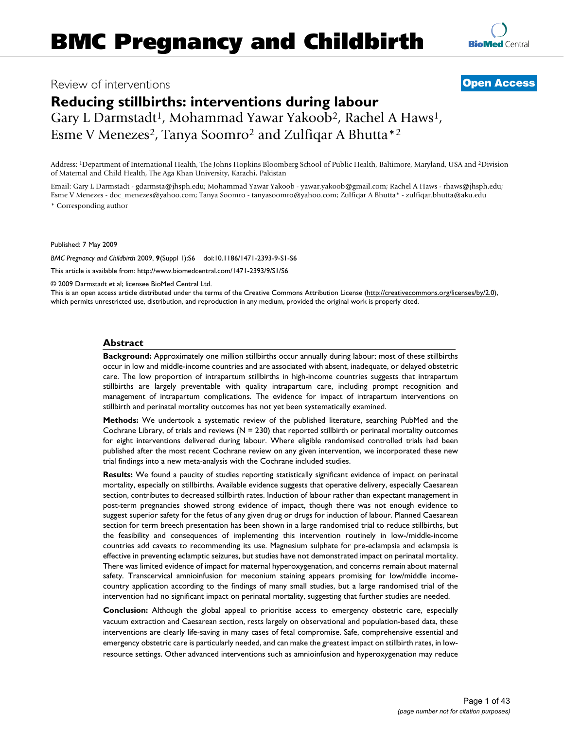

# **Reducing stillbirths: interventions during labour**

Gary L Darmstadt<sup>1</sup>, Mohammad Yawar Yakoob<sup>2</sup>, Rachel A Haws<sup>1</sup>, Esme V Menezes<sup>2</sup>, Tanya Soomro<sup>2</sup> and Zulfiqar A Bhutta<sup>\*2</sup>

Address: 1Department of International Health, The Johns Hopkins Bloomberg School of Public Health, Baltimore, Maryland, USA and 2Division of Maternal and Child Health, The Aga Khan University, Karachi, Pakistan

Email: Gary L Darmstadt - gdarmsta@jhsph.edu; Mohammad Yawar Yakoob - yawar.yakoob@gmail.com; Rachel A Haws - rhaws@jhsph.edu; Esme V Menezes - doc\_menezes@yahoo.com; Tanya Soomro - tanyasoomro@yahoo.com; Zulfiqar A Bhutta\* - zulfiqar.bhutta@aku.edu \* Corresponding author

Published: 7 May 2009

*BMC Pregnancy and Childbirth* 2009, **9**(Suppl 1):S6 doi:10.1186/1471-2393-9-S1-S6

[This article is available from: http://www.biomedcentral.com/1471-2393/9/S1/S6](http://www.biomedcentral.com/1471-2393/9/S1/S6)

© 2009 Darmstadt et al; licensee BioMed Central Ltd.

This is an open access article distributed under the terms of the Creative Commons Attribution License [\(http://creativecommons.org/licenses/by/2.0\)](http://creativecommons.org/licenses/by/2.0), which permits unrestricted use, distribution, and reproduction in any medium, provided the original work is properly cited.

#### **Abstract**

**Background:** Approximately one million stillbirths occur annually during labour; most of these stillbirths occur in low and middle-income countries and are associated with absent, inadequate, or delayed obstetric care. The low proportion of intrapartum stillbirths in high-income countries suggests that intrapartum stillbirths are largely preventable with quality intrapartum care, including prompt recognition and management of intrapartum complications. The evidence for impact of intrapartum interventions on stillbirth and perinatal mortality outcomes has not yet been systematically examined.

**Methods:** We undertook a systematic review of the published literature, searching PubMed and the Cochrane Library, of trials and reviews  $(N = 230)$  that reported stillbirth or perinatal mortality outcomes for eight interventions delivered during labour. Where eligible randomised controlled trials had been published after the most recent Cochrane review on any given intervention, we incorporated these new trial findings into a new meta-analysis with the Cochrane included studies.

**Results:** We found a paucity of studies reporting statistically significant evidence of impact on perinatal mortality, especially on stillbirths. Available evidence suggests that operative delivery, especially Caesarean section, contributes to decreased stillbirth rates. Induction of labour rather than expectant management in post-term pregnancies showed strong evidence of impact, though there was not enough evidence to suggest superior safety for the fetus of any given drug or drugs for induction of labour. Planned Caesarean section for term breech presentation has been shown in a large randomised trial to reduce stillbirths, but the feasibility and consequences of implementing this intervention routinely in low-/middle-income countries add caveats to recommending its use. Magnesium sulphate for pre-eclampsia and eclampsia is effective in preventing eclamptic seizures, but studies have not demonstrated impact on perinatal mortality. There was limited evidence of impact for maternal hyperoxygenation, and concerns remain about maternal safety. Transcervical amnioinfusion for meconium staining appears promising for low/middle incomecountry application according to the findings of many small studies, but a large randomised trial of the intervention had no significant impact on perinatal mortality, suggesting that further studies are needed.

**Conclusion:** Although the global appeal to prioritise access to emergency obstetric care, especially vacuum extraction and Caesarean section, rests largely on observational and population-based data, these interventions are clearly life-saving in many cases of fetal compromise. Safe, comprehensive essential and emergency obstetric care is particularly needed, and can make the greatest impact on stillbirth rates, in lowresource settings. Other advanced interventions such as amnioinfusion and hyperoxygenation may reduce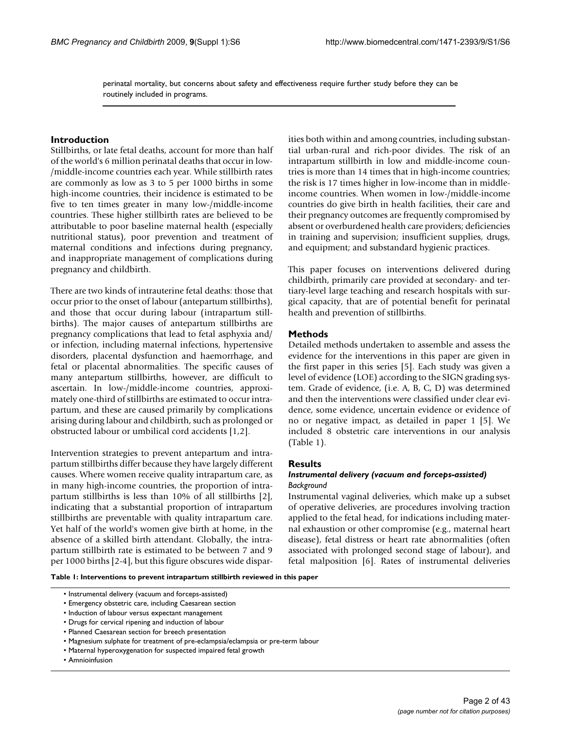perinatal mortality, but concerns about safety and effectiveness require further study before they can be routinely included in programs.

#### **Introduction**

Stillbirths, or late fetal deaths, account for more than half of the world's 6 million perinatal deaths that occur in low- /middle-income countries each year. While stillbirth rates are commonly as low as 3 to 5 per 1000 births in some high-income countries, their incidence is estimated to be five to ten times greater in many low-/middle-income countries. These higher stillbirth rates are believed to be attributable to poor baseline maternal health (especially nutritional status), poor prevention and treatment of maternal conditions and infections during pregnancy, and inappropriate management of complications during pregnancy and childbirth.

There are two kinds of intrauterine fetal deaths: those that occur prior to the onset of labour (antepartum stillbirths), and those that occur during labour (intrapartum stillbirths). The major causes of antepartum stillbirths are pregnancy complications that lead to fetal asphyxia and/ or infection, including maternal infections, hypertensive disorders, placental dysfunction and haemorrhage, and fetal or placental abnormalities. The specific causes of many antepartum stillbirths, however, are difficult to ascertain. In low-/middle-income countries, approximately one-third of stillbirths are estimated to occur intrapartum, and these are caused primarily by complications arising during labour and childbirth, such as prolonged or obstructed labour or umbilical cord accidents [1,2].

Intervention strategies to prevent antepartum and intrapartum stillbirths differ because they have largely different causes. Where women receive quality intrapartum care, as in many high-income countries, the proportion of intrapartum stillbirths is less than 10% of all stillbirths [2], indicating that a substantial proportion of intrapartum stillbirths are preventable with quality intrapartum care. Yet half of the world's women give birth at home, in the absence of a skilled birth attendant. Globally, the intrapartum stillbirth rate is estimated to be between 7 and 9 per 1000 births [2-4], but this figure obscures wide disparities both within and among countries, including substantial urban-rural and rich-poor divides. The risk of an intrapartum stillbirth in low and middle-income countries is more than 14 times that in high-income countries; the risk is 17 times higher in low-income than in middleincome countries. When women in low-/middle-income countries do give birth in health facilities, their care and their pregnancy outcomes are frequently compromised by absent or overburdened health care providers; deficiencies in training and supervision; insufficient supplies, drugs, and equipment; and substandard hygienic practices.

This paper focuses on interventions delivered during childbirth, primarily care provided at secondary- and tertiary-level large teaching and research hospitals with surgical capacity, that are of potential benefit for perinatal health and prevention of stillbirths.

### **Methods**

Detailed methods undertaken to assemble and assess the evidence for the interventions in this paper are given in the first paper in this series [5]. Each study was given a level of evidence (LOE) according to the SIGN grading system. Grade of evidence, (i.e. A, B, C, D) was determined and then the interventions were classified under clear evidence, some evidence, uncertain evidence or evidence of no or negative impact, as detailed in paper 1 [5]. We included 8 obstetric care interventions in our analysis (Table 1).

#### **Results**

#### *Instrumental delivery (vacuum and forceps-assisted) Background*

Instrumental vaginal deliveries, which make up a subset of operative deliveries, are procedures involving traction applied to the fetal head, for indications including maternal exhaustion or other compromise (e.g., maternal heart disease), fetal distress or heart rate abnormalities (often associated with prolonged second stage of labour), and fetal malposition [6]. Rates of instrumental deliveries

**Table 1: Interventions to prevent intrapartum stillbirth reviewed in this paper**

- Instrumental delivery (vacuum and forceps-assisted)
- Emergency obstetric care, including Caesarean section
- Induction of labour versus expectant management
- Drugs for cervical ripening and induction of labour
- Planned Caesarean section for breech presentation
- Magnesium sulphate for treatment of pre-eclampsia/eclampsia or pre-term labour
- Maternal hyperoxygenation for suspected impaired fetal growth
- Amnioinfusion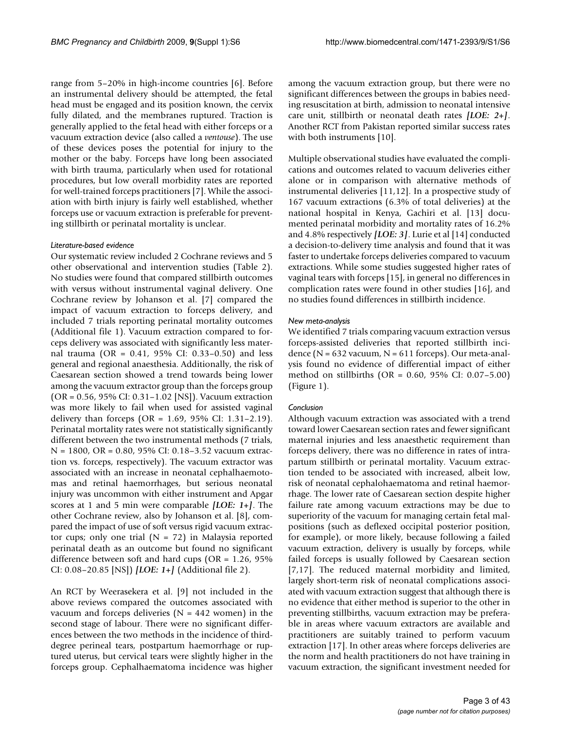range from 5–20% in high-income countries [6]. Before an instrumental delivery should be attempted, the fetal head must be engaged and its position known, the cervix fully dilated, and the membranes ruptured. Traction is generally applied to the fetal head with either forceps or a vacuum extraction device (also called a *ventouse*). The use of these devices poses the potential for injury to the mother or the baby. Forceps have long been associated with birth trauma, particularly when used for rotational procedures, but low overall morbidity rates are reported for well-trained forceps practitioners [7]. While the association with birth injury is fairly well established, whether forceps use or vacuum extraction is preferable for preventing stillbirth or perinatal mortality is unclear.

#### *Literature-based evidence*

Our systematic review included 2 Cochrane reviews and 5 other observational and intervention studies (Table 2). No studies were found that compared stillbirth outcomes with versus without instrumental vaginal delivery. One Cochrane review by Johanson et al. [7] compared the impact of vacuum extraction to forceps delivery, and included 7 trials reporting perinatal mortality outcomes (Additional file 1). Vacuum extraction compared to forceps delivery was associated with significantly less maternal trauma (OR = 0.41, 95% CI: 0.33–0.50) and less general and regional anaesthesia. Additionally, the risk of Caesarean section showed a trend towards being lower among the vacuum extractor group than the forceps group (OR = 0.56, 95% CI: 0.31–1.02 [NS]). Vacuum extraction was more likely to fail when used for assisted vaginal delivery than forceps (OR = 1.69, 95% CI: 1.31–2.19). Perinatal mortality rates were not statistically significantly different between the two instrumental methods (7 trials, N = 1800, OR = 0.80, 95% CI: 0.18–3.52 vacuum extraction vs. forceps, respectively). The vacuum extractor was associated with an increase in neonatal cephalhaemotomas and retinal haemorrhages, but serious neonatal injury was uncommon with either instrument and Apgar scores at 1 and 5 min were comparable *[LOE: 1+]*. The other Cochrane review, also by Johanson et al. [8], compared the impact of use of soft versus rigid vacuum extractor cups; only one trial  $(N = 72)$  in Malaysia reported perinatal death as an outcome but found no significant difference between soft and hard cups (OR = 1.26, 95% CI: 0.08–20.85 [NS]) *[LOE: 1+]* (Additional file 2).

An RCT by Weerasekera et al. [9] not included in the above reviews compared the outcomes associated with vacuum and forceps deliveries ( $N = 442$  women) in the second stage of labour. There were no significant differences between the two methods in the incidence of thirddegree perineal tears, postpartum haemorrhage or ruptured uterus, but cervical tears were slightly higher in the forceps group. Cephalhaematoma incidence was higher

among the vacuum extraction group, but there were no significant differences between the groups in babies needing resuscitation at birth, admission to neonatal intensive care unit, stillbirth or neonatal death rates *[LOE: 2+]*. Another RCT from Pakistan reported similar success rates with both instruments [10].

Multiple observational studies have evaluated the complications and outcomes related to vacuum deliveries either alone or in comparison with alternative methods of instrumental deliveries [11,12]. In a prospective study of 167 vacuum extractions (6.3% of total deliveries) at the national hospital in Kenya, Gachiri et al. [13] documented perinatal morbidity and mortality rates of 16.2% and 4.8% respectively *[LOE: 3]*. Lurie et al [14] conducted a decision-to-delivery time analysis and found that it was faster to undertake forceps deliveries compared to vacuum extractions. While some studies suggested higher rates of vaginal tears with forceps [15], in general no differences in complication rates were found in other studies [16], and no studies found differences in stillbirth incidence.

#### *New meta-analysis*

We identified 7 trials comparing vacuum extraction versus forceps-assisted deliveries that reported stillbirth incidence ( $N = 632$  vacuum,  $N = 611$  forceps). Our meta-analysis found no evidence of differential impact of either method on stillbirths (OR = 0.60, 95% CI: 0.07–5.00) (Figure 1).

#### *Conclusion*

Although vacuum extraction was associated with a trend toward lower Caesarean section rates and fewer significant maternal injuries and less anaesthetic requirement than forceps delivery, there was no difference in rates of intrapartum stillbirth or perinatal mortality. Vacuum extraction tended to be associated with increased, albeit low, risk of neonatal cephalohaematoma and retinal haemorrhage. The lower rate of Caesarean section despite higher failure rate among vacuum extractions may be due to superiority of the vacuum for managing certain fetal malpositions (such as deflexed occipital posterior position, for example), or more likely, because following a failed vacuum extraction, delivery is usually by forceps, while failed forceps is usually followed by Caesarean section [7,17]. The reduced maternal morbidity and limited, largely short-term risk of neonatal complications associated with vacuum extraction suggest that although there is no evidence that either method is superior to the other in preventing stillbirths, vacuum extraction may be preferable in areas where vacuum extractors are available and practitioners are suitably trained to perform vacuum extraction [17]. In other areas where forceps deliveries are the norm and health practitioners do not have training in vacuum extraction, the significant investment needed for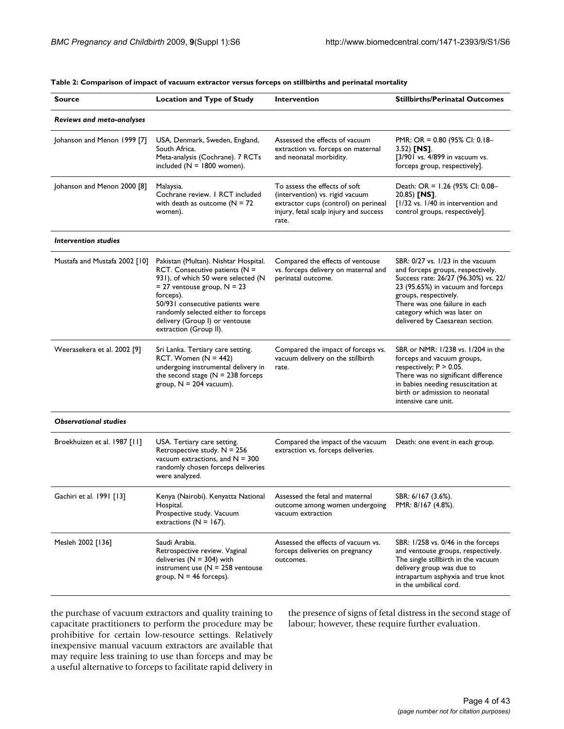| Source                           | <b>Location and Type of Study</b>                                                                                                                                                                                                                                                                      | <b>Intervention</b>                                                                                                                                         | <b>Stillbirths/Perinatal Outcomes</b>                                                                                                                                                                                                                                          |
|----------------------------------|--------------------------------------------------------------------------------------------------------------------------------------------------------------------------------------------------------------------------------------------------------------------------------------------------------|-------------------------------------------------------------------------------------------------------------------------------------------------------------|--------------------------------------------------------------------------------------------------------------------------------------------------------------------------------------------------------------------------------------------------------------------------------|
| <b>Reviews and meta-analyses</b> |                                                                                                                                                                                                                                                                                                        |                                                                                                                                                             |                                                                                                                                                                                                                                                                                |
| Johanson and Menon 1999 [7]      | USA, Denmark, Sweden, England,<br>South Africa.<br>Meta-analysis (Cochrane). 7 RCTs<br>included ( $N = 1800$ women).                                                                                                                                                                                   | Assessed the effects of vacuum<br>extraction vs. forceps on maternal<br>and neonatal morbidity.                                                             | PMR: OR = 0.80 (95% CI: 0.18-<br>3.52) [NS].<br>[3/901 vs. 4/899 in vacuum vs.<br>forceps group, respectively].                                                                                                                                                                |
| Johanson and Menon 2000 [8]      | Malaysia.<br>Cochrane review. I RCT included<br>with death as outcome ( $N = 72$<br>women).                                                                                                                                                                                                            | To assess the effects of soft<br>(intervention) vs. rigid vacuum<br>extractor cups (control) on perineal<br>injury, fetal scalp injury and success<br>rate. | Death: OR = 1.26 (95% CI: 0.08-<br>20.85) [NS].<br>[1/32 vs. 1/40 in intervention and<br>control groups, respectively].                                                                                                                                                        |
| <b>Intervention studies</b>      |                                                                                                                                                                                                                                                                                                        |                                                                                                                                                             |                                                                                                                                                                                                                                                                                |
| Mustafa and Mustafa 2002 [10]    | Pakistan (Multan). Nishtar Hospital.<br>RCT. Consecutive patients ( $N =$<br>931), of which 50 were selected (N<br>$= 27$ ventouse group, $N = 23$<br>forceps).<br>50/931 consecutive patients were<br>randomly selected either to forceps<br>delivery (Group I) or ventouse<br>extraction (Group II). | Compared the effects of ventouse<br>vs. forceps delivery on maternal and<br>perinatal outcome.                                                              | SBR: 0/27 vs. 1/23 in the vacuum<br>and forceps groups, respectively.<br>Success rate: 26/27 (96.30%) vs. 22/<br>23 (95.65%) in vacuum and forceps<br>groups, respectively.<br>There was one failure in each<br>category which was later on<br>delivered by Caesarean section. |
| Weerasekera et al. 2002 [9]      | Sri Lanka. Tertiary care setting.<br>RCT. Women $(N = 442)$<br>undergoing instrumental delivery in<br>the second stage ( $N = 238$ forceps<br>group, $N = 204$ vacuum).                                                                                                                                | Compared the impact of forceps vs.<br>vacuum delivery on the stillbirth<br>rate.                                                                            | SBR or NMR: 1/238 vs. 1/204 in the<br>forceps and vacuum groups,<br>respectively; $P > 0.05$ .<br>There was no significant difference<br>in babies needing resuscitation at<br>birth or admission to neonatal<br>intensive care unit.                                          |
| <b>Observational studies</b>     |                                                                                                                                                                                                                                                                                                        |                                                                                                                                                             |                                                                                                                                                                                                                                                                                |
| Broekhuizen et al. 1987 [11]     | USA. Tertiary care setting.<br>Retrospective study. $N = 256$<br>vacuum extractions, and $N = 300$<br>randomly chosen forceps deliveries<br>were analyzed.                                                                                                                                             | Compared the impact of the vacuum<br>extraction vs. forceps deliveries.                                                                                     | Death: one event in each group.                                                                                                                                                                                                                                                |
| Gachiri et al. 1991 [13]         | Kenya (Nairobi). Kenyatta National<br>Hospital.<br>Prospective study. Vacuum<br>extractions ( $N = 167$ ).                                                                                                                                                                                             | Assessed the fetal and maternal<br>outcome among women undergoing<br>vacuum extraction                                                                      | SBR: 6/167 (3.6%).<br>PMR: 8/167 (4.8%).                                                                                                                                                                                                                                       |
| Mesleh 2002 [136]                | Saudi Arabia.<br>Retrospective review. Vaginal<br>deliveries ( $N = 304$ ) with<br>instrument use ( $N = 258$ ventouse<br>group, $N = 46$ forceps).                                                                                                                                                    | Assessed the effects of vacuum vs.<br>forceps deliveries on pregnancy<br>outcomes.                                                                          | SBR: 1/258 vs. 0/46 in the forceps<br>and ventouse groups, respectively.<br>The single stillbirth in the vacuum<br>delivery group was due to<br>intrapartum asphyxia and true knot<br>in the umbilical cord.                                                                   |

**Table 2: Comparison of impact of vacuum extractor versus forceps on stillbirths and perinatal mortality**

the purchase of vacuum extractors and quality training to capacitate practitioners to perform the procedure may be prohibitive for certain low-resource settings. Relatively inexpensive manual vacuum extractors are available that may require less training to use than forceps and may be a useful alternative to forceps to facilitate rapid delivery in the presence of signs of fetal distress in the second stage of labour; however, these require further evaluation.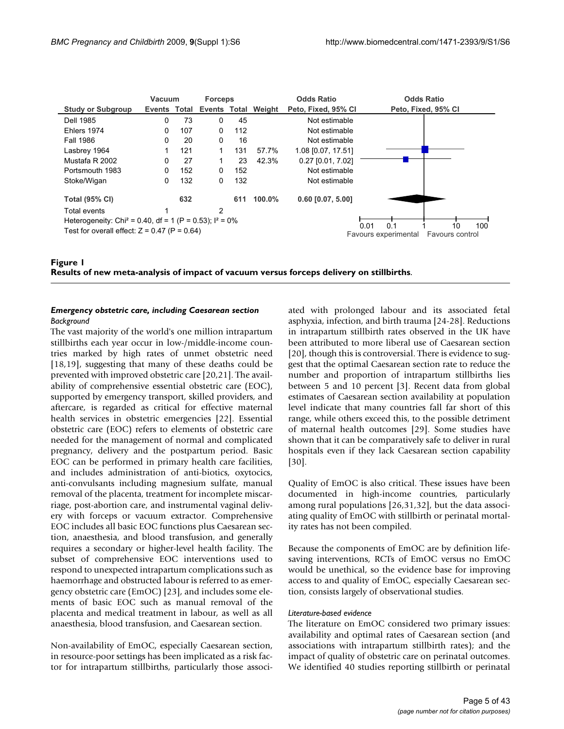|                                                                        | Vacuum       |     | <b>Forceps</b> |     |                     | <b>Odds Ratio</b>   |                                     | <b>Odds Ratio</b>                   |
|------------------------------------------------------------------------|--------------|-----|----------------|-----|---------------------|---------------------|-------------------------------------|-------------------------------------|
| <b>Study or Subgroup</b>                                               | Events Total |     |                |     | Events Total Weight | Peto, Fixed, 95% CI |                                     | Peto, Fixed, 95% CI                 |
| <b>Dell 1985</b>                                                       | 0            | 73  | 0              | 45  |                     | Not estimable       |                                     |                                     |
| Ehlers 1974                                                            | 0            | 107 | $\Omega$       | 112 |                     | Not estimable       |                                     |                                     |
| <b>Fall 1986</b>                                                       | 0            | 20  | $\Omega$       | 16  |                     | Not estimable       |                                     |                                     |
| Lasbrey 1964                                                           |              | 121 |                | 131 | 57.7%               | 1.08 [0.07, 17.51]  |                                     |                                     |
| Mustafa R 2002                                                         | 0            | 27  |                | 23  | 42.3%               | $0.27$ [0.01, 7.02] |                                     |                                     |
| Portsmouth 1983                                                        | 0            | 152 | $\Omega$       | 152 |                     | Not estimable       |                                     |                                     |
| Stoke/Wigan                                                            | 0            | 132 | 0              | 132 |                     | Not estimable       |                                     |                                     |
| <b>Total (95% CI)</b>                                                  |              | 632 |                | 611 | 100.0%              | $0.60$ [0.07, 5.00] |                                     |                                     |
| Total events                                                           |              |     | 2              |     |                     |                     |                                     |                                     |
| Heterogeneity: Chi <sup>2</sup> = 0.40, df = 1 (P = 0.53); $I^2 = 0\%$ |              |     |                |     |                     |                     |                                     |                                     |
| Test for overall effect: $Z = 0.47$ (P = 0.64)                         |              |     |                |     |                     |                     | 0.1<br>0.01<br>Favours experimental | 10<br>100<br><b>Favours control</b> |

| Figure I |                                                                                          |  |  |
|----------|------------------------------------------------------------------------------------------|--|--|
|          | Results of new meta-analysis of impact of vacuum versus forceps delivery on stillbirths. |  |  |

## *Emergency obstetric care, including Caesarean section Background*

The vast majority of the world's one million intrapartum stillbirths each year occur in low-/middle-income countries marked by high rates of unmet obstetric need [18,19], suggesting that many of these deaths could be prevented with improved obstetric care [20,21]. The availability of comprehensive essential obstetric care (EOC), supported by emergency transport, skilled providers, and aftercare, is regarded as critical for effective maternal health services in obstetric emergencies [22]. Essential obstetric care (EOC) refers to elements of obstetric care needed for the management of normal and complicated pregnancy, delivery and the postpartum period. Basic EOC can be performed in primary health care facilities, and includes administration of anti-biotics, oxytocics, anti-convulsants including magnesium sulfate, manual removal of the placenta, treatment for incomplete miscarriage, post-abortion care, and instrumental vaginal delivery with forceps or vacuum extractor. Comprehensive EOC includes all basic EOC functions plus Caesarean section, anaesthesia, and blood transfusion, and generally requires a secondary or higher-level health facility. The subset of comprehensive EOC interventions used to respond to unexpected intrapartum complications such as haemorrhage and obstructed labour is referred to as emergency obstetric care (EmOC) [23], and includes some elements of basic EOC such as manual removal of the placenta and medical treatment in labour, as well as all anaesthesia, blood transfusion, and Caesarean section.

Non-availability of EmOC, especially Caesarean section, in resource-poor settings has been implicated as a risk factor for intrapartum stillbirths, particularly those associated with prolonged labour and its associated fetal asphyxia, infection, and birth trauma [24-28]. Reductions in intrapartum stillbirth rates observed in the UK have been attributed to more liberal use of Caesarean section [20], though this is controversial. There is evidence to suggest that the optimal Caesarean section rate to reduce the number and proportion of intrapartum stillbirths lies between 5 and 10 percent [3]. Recent data from global estimates of Caesarean section availability at population level indicate that many countries fall far short of this range, while others exceed this, to the possible detriment of maternal health outcomes [29]. Some studies have shown that it can be comparatively safe to deliver in rural hospitals even if they lack Caesarean section capability [30].

Quality of EmOC is also critical. These issues have been documented in high-income countries, particularly among rural populations [26,31,32], but the data associating quality of EmOC with stillbirth or perinatal mortality rates has not been compiled.

Because the components of EmOC are by definition lifesaving interventions, RCTs of EmOC versus no EmOC would be unethical, so the evidence base for improving access to and quality of EmOC, especially Caesarean section, consists largely of observational studies.

### *Literature-based evidence*

The literature on EmOC considered two primary issues: availability and optimal rates of Caesarean section (and associations with intrapartum stillbirth rates); and the impact of quality of obstetric care on perinatal outcomes. We identified 40 studies reporting stillbirth or perinatal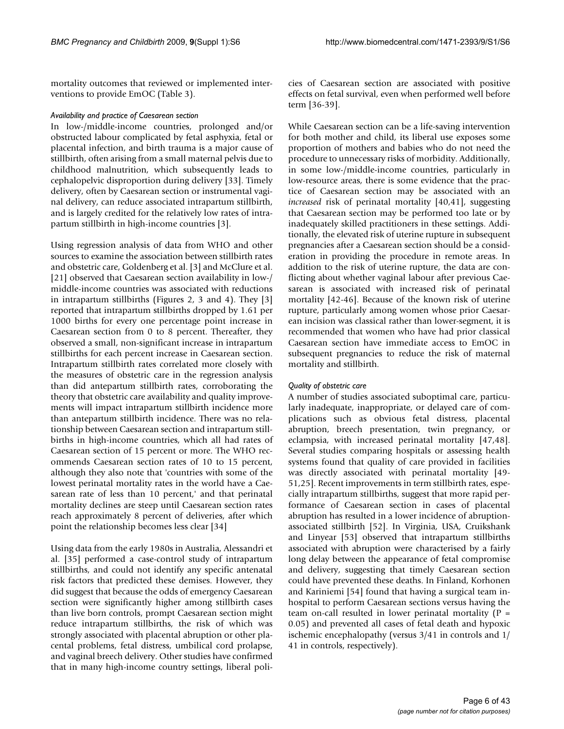mortality outcomes that reviewed or implemented interventions to provide EmOC (Table 3).

## *Availability and practice of Caesarean section*

In low-/middle-income countries, prolonged and/or obstructed labour complicated by fetal asphyxia, fetal or placental infection, and birth trauma is a major cause of stillbirth, often arising from a small maternal pelvis due to childhood malnutrition, which subsequently leads to cephalopelvic disproportion during delivery [33]. Timely delivery, often by Caesarean section or instrumental vaginal delivery, can reduce associated intrapartum stillbirth, and is largely credited for the relatively low rates of intrapartum stillbirth in high-income countries [3].

Using regression analysis of data from WHO and other sources to examine the association between stillbirth rates and obstetric care, Goldenberg et al. [3] and McClure et al. [21] observed that Caesarean section availability in low-/ middle-income countries was associated with reductions in intrapartum stillbirths (Figures 2, 3 and 4). They [3] reported that intrapartum stillbirths dropped by 1.61 per 1000 births for every one percentage point increase in Caesarean section from 0 to 8 percent. Thereafter, they observed a small, non-significant increase in intrapartum stillbirths for each percent increase in Caesarean section. Intrapartum stillbirth rates correlated more closely with the measures of obstetric care in the regression analysis than did antepartum stillbirth rates, corroborating the theory that obstetric care availability and quality improvements will impact intrapartum stillbirth incidence more than antepartum stillbirth incidence. There was no relationship between Caesarean section and intrapartum stillbirths in high-income countries, which all had rates of Caesarean section of 15 percent or more. The WHO recommends Caesarean section rates of 10 to 15 percent, although they also note that 'countries with some of the lowest perinatal mortality rates in the world have a Caesarean rate of less than 10 percent,' and that perinatal mortality declines are steep until Caesarean section rates reach approximately 8 percent of deliveries, after which point the relationship becomes less clear [34]

Using data from the early 1980s in Australia, Alessandri et al. [35] performed a case-control study of intrapartum stillbirths, and could not identify any specific antenatal risk factors that predicted these demises. However, they did suggest that because the odds of emergency Caesarean section were significantly higher among stillbirth cases than live born controls, prompt Caesarean section might reduce intrapartum stillbirths, the risk of which was strongly associated with placental abruption or other placental problems, fetal distress, umbilical cord prolapse, and vaginal breech delivery. Other studies have confirmed that in many high-income country settings, liberal policies of Caesarean section are associated with positive effects on fetal survival, even when performed well before term [36-39].

While Caesarean section can be a life-saving intervention for both mother and child, its liberal use exposes some proportion of mothers and babies who do not need the procedure to unnecessary risks of morbidity. Additionally, in some low-/middle-income countries, particularly in low-resource areas, there is some evidence that the practice of Caesarean section may be associated with an *increased* risk of perinatal mortality [40,41], suggesting that Caesarean section may be performed too late or by inadequately skilled practitioners in these settings. Additionally, the elevated risk of uterine rupture in subsequent pregnancies after a Caesarean section should be a consideration in providing the procedure in remote areas. In addition to the risk of uterine rupture, the data are conflicting about whether vaginal labour after previous Caesarean is associated with increased risk of perinatal mortality [42-46]. Because of the known risk of uterine rupture, particularly among women whose prior Caesarean incision was classical rather than lower-segment, it is recommended that women who have had prior classical Caesarean section have immediate access to EmOC in subsequent pregnancies to reduce the risk of maternal mortality and stillbirth.

### *Quality of obstetric care*

A number of studies associated suboptimal care, particularly inadequate, inappropriate, or delayed care of complications such as obvious fetal distress, placental abruption, breech presentation, twin pregnancy, or eclampsia, with increased perinatal mortality [47,48]. Several studies comparing hospitals or assessing health systems found that quality of care provided in facilities was directly associated with perinatal mortality [49- 51,25]. Recent improvements in term stillbirth rates, especially intrapartum stillbirths, suggest that more rapid performance of Caesarean section in cases of placental abruption has resulted in a lower incidence of abruptionassociated stillbirth [52]. In Virginia, USA, Cruikshank and Linyear [53] observed that intrapartum stillbirths associated with abruption were characterised by a fairly long delay between the appearance of fetal compromise and delivery, suggesting that timely Caesarean section could have prevented these deaths. In Finland, Korhonen and Kariniemi [54] found that having a surgical team inhospital to perform Caesarean sections versus having the team on-call resulted in lower perinatal mortality  $(P =$ 0.05) and prevented all cases of fetal death and hypoxic ischemic encephalopathy (versus 3/41 in controls and 1/ 41 in controls, respectively).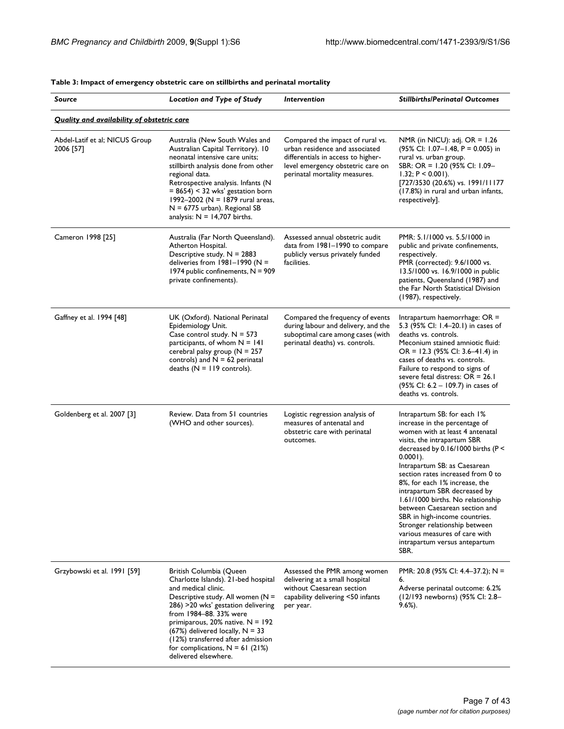| Source                                      | <b>Location and Type of Study</b>                                                                                                                                                                                                                                                                                                                                                | Intervention                                                                                                                                                                   | <b>Stillbirths/Perinatal Outcomes</b>                                                                                                                                                                                                                                                                                                                                                                                                                                                                                                       |  |  |  |
|---------------------------------------------|----------------------------------------------------------------------------------------------------------------------------------------------------------------------------------------------------------------------------------------------------------------------------------------------------------------------------------------------------------------------------------|--------------------------------------------------------------------------------------------------------------------------------------------------------------------------------|---------------------------------------------------------------------------------------------------------------------------------------------------------------------------------------------------------------------------------------------------------------------------------------------------------------------------------------------------------------------------------------------------------------------------------------------------------------------------------------------------------------------------------------------|--|--|--|
| Quality and availability of obstetric care  |                                                                                                                                                                                                                                                                                                                                                                                  |                                                                                                                                                                                |                                                                                                                                                                                                                                                                                                                                                                                                                                                                                                                                             |  |  |  |
| Abdel-Latif et al; NICUS Group<br>2006 [57] | Australia (New South Wales and<br>Australian Capital Territory). 10<br>neonatal intensive care units;<br>stillbirth analysis done from other<br>regional data.<br>Retrospective analysis. Infants (N<br>$= 8654$ ) < 32 wks' gestation born<br>1992-2002 (N = 1879 rural areas,<br>$N = 6775$ urban). Regional SB<br>analysis: $N = 14,707$ births.                              | Compared the impact of rural vs.<br>urban residence and associated<br>differentials in access to higher-<br>level emergency obstetric care on<br>perinatal mortality measures. | NMR (in NICU): adj. OR = 1.26<br>(95% Cl: 1.07-1.48, P = 0.005) in<br>rural vs. urban group.<br>SBR: OR = 1.20 (95% CI: 1.09-<br>$1.32; P < 0.001$ ).<br>[727/3530 (20.6%) vs. 1991/11177<br>(17.8%) in rural and urban infants,<br>respectively].                                                                                                                                                                                                                                                                                          |  |  |  |
| Cameron 1998 [25]                           | Australia (Far North Queensland).<br>Atherton Hospital.<br>Descriptive study. $N = 2883$<br>deliveries from $1981-1990$ (N =<br>1974 public confinements, $N = 909$<br>private confinements).                                                                                                                                                                                    | Assessed annual obstetric audit<br>data from 1981-1990 to compare<br>publicly versus privately funded<br>facilities.                                                           | PMR: 5.1/1000 vs. 5.5/1000 in<br>public and private confinements,<br>respectively.<br>PMR (corrected): 9.6/1000 vs.<br>13.5/1000 vs. 16.9/1000 in public<br>patients, Queensland (1987) and<br>the Far North Statistical Division<br>(1987), respectively.                                                                                                                                                                                                                                                                                  |  |  |  |
| Gaffney et al. 1994 [48]                    | UK (Oxford). National Perinatal<br>Epidemiology Unit.<br>Case control study. $N = 573$<br>participants, of whom $N = 141$<br>cerebral palsy group ( $N = 257$<br>controls) and $N = 62$ perinatal<br>deaths $(N = 119$ controls).                                                                                                                                                | Compared the frequency of events<br>during labour and delivery, and the<br>suboptimal care among cases (with<br>perinatal deaths) vs. controls.                                | Intrapartum haemorrhage: OR =<br>5.3 (95% Cl: 1.4-20.1) in cases of<br>deaths vs. controls.<br>Meconium stained amniotic fluid:<br>OR = 12.3 (95% CI: 3.6-41.4) in<br>cases of deaths vs. controls.<br>Failure to respond to signs of<br>severe fetal distress: OR = 26.1<br>(95% Cl: 6.2 - 109.7) in cases of<br>deaths vs. controls.                                                                                                                                                                                                      |  |  |  |
| Goldenberg et al. 2007 [3]                  | Review. Data from 51 countries<br>(WHO and other sources).                                                                                                                                                                                                                                                                                                                       | Logistic regression analysis of<br>measures of antenatal and<br>obstetric care with perinatal<br>outcomes.                                                                     | Intrapartum SB: for each 1%<br>increase in the percentage of<br>women with at least 4 antenatal<br>visits, the intrapartum SBR<br>decreased by 0.16/1000 births (P <<br>$0.0001$ ).<br>Intrapartum SB: as Caesarean<br>section rates increased from 0 to<br>8%, for each 1% increase, the<br>intrapartum SBR decreased by<br>1.61/1000 births. No relationship<br>between Caesarean section and<br>SBR in high-income countries.<br>Stronger relationship between<br>various measures of care with<br>intrapartum versus antepartum<br>SBR. |  |  |  |
| Grzybowski et al. 1991 [59]                 | British Columbia (Queen<br>Charlotte Islands). 21-bed hospital<br>and medical clinic.<br>Descriptive study. All women ( $N =$<br>286) > 20 wks' gestation delivering<br>from 1984–88. 33% were<br>primiparous, $20\%$ native. $N = 192$<br>$(67%)$ delivered locally, $N = 33$<br>(12%) transferred after admission<br>for complications, $N = 61$ (21%)<br>delivered elsewhere. | Assessed the PMR among women<br>delivering at a small hospital<br>without Caesarean section<br>capability delivering <50 infants<br>per year.                                  | PMR: 20.8 (95% CI: 4.4–37.2); N =<br>6.<br>Adverse perinatal outcome: 6.2%<br>(12/193 newborns) (95% CI: 2.8-<br>9.6%).                                                                                                                                                                                                                                                                                                                                                                                                                     |  |  |  |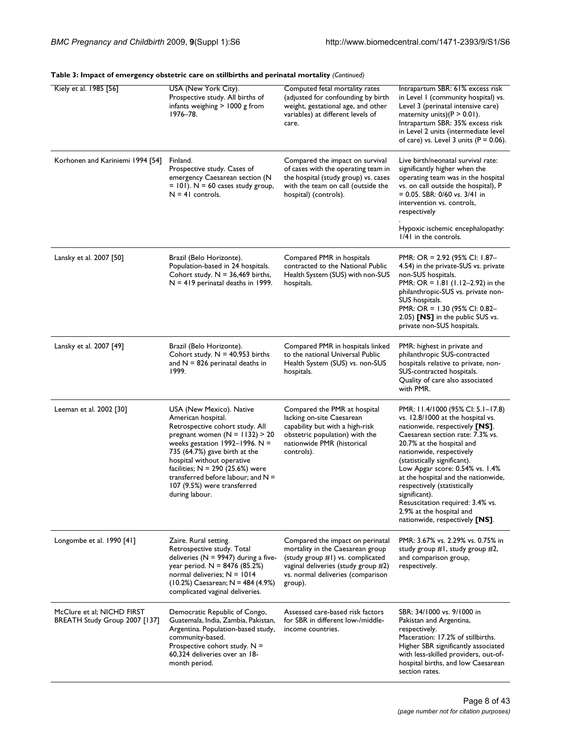| Kiely et al. 1985 [56]                                      | USA (New York City).<br>Prospective study. All births of<br>infants weighing $> 1000$ g from<br>1976-78.                                                                                                                                                                                                                                                 | Computed fetal mortality rates<br>(adjusted for confounding by birth<br>weight, gestational age, and other<br>variables) at different levels of<br>care.                                        | Intrapartum SBR: 61% excess risk<br>in Level I (community hospital) vs.<br>Level 3 (perinatal intensive care)<br>maternity units) $(P > 0.01)$ .<br>Intrapartum SBR: 35% excess risk<br>in Level 2 units (intermediate level<br>of care) vs. Level 3 units $(P = 0.06)$ .                                                                                                                                                                                         |
|-------------------------------------------------------------|----------------------------------------------------------------------------------------------------------------------------------------------------------------------------------------------------------------------------------------------------------------------------------------------------------------------------------------------------------|-------------------------------------------------------------------------------------------------------------------------------------------------------------------------------------------------|-------------------------------------------------------------------------------------------------------------------------------------------------------------------------------------------------------------------------------------------------------------------------------------------------------------------------------------------------------------------------------------------------------------------------------------------------------------------|
| Korhonen and Kariniemi 1994 [54]                            | Finland.<br>Prospective study. Cases of<br>emergency Caesarean section (N<br>$= 101$ ). N = 60 cases study group,<br>$N = 41$ controls.                                                                                                                                                                                                                  | Compared the impact on survival<br>of cases with the operating team in<br>the hospital (study group) vs. cases<br>with the team on call (outside the<br>hospital) (controls).                   | Live birth/neonatal survival rate:<br>significantly higher when the<br>operating team was in the hospital<br>vs. on call outside the hospital), P<br>$= 0.05$ . SBR: 0/60 vs. 3/41 in<br>intervention vs. controls,<br>respectively                                                                                                                                                                                                                               |
|                                                             |                                                                                                                                                                                                                                                                                                                                                          |                                                                                                                                                                                                 | Hypoxic ischemic encephalopathy:<br>1/41 in the controls.                                                                                                                                                                                                                                                                                                                                                                                                         |
| Lansky et al. 2007 [50]                                     | Brazil (Belo Horizonte).<br>Population-based in 24 hospitals.<br>Cohort study. $N = 36,469$ births,<br>$N = 419$ perinatal deaths in 1999.                                                                                                                                                                                                               | Compared PMR in hospitals<br>contracted to the National Public<br>Health System (SUS) with non-SUS<br>hospitals.                                                                                | PMR: OR = $2.92$ (95% CI: 1.87-<br>4.54) in the private-SUS vs. private<br>non-SUS hospitals.<br>PMR: OR = $1.81$ (1.12-2.92) in the<br>philanthropic-SUS vs. private non-<br>SUS hospitals.<br>PMR: OR = 1.30 (95% CI: 0.82-<br>2.05) <b>[NS]</b> in the public SUS vs.<br>private non-SUS hospitals.                                                                                                                                                            |
| Lansky et al. 2007 [49]                                     | Brazil (Belo Horizonte).<br>Cohort study. $N = 40,953$ births<br>and $N = 826$ perinatal deaths in<br>1999.                                                                                                                                                                                                                                              | Compared PMR in hospitals linked<br>to the national Universal Public<br>Health System (SUS) vs. non-SUS<br>hospitals.                                                                           | PMR: highest in private and<br>philanthropic SUS-contracted<br>hospitals relative to private, non-<br>SUS-contracted hospitals.<br>Quality of care also associated<br>with PMR.                                                                                                                                                                                                                                                                                   |
| Leeman et al. 2002 [30]                                     | USA (New Mexico). Native<br>American hospital.<br>Retrospective cohort study. All<br>pregnant women $(N = 1132) > 20$<br>weeks gestation $1992-1996$ . N =<br>735 (64.7%) gave birth at the<br>hospital without operative<br>facilities; $N = 290$ (25.6%) were<br>transferred before labour; and $N =$<br>107 (9.5%) were transferred<br>during labour. | Compared the PMR at hospital<br>lacking on-site Caesarean<br>capability but with a high-risk<br>obstetric population) with the<br>nationwide PMR (historical<br>controls).                      | PMR: 11.4/1000 (95% CI: 5.1-17.8)<br>vs. 12.8/1000 at the hospital vs.<br>nationwide, respectively [NS].<br>Caesarean section rate: 7.3% vs.<br>20.7% at the hospital and<br>nationwide, respectively<br>(statistically significant).<br>Low Apgar score: 0.54% vs. 1.4%<br>at the hospital and the nationwide,<br>respectively (statistically<br>significant).<br>Resuscitation required: 3.4% vs.<br>2.9% at the hospital and<br>nationwide, respectively [NS]. |
| Longombe et al. $1990$ [41]                                 | Zaire. Rural setting.<br>Retrospective study. Total<br>deliveries ( $N = 9947$ ) during a five-<br>year period. N = 8476 (85.2%)<br>normal deliveries; $N = 1014$<br>$(10.2%)$ Caesarean; N = 484 (4.9%)<br>complicated vaginal deliveries.                                                                                                              | Compared the impact on perinatal<br>mortality in the Caesarean group<br>(study group #1) vs. complicated<br>vaginal deliveries (study group #2)<br>vs. normal deliveries (comparison<br>group). | PMR: 3.67% vs. 2.29% vs. 0.75% in<br>study group #1, study group #2,<br>and comparison group,<br>respectively.                                                                                                                                                                                                                                                                                                                                                    |
| McClure et al; NICHD FIRST<br>BREATH Study Group 2007 [137] | Democratic Republic of Congo,<br>Guatemala, India, Zambia, Pakistan,<br>Argentina. Population-based study,<br>community-based.<br>Prospective cohort study. $N =$<br>60,324 deliveries over an 18-<br>month period.                                                                                                                                      | Assessed care-based risk factors<br>for SBR in different low-/middle-<br>income countries.                                                                                                      | SBR: 34/1000 vs. 9/1000 in<br>Pakistan and Argentina,<br>respectively.<br>Maceration: 17.2% of stillbirths.<br>Higher SBR significantly associated<br>with less-skilled providers, out-of-<br>hospital births, and low Caesarean<br>section rates.                                                                                                                                                                                                                |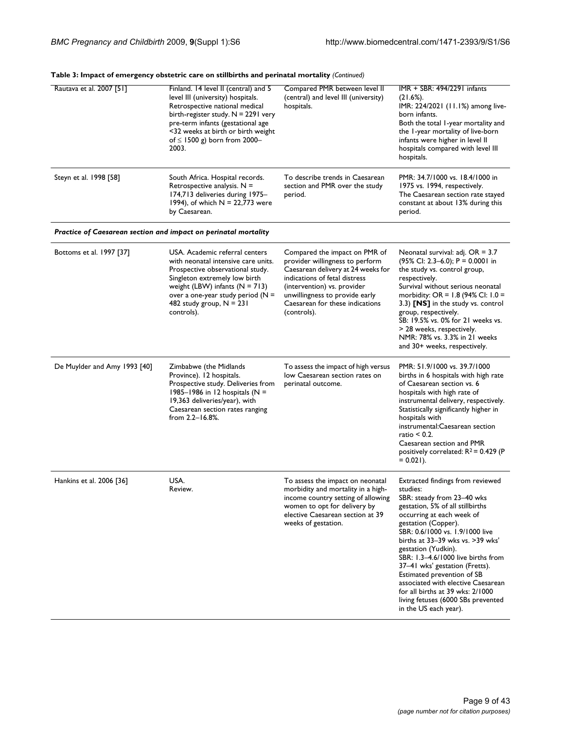| Rautava et al. 2007 [51]                                        | Finland. 14 level II (central) and 5<br>level III (university) hospitals.<br>Retrospective national medical<br>birth-register study. $N = 2291$ very<br>pre-term infants (gestational age<br><32 weeks at birth or birth weight<br>of $\leq$ 1500 g) born from 2000-<br>2003. | Compared PMR between level II<br>(central) and level III (university)<br>hospitals.                                                                                                                                                                        | IMR + SBR: 494/2291 infants<br>$(21.6%)$ .<br>IMR: 224/2021 (11.1%) among live-<br>born infants.<br>Both the total 1-year mortality and<br>the I-year mortality of live-born<br>infants were higher in level II<br>hospitals compared with level III<br>hospitals.                                                                                                                                                                                                                                              |
|-----------------------------------------------------------------|-------------------------------------------------------------------------------------------------------------------------------------------------------------------------------------------------------------------------------------------------------------------------------|------------------------------------------------------------------------------------------------------------------------------------------------------------------------------------------------------------------------------------------------------------|-----------------------------------------------------------------------------------------------------------------------------------------------------------------------------------------------------------------------------------------------------------------------------------------------------------------------------------------------------------------------------------------------------------------------------------------------------------------------------------------------------------------|
| Steyn et al. 1998 [58]                                          | South Africa. Hospital records.<br>Retrospective analysis. $N =$<br>174,713 deliveries during 1975-<br>1994), of which N = 22,773 were<br>by Caesarean.                                                                                                                       | To describe trends in Caesarean<br>section and PMR over the study<br>period.                                                                                                                                                                               | PMR: 34.7/1000 vs. 18.4/1000 in<br>1975 vs. 1994, respectively.<br>The Caesarean section rate stayed<br>constant at about 13% during this<br>period.                                                                                                                                                                                                                                                                                                                                                            |
| Practice of Caesarean section and impact on perinatal mortality |                                                                                                                                                                                                                                                                               |                                                                                                                                                                                                                                                            |                                                                                                                                                                                                                                                                                                                                                                                                                                                                                                                 |
| Bottoms et al. 1997 [37]                                        | USA. Academic referral centers<br>with neonatal intensive care units.<br>Prospective observational study.<br>Singleton extremely low birth<br>weight (LBW) infants $(N = 713)$<br>over a one-year study period ( $N =$<br>482 study group, $N = 231$<br>controls).            | Compared the impact on PMR of<br>provider willingness to perform<br>Caesarean delivery at 24 weeks for<br>indications of fetal distress<br>(intervention) vs. provider<br>unwillingness to provide early<br>Caesarean for these indications<br>(controls). | Neonatal survival: $adj. OR = 3.7$<br>$(95\%$ Cl: 2.3-6.0); P = 0.0001 in<br>the study vs. control group,<br>respectively.<br>Survival without serious neonatal<br>morbidity: OR = 1.8 (94% CI: 1.0 =<br>3.3) [NS] in the study vs. control<br>group, respectively.<br>SB: 19.5% vs. 0% for 21 weeks vs.<br>> 28 weeks, respectively.<br>NMR: 78% vs. 3.3% in 21 weeks<br>and 30+ weeks, respectively.                                                                                                          |
| De Muylder and Amy 1993 [40]                                    | Zimbabwe (the Midlands<br>Province). 12 hospitals.<br>Prospective study. Deliveries from<br>1985-1986 in 12 hospitals ( $N =$<br>19,363 deliveries/year), with<br>Caesarean section rates ranging<br>from 2.2-16.8%.                                                          | To assess the impact of high versus<br>low Caesarean section rates on<br>perinatal outcome.                                                                                                                                                                | PMR: 51.9/1000 vs. 39.7/1000<br>births in 6 hospitals with high rate<br>of Caesarean section vs. 6<br>hospitals with high rate of<br>instrumental delivery, respectively.<br>Statistically significantly higher in<br>hospitals with<br>instrumental:Caesarean section<br>ratio $< 0.2$ .<br>Caesarean section and PMR<br>positively correlated: $R^2$ = 0.429 (P<br>$= 0.021$ .                                                                                                                                |
| Hankins et al. 2006 [36]                                        | USA.<br>Review.                                                                                                                                                                                                                                                               | To assess the impact on neonatal<br>morbidity and mortality in a high-<br>income country setting of allowing<br>women to opt for delivery by<br>elective Caesarean section at 39<br>weeks of gestation.                                                    | Extracted findings from reviewed<br>studies:<br>SBR: steady from 23-40 wks<br>gestation, 5% of all stillbirths<br>occurring at each week of<br>gestation (Copper).<br>SBR: 0.6/1000 vs. 1.9/1000 live<br>births at 33-39 wks vs. >39 wks'<br>gestation (Yudkin).<br>SBR: 1.3-4.6/1000 live births from<br>37–41 wks' gestation (Fretts).<br>Estimated prevention of SB<br>associated with elective Caesarean<br>for all births at 39 wks: 2/1000<br>living fetuses (6000 SBs prevented<br>in the US each year). |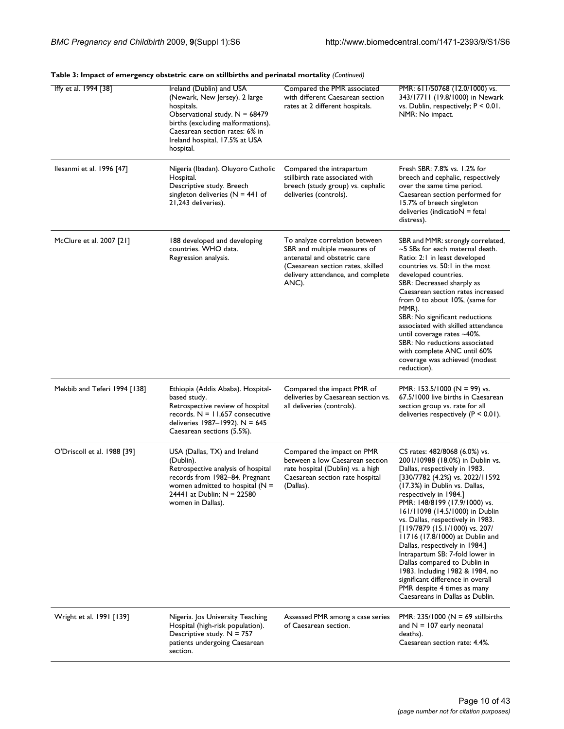| Iffy et al. 1994 [38]        | Ireland (Dublin) and USA<br>(Newark, New Jersey). 2 large<br>hospitals.<br>Observational study. $N = 68479$<br>births (excluding malformations).<br>Caesarean section rates: 6% in<br>Ireland hospital, 17.5% at USA<br>hospital. | Compared the PMR associated<br>with different Caesarean section<br>rates at 2 different hospitals.                                                                                | PMR: 611/50768 (12.0/1000) vs.<br>343/17711 (19.8/1000) in Newark<br>vs. Dublin, respectively; $P < 0.01$ .<br>NMR: No impact.                                                                                                                                                                                                                                                                                                                                                                                                                                                                                               |
|------------------------------|-----------------------------------------------------------------------------------------------------------------------------------------------------------------------------------------------------------------------------------|-----------------------------------------------------------------------------------------------------------------------------------------------------------------------------------|------------------------------------------------------------------------------------------------------------------------------------------------------------------------------------------------------------------------------------------------------------------------------------------------------------------------------------------------------------------------------------------------------------------------------------------------------------------------------------------------------------------------------------------------------------------------------------------------------------------------------|
| Ilesanmi et al. 1996 [47]    | Nigeria (Ibadan). Oluyoro Catholic<br>Hospital.<br>Descriptive study. Breech<br>singleton deliveries ( $N = 441$ of<br>21,243 deliveries).                                                                                        | Compared the intrapartum<br>stillbirth rate associated with<br>breech (study group) vs. cephalic<br>deliveries (controls).                                                        | Fresh SBR: 7.8% vs. 1.2% for<br>breech and cephalic, respectively<br>over the same time period.<br>Caesarean section performed for<br>15.7% of breech singleton<br>$deliveries (indication = fetal)$<br>distress).                                                                                                                                                                                                                                                                                                                                                                                                           |
| McClure et al. 2007 [21]     | 188 developed and developing<br>countries. WHO data.<br>Regression analysis.                                                                                                                                                      | To analyze correlation between<br>SBR and multiple measures of<br>antenatal and obstetric care<br>(Caesarean section rates, skilled<br>delivery attendance, and complete<br>ANC). | SBR and MMR: strongly correlated,<br>$\sim$ 5 SBs for each maternal death.<br>Ratio: 2:1 in least developed<br>countries vs. 50:1 in the most<br>developed countries.<br>SBR: Decreased sharply as<br>Caesarean section rates increased<br>from 0 to about 10%, (same for<br>MMR).<br>SBR: No significant reductions<br>associated with skilled attendance<br>until coverage rates $~10\%$ .<br>SBR: No reductions associated<br>with complete ANC until 60%<br>coverage was achieved (modest<br>reduction).                                                                                                                 |
| Mekbib and Teferi 1994 [138] | Ethiopia (Addis Ababa). Hospital-<br>based study.<br>Retrospective review of hospital<br>records. $N = 11,657$ consecutive<br>deliveries 1987–1992). N = 645<br>Caesarean sections (5.5%).                                        | Compared the impact PMR of<br>deliveries by Caesarean section vs.<br>all deliveries (controls).                                                                                   | PMR: $153.5/1000$ (N = 99) vs.<br>67.5/1000 live births in Caesarean<br>section group vs. rate for all<br>deliveries respectively $(P < 0.01)$ .                                                                                                                                                                                                                                                                                                                                                                                                                                                                             |
| O'Driscoll et al. 1988 [39]  | USA (Dallas, TX) and Ireland<br>(Dublin).<br>Retrospective analysis of hospital<br>records from 1982-84. Pregnant<br>women admitted to hospital ( $N =$<br>24441 at Dublin; N = 22580<br>women in Dallas).                        |                                                                                                                                                                                   | CS rates: 482/8068 (6.0%) vs.<br>2001/10988 (18.0%) in Dublin vs.<br>Dallas, respectively in 1983.<br>[330/7782 (4.2%) vs. 2022/11592<br>(17.3%) in Dublin vs. Dallas,<br>respectively in 1984.<br>PMR: 148/8199 (17.9/1000) vs.<br>161/11098 (14.5/1000) in Dublin<br>vs. Dallas, respectively in 1983.<br>[119/7879 (15.1/1000) vs. 207/<br>11716 (17.8/1000) at Dublin and<br>Dallas, respectively in 1984.]<br>Intrapartum SB: 7-fold lower in<br>Dallas compared to Dublin in<br>1983. Including 1982 & 1984, no<br>significant difference in overall<br>PMR despite 4 times as many<br>Caesareans in Dallas as Dublin. |
| Wright et al. 1991 [139]     | Nigeria. Jos University Teaching<br>Hospital (high-risk population).<br>Descriptive study. $N = 757$<br>patients undergoing Caesarean<br>section.                                                                                 | Assessed PMR among a case series<br>of Caesarean section.                                                                                                                         | PMR: $235/1000$ (N = 69 stillbirths<br>and $N = 107$ early neonatal<br>deaths).<br>Caesarean section rate: 4.4%.                                                                                                                                                                                                                                                                                                                                                                                                                                                                                                             |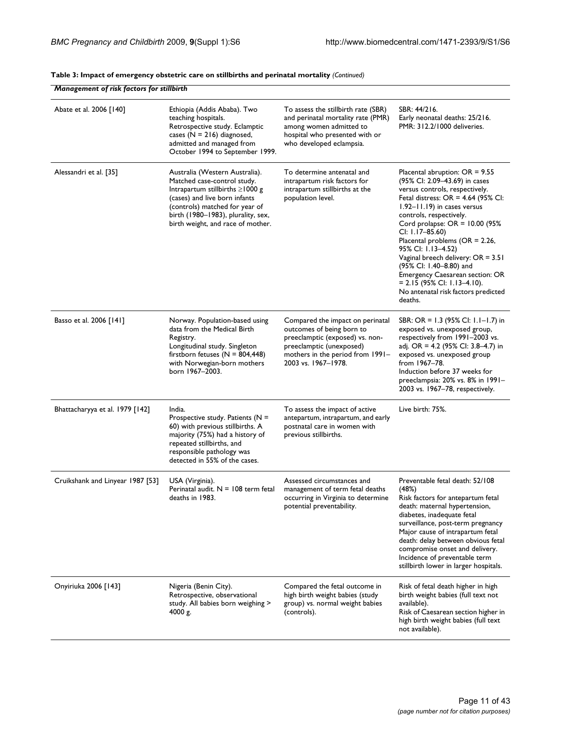| Management of risk factors for stillbirth |                                                                                                                                                                                                                                                      |                                                                                                                                                                                         |                                                                                                                                                                                                                                                                                                                                                                                                                                                                                                                       |  |
|-------------------------------------------|------------------------------------------------------------------------------------------------------------------------------------------------------------------------------------------------------------------------------------------------------|-----------------------------------------------------------------------------------------------------------------------------------------------------------------------------------------|-----------------------------------------------------------------------------------------------------------------------------------------------------------------------------------------------------------------------------------------------------------------------------------------------------------------------------------------------------------------------------------------------------------------------------------------------------------------------------------------------------------------------|--|
| Abate et al. 2006 [140]                   | Ethiopia (Addis Ababa). Two<br>teaching hospitals.<br>Retrospective study. Eclamptic<br>cases $(N = 216)$ diagnosed,<br>admitted and managed from<br>October 1994 to September 1999.                                                                 | To assess the stillbirth rate (SBR)<br>and perinatal mortality rate (PMR)<br>among women admitted to<br>hospital who presented with or<br>who developed eclampsia.                      | SBR: 44/216.<br>Early neonatal deaths: 25/216.<br>PMR: 312.2/1000 deliveries.                                                                                                                                                                                                                                                                                                                                                                                                                                         |  |
| Alessandri et al. [35]                    | Australia (Western Australia).<br>Matched case-control study.<br>Intrapartum stillbirths $\geq$ 1000 g<br>(cases) and live born infants<br>(controls) matched for year of<br>birth (1980-1983), plurality, sex,<br>birth weight, and race of mother. | To determine antenatal and<br>intrapartum risk factors for<br>intrapartum stillbirths at the<br>population level.                                                                       | Placental abruption: $OR = 9.55$<br>(95% Cl: 2.09-43.69) in cases<br>versus controls, respectively.<br>Fetal distress: $OR = 4.64$ (95% CI:<br>1.92-11.19) in cases versus<br>controls, respectively.<br>Cord prolapse: OR = 10.00 (95%<br>CI: 1.17–85.60)<br>Placental problems ( $OR = 2.26$ ,<br>95% CI: 1.13-4.52)<br>Vaginal breech delivery: OR = 3.5 l<br>(95% Cl: 1.40-8.80) and<br><b>Emergency Caesarean section: OR</b><br>$= 2.15$ (95% CI: 1.13–4.10).<br>No antenatal risk factors predicted<br>deaths. |  |
| Basso et al. 2006 [141]                   | Norway. Population-based using<br>data from the Medical Birth<br>Registry.<br>Longitudinal study. Singleton<br>firstborn fetuses ( $N = 804,448$ )<br>with Norwegian-born mothers<br>born 1967-2003.                                                 | Compared the impact on perinatal<br>outcomes of being born to<br>preeclamptic (exposed) vs. non-<br>preeclamptic (unexposed)<br>mothers in the period from 1991-<br>2003 vs. 1967-1978. | SBR: OR = 1.3 (95% CI: 1.1–1.7) in<br>exposed vs. unexposed group,<br>respectively from 1991-2003 vs.<br>adj. OR = 4.2 (95% CI: 3.8–4.7) in<br>exposed vs. unexposed group<br>from 1967-78.<br>Induction before 37 weeks for<br>preeclampsia: 20% vs. 8% in 1991-<br>2003 vs. 1967–78, respectively.                                                                                                                                                                                                                  |  |
| Bhattacharyya et al. 1979 [142]           | India.<br>Prospective study. Patients ( $N =$<br>60) with previous stillbirths. A<br>majority (75%) had a history of<br>repeated stillbirths, and<br>responsible pathology was<br>detected in 55% of the cases.                                      | To assess the impact of active<br>antepartum, intrapartum, and early<br>postnatal care in women with<br>previous stillbirths.                                                           | Live birth: 75%.                                                                                                                                                                                                                                                                                                                                                                                                                                                                                                      |  |
| Cruikshank and Linyear 1987 [53]          | USA (Virginia).<br>Perinatal audit. $N = 108$ term fetal<br>deaths in 1983.                                                                                                                                                                          | Assessed circumstances and<br>management of term fetal deaths<br>occurring in Virginia to determine<br>potential preventability.                                                        | Preventable fetal death: 52/108<br>(48%)<br>Risk factors for antepartum fetal<br>death: maternal hypertension,<br>diabetes, inadequate fetal<br>surveillance, post-term pregnancy<br>Major cause of intrapartum fetal<br>death: delay between obvious fetal<br>compromise onset and delivery.<br>Incidence of preventable term<br>stillbirth lower in larger hospitals.                                                                                                                                               |  |
| Onyiriuka 2006 [143]                      | Nigeria (Benin City).<br>Retrospective, observational<br>study. All babies born weighing ><br>4000 g.                                                                                                                                                | Compared the fetal outcome in<br>high birth weight babies (study<br>group) vs. normal weight babies<br>(controls).                                                                      | Risk of fetal death higher in high<br>birth weight babies (full text not<br>available).<br>Risk of Caesarean section higher in<br>high birth weight babies (full text<br>not available).                                                                                                                                                                                                                                                                                                                              |  |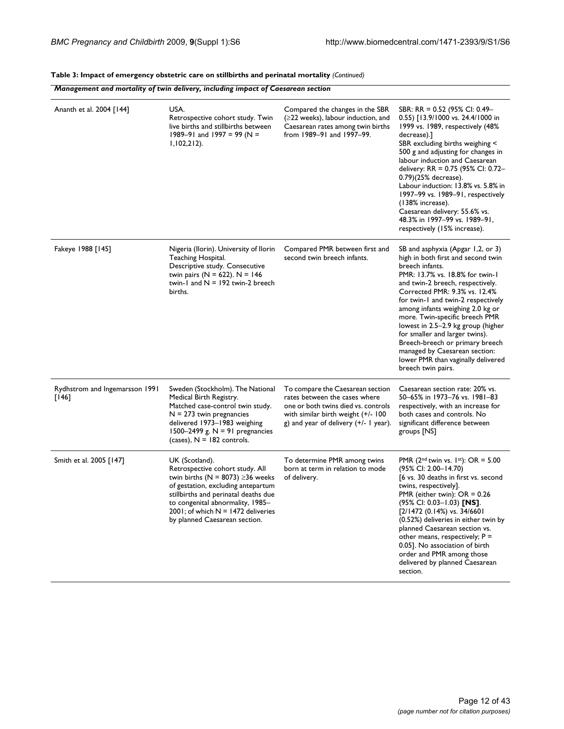| Table 3: Impact of emergency obstetric care on stillbirths and perinatal mortality (Continued) |  |  |  |  |  |  |
|------------------------------------------------------------------------------------------------|--|--|--|--|--|--|
|------------------------------------------------------------------------------------------------|--|--|--|--|--|--|

|                                         | Management and mortality of twin delivery, including impact of Caesarean section                                                                                                                                                                                                          |                                                                                                                                                                                         |                                                                                                                                                                                                                                                                                                                                                                                                                                                                                                                        |
|-----------------------------------------|-------------------------------------------------------------------------------------------------------------------------------------------------------------------------------------------------------------------------------------------------------------------------------------------|-----------------------------------------------------------------------------------------------------------------------------------------------------------------------------------------|------------------------------------------------------------------------------------------------------------------------------------------------------------------------------------------------------------------------------------------------------------------------------------------------------------------------------------------------------------------------------------------------------------------------------------------------------------------------------------------------------------------------|
| Ananth et al. 2004 [144]                | USA.<br>Retrospective cohort study. Twin<br>live births and stillbirths between<br>1989-91 and 1997 = 99 (N =<br>$1,102,212$ ).                                                                                                                                                           | Compared the changes in the SBR<br>(≥22 weeks), labour induction, and<br>Caesarean rates among twin births<br>from 1989-91 and 1997-99.                                                 | SBR: RR = 0.52 (95% CI: 0.49-<br>0.55) [13.9/1000 vs. 24.4/1000 in<br>1999 vs. 1989, respectively (48%<br>decrease).]<br>SBR excluding births weighing <<br>500 g and adjusting for changes in<br>labour induction and Caesarean<br>delivery: RR = 0.75 (95% CI: 0.72-<br>0.79)(25% decrease).<br>Labour induction: 13.8% vs. 5.8% in<br>1997-99 vs. 1989-91, respectively<br>(138% increase).<br>Caesarean delivery: 55.6% vs.<br>48.3% in 1997-99 vs. 1989-91,<br>respectively (15% increase).                       |
| Fakeye 1988 [145]                       | Nigeria (Ilorin). University of Ilorin<br>Teaching Hospital.<br>Descriptive study. Consecutive<br>twin pairs ( $N = 622$ ). $N = 146$<br>twin-1 and $N = 192$ twin-2 breech<br>births.                                                                                                    | Compared PMR between first and<br>second twin breech infants.                                                                                                                           | SB and asphyxia (Apgar 1,2, or 3)<br>high in both first and second twin<br>breech infants.<br>PMR: 13.7% vs. 18.8% for twin-1<br>and twin-2 breech, respectively.<br>Corrected PMR: 9.3% vs. 12.4%<br>for twin-1 and twin-2 respectively<br>among infants weighing 2.0 kg or<br>more. Twin-specific breech PMR<br>lowest in 2.5-2.9 kg group (higher<br>for smaller and larger twins).<br>Breech-breech or primary breech<br>managed by Caesarean section:<br>lower PMR than vaginally delivered<br>breech twin pairs. |
| Rydhstrom and Ingemarsson 1991<br>[146] | Sweden (Stockholm). The National<br>Medical Birth Registry.<br>Matched case-control twin study.<br>$N = 273$ twin pregnancies<br>delivered 1973-1983 weighing<br>1500-2499 g. $N = 91$ pregnancies<br>(cases), $N = 182$ controls.                                                        | To compare the Caesarean section<br>rates between the cases where<br>one or both twins died vs. controls<br>with similar birth weight (+/- 100<br>g) and year of delivery (+/- 1 year). | Caesarean section rate: 20% vs.<br>50-65% in 1973-76 vs. 1981-83<br>respectively, with an increase for<br>both cases and controls. No<br>significant difference between<br>groups [NS]                                                                                                                                                                                                                                                                                                                                 |
| Smith et al. 2005 [147]                 | UK (Scotland).<br>Retrospective cohort study. All<br>twin births (N = 8073) $\geq$ 36 weeks<br>of gestation, excluding antepartum<br>stillbirths and perinatal deaths due<br>to congenital abnormality, 1985-<br>$2001$ ; of which $N = 1472$ deliveries<br>by planned Caesarean section. | To determine PMR among twins<br>born at term in relation to mode<br>of delivery.                                                                                                        | PMR $(2^{nd}$ twin vs. $1^{st}$ ): OR = 5.00<br>(95% CI: 2.00-14.70)<br>[6 vs. 30 deaths in first vs. second<br>twins, respectively].<br>PMR (either twin): $OR = 0.26$<br>(95% CI: 0.03-1.03) [NS].<br>[2/1472 (0.14%) vs. 34/6601<br>(0.52%) deliveries in either twin by<br>planned Caesarean section vs.<br>other means, respectively; $P =$<br>0.05]. No association of birth<br>order and PMR among those<br>delivered by planned Caesarean<br>section.                                                          |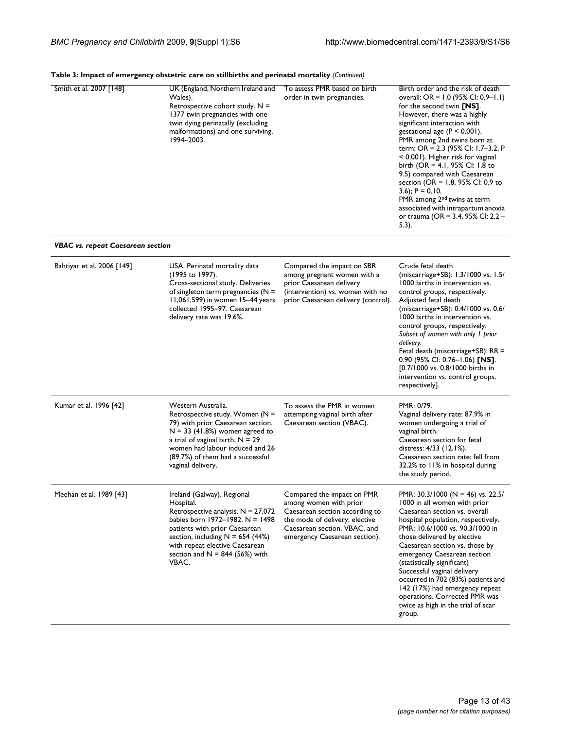| Smith et al. 2007 [148]<br>UK (England, Northern Ireland and<br>Wales).<br>Retrospective cohort study. $N =$<br>1377 twin pregnancies with one<br>twin dying perinatally (excluding<br>malformations) and one surviving,<br>1994-2003. |                                                                                                                                                                                                                                                                               | To assess PMR based on birth<br>order in twin pregnancies.                                                                                                                                | Birth order and the risk of death<br>overall: OR = 1.0 (95% CI: 0.9-1.1)<br>for the second twin [NS].<br>However, there was a highly<br>significant interaction with<br>gestational age $(P < 0.001)$ .<br>PMR among 2nd twins born at<br>term: OR = 2.3 (95% CI: 1.7-3.2, P<br>< 0.001). Higher risk for vaginal<br>birth (OR = 4.1, 95% Cl: 1.8 to<br>9.5) compared with Caesarean<br>section (OR = 1.8, 95% CI: 0.9 to<br>$(3.6); P = 0.10.$<br>PMR among 2 <sup>nd</sup> twins at term<br>associated with intrapartum anoxia<br>or trauma (OR = 3.4, 95% CI: 2.2 -<br>5.3). |  |
|----------------------------------------------------------------------------------------------------------------------------------------------------------------------------------------------------------------------------------------|-------------------------------------------------------------------------------------------------------------------------------------------------------------------------------------------------------------------------------------------------------------------------------|-------------------------------------------------------------------------------------------------------------------------------------------------------------------------------------------|---------------------------------------------------------------------------------------------------------------------------------------------------------------------------------------------------------------------------------------------------------------------------------------------------------------------------------------------------------------------------------------------------------------------------------------------------------------------------------------------------------------------------------------------------------------------------------|--|
| <b>VBAC vs. repeat Caesarean section</b>                                                                                                                                                                                               |                                                                                                                                                                                                                                                                               |                                                                                                                                                                                           |                                                                                                                                                                                                                                                                                                                                                                                                                                                                                                                                                                                 |  |
| Bahtiyar et al. 2006 [149]                                                                                                                                                                                                             | USA. Perinatal mortality data<br>(1995 to 1997).<br>Cross-sectional study. Deliveries<br>of singleton term pregnancies ( $N =$<br>11,061,599) in women 15-44 years<br>collected 1995-97. Caesarean<br>delivery rate was 19.6%.                                                | Compared the impact on SBR<br>among pregnant women with a<br>prior Caesarean delivery<br>(intervention) vs. women with no<br>prior Caesarean delivery (control).                          | Crude fetal death<br>(miscarriage+SB): 1.3/1000 vs. 1.5/<br>1000 births in intervention vs.<br>control groups, respectively.<br>Adjusted fetal death<br>(miscarriage+SB): 0.4/1000 vs. 0.6/<br>1000 births in intervention vs.<br>control groups, respectively.<br>Subset of women with only 1 prior<br>delivery:<br>Fetal death (miscarriage+SB): RR =<br>0.90 (95% CI: 0.76-1.06) [NS].<br>[0.7/1000 vs. 0.8/1000 births in<br>intervention vs. control groups,<br>respectively].                                                                                             |  |
| Kumar et al. 1996 [42]                                                                                                                                                                                                                 | Western Australia.<br>Retrospective study. Women (N =<br>79) with prior Caesarean section.<br>$N = 33$ (41.8%) women agreed to<br>a trial of vaginal birth. $N = 29$<br>women had labour induced and 26<br>(89.7%) of them had a successful<br>vaginal delivery.              | To assess the PMR in women<br>attempting vaginal birth after<br>Caesarean section (VBAC).                                                                                                 | PMR: 0/79.<br>Vaginal delivery rate: 87.9% in<br>women undergoing a trial of<br>vaginal birth.<br>Caesarean section for fetal<br>distress: 4/33 (12.1%).<br>Caesarean section rate: fell from<br>32.2% to 11% in hospital during<br>the study period.                                                                                                                                                                                                                                                                                                                           |  |
| Meehan et al. 1989 [43]                                                                                                                                                                                                                | Ireland (Galway). Regional<br>Hospital.<br>Retrospective analysis. $N = 27,072$<br>babies born $1972 - 1982$ . N = 1498<br>patients with prior Caesarean<br>section, including $N = 654$ (44%)<br>with repeat elective Caesarean<br>section and $N = 844$ (56%) with<br>VBAC. | Compared the impact on PMR<br>among women with prior<br>Caesarean section according to<br>the mode of delivery: elective<br>Caesarean section, VBAC, and<br>emergency Caesarean section). | PMR: 30.3/1000 (N = 46) vs. 22.5/<br>1000 in all women with prior<br>Caesarean section vs. overall<br>hospital population, respectively.<br>PMR: 10.6/1000 vs. 90.3/1000 in<br>those delivered by elective<br>Caesarean section vs. those by<br>emergency Caesarean section<br>(statistically significant)<br>Successful vaginal delivery<br>occurred in 702 (83%) patients and<br>142 (17%) had emergency repeat<br>operations. Corrected PMR was<br>twice as high in the trial of scar<br>group.                                                                              |  |

**Table 3: Impact of emergency obstetric care on stillbirths and perinatal mortality** *(Continued)*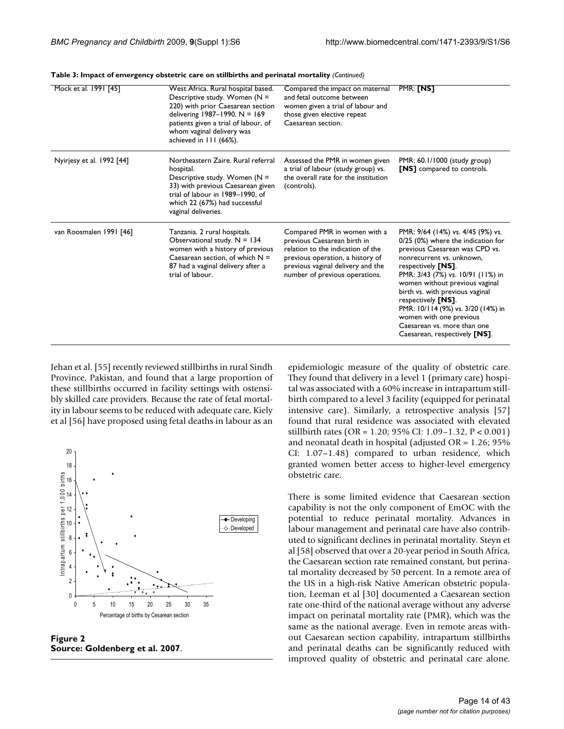| Mock et al. 1991 [45]     | West Africa. Rural hospital based.<br>Descriptive study. Women ( $N =$<br>220) with prior Caesarean section<br>delivering 1987-1990. N = 169<br>patients given a trial of labour, of<br>whom vaginal delivery was<br>achieved in 111 (66%). | Compared the impact on maternal<br>and fetal outcome between<br>women given a trial of labour and<br>those given elective repeat<br>Caesarean section.                                                      | PMR: [NS]                                                                                                                                                                                                                                                                                                                                                                                                                     |
|---------------------------|---------------------------------------------------------------------------------------------------------------------------------------------------------------------------------------------------------------------------------------------|-------------------------------------------------------------------------------------------------------------------------------------------------------------------------------------------------------------|-------------------------------------------------------------------------------------------------------------------------------------------------------------------------------------------------------------------------------------------------------------------------------------------------------------------------------------------------------------------------------------------------------------------------------|
| Nyirjesy et al. 1992 [44] | Northeastern Zaire. Rural referral<br>hospital.<br>Descriptive study. Women (N =<br>33) with previous Caesarean given<br>trial of labour in 1989-1990, of<br>which 22 (67%) had successful<br>vaginal deliveries.                           | Assessed the PMR in women given<br>a trial of labour (study group) vs.<br>the overall rate for the institution<br>(controls).                                                                               | PMR: 60.1/1000 (study group)<br>[NS] compared to controls.                                                                                                                                                                                                                                                                                                                                                                    |
| van Roosmalen 1991 [46]   | Tanzania. 2 rural hospitals.<br>Observational study. $N = 134$<br>women with a history of previous<br>Caesarean section, of which $N =$<br>87 had a vaginal delivery after a<br>trial of labour.                                            | Compared PMR in women with a<br>previous Caesarean birth in<br>relation to the indication of the<br>previous operation, a history of<br>previous vaginal delivery and the<br>number of previous operations. | PMR: 9/64 (14%) vs. 4/45 (9%) vs.<br>0/25 (0%) where the indication for<br>previous Caesarean was CPD vs.<br>nonrecurrent vs. unknown.<br>respectively [NS].<br>PMR: 3/43 (7%) vs. 10/91 (11%) in<br>women without previous vaginal<br>birth vs. with previous vaginal<br>respectively [NS].<br>PMR: 10/114 (9%) vs. 3/20 (14%) in<br>women with one previous<br>Caesarean vs. more than one<br>Caesarean, respectively [NS]. |

**Table 3: Impact of emergency obstetric care on stillbirths and perinatal mortality** *(Continued)*

Jehan et al. [55] recently reviewed stillbirths in rural Sindh Province, Pakistan, and found that a large proportion of these stillbirths occurred in facility settings with ostensibly skilled care providers. Because the rate of fetal mortality in labour seems to be reduced with adequate care, Kiely et al [56] have proposed using fetal deaths in labour as an



**Figure 2 Source: Goldenberg et al. 2007**.

epidemiologic measure of the quality of obstetric care. They found that delivery in a level 1 (primary care) hospital was associated with a 60% increase in intrapartum stillbirth compared to a level 3 facility (equipped for perinatal intensive care). Similarly, a retrospective analysis [57] found that rural residence was associated with elevated stillbirth rates (OR = 1.20; 95% CI: 1.09–1.32, P < 0.001) and neonatal death in hospital (adjusted OR = 1.26; 95% CI: 1.07–1.48) compared to urban residence, which granted women better access to higher-level emergency obstetric care.

There is some limited evidence that Caesarean section capability is not the only component of EmOC with the potential to reduce perinatal mortality. Advances in labour management and perinatal care have also contributed to significant declines in perinatal mortality. Steyn et al [58] observed that over a 20-year period in South Africa, the Caesarean section rate remained constant, but perinatal mortality decreased by 50 percent. In a remote area of the US in a high-risk Native American obstetric population, Leeman et al [30] documented a Caesarean section rate one-third of the national average without any adverse impact on perinatal mortality rate (PMR), which was the same as the national average. Even in remote areas without Caesarean section capability, intrapartum stillbirths and perinatal deaths can be significantly reduced with improved quality of obstetric and perinatal care alone.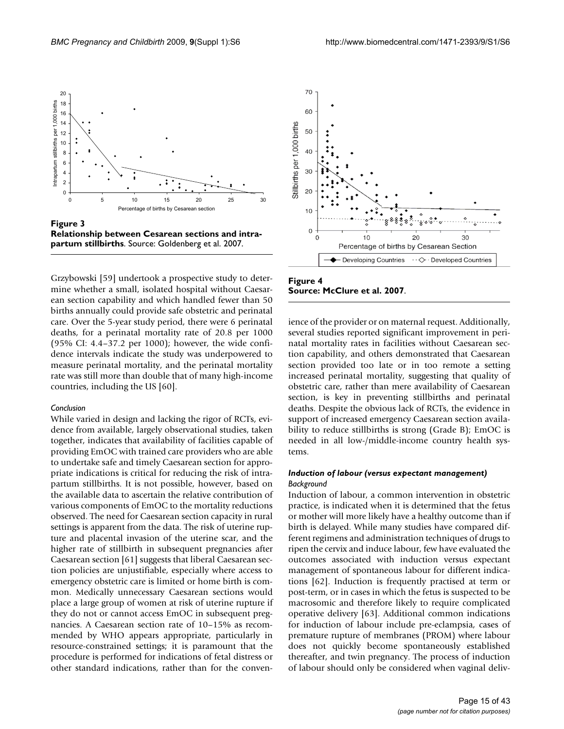

**Figure 3 Relationship between Cesarean sections and intrapartum stillbirths**. Source: Goldenberg et al. 2007.

Grzybowski [59] undertook a prospective study to determine whether a small, isolated hospital without Caesarean section capability and which handled fewer than 50 births annually could provide safe obstetric and perinatal care. Over the 5-year study period, there were 6 perinatal deaths, for a perinatal mortality rate of 20.8 per 1000 (95% CI: 4.4–37.2 per 1000); however, the wide confidence intervals indicate the study was underpowered to measure perinatal mortality, and the perinatal mortality rate was still more than double that of many high-income countries, including the US [60].

#### *Conclusion*

While varied in design and lacking the rigor of RCTs, evidence from available, largely observational studies, taken together, indicates that availability of facilities capable of providing EmOC with trained care providers who are able to undertake safe and timely Caesarean section for appropriate indications is critical for reducing the risk of intrapartum stillbirths. It is not possible, however, based on the available data to ascertain the relative contribution of various components of EmOC to the mortality reductions observed. The need for Caesarean section capacity in rural settings is apparent from the data. The risk of uterine rupture and placental invasion of the uterine scar, and the higher rate of stillbirth in subsequent pregnancies after Caesarean section [61] suggests that liberal Caesarean section policies are unjustifiable, especially where access to emergency obstetric care is limited or home birth is common. Medically unnecessary Caesarean sections would place a large group of women at risk of uterine rupture if they do not or cannot access EmOC in subsequent pregnancies. A Caesarean section rate of 10–15% as recommended by WHO appears appropriate, particularly in resource-constrained settings; it is paramount that the procedure is performed for indications of fetal distress or other standard indications, rather than for the conven-



**Figure 4 Source: McClure et al. 2007**.

ience of the provider or on maternal request. Additionally, several studies reported significant improvement in perinatal mortality rates in facilities without Caesarean section capability, and others demonstrated that Caesarean section provided too late or in too remote a setting increased perinatal mortality, suggesting that quality of obstetric care, rather than mere availability of Caesarean section, is key in preventing stillbirths and perinatal deaths. Despite the obvious lack of RCTs, the evidence in support of increased emergency Caesarean section availability to reduce stillbirths is strong (Grade B); EmOC is needed in all low-/middle-income country health systems.

### *Induction of labour (versus expectant management) Background*

Induction of labour, a common intervention in obstetric practice, is indicated when it is determined that the fetus or mother will more likely have a healthy outcome than if birth is delayed. While many studies have compared different regimens and administration techniques of drugs to ripen the cervix and induce labour, few have evaluated the outcomes associated with induction versus expectant management of spontaneous labour for different indications [62]. Induction is frequently practised at term or post-term, or in cases in which the fetus is suspected to be macrosomic and therefore likely to require complicated operative delivery [63]. Additional common indications for induction of labour include pre-eclampsia, cases of premature rupture of membranes (PROM) where labour does not quickly become spontaneously established thereafter, and twin pregnancy. The process of induction of labour should only be considered when vaginal deliv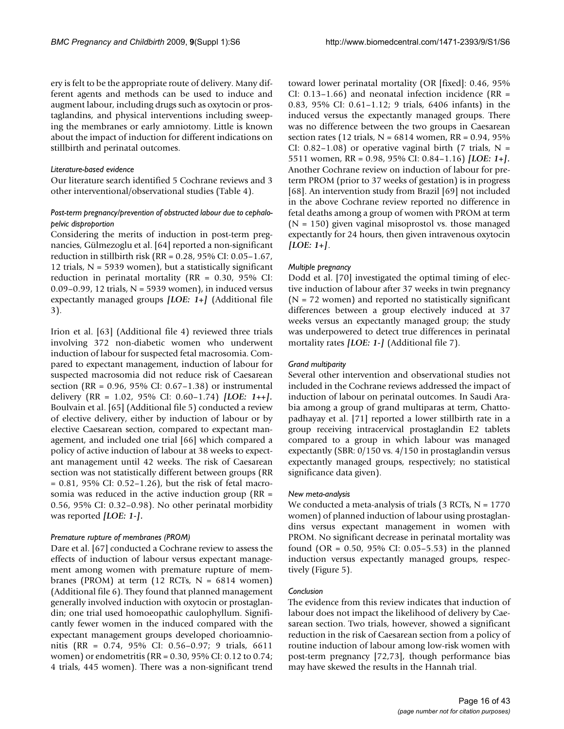ery is felt to be the appropriate route of delivery. Many different agents and methods can be used to induce and augment labour, including drugs such as oxytocin or prostaglandins, and physical interventions including sweeping the membranes or early amniotomy. Little is known about the impact of induction for different indications on stillbirth and perinatal outcomes.

#### *Literature-based evidence*

Our literature search identified 5 Cochrane reviews and 3 other interventional/observational studies (Table 4).

## *Post-term pregnancy/prevention of obstructed labour due to cephalopelvic disproportion*

Considering the merits of induction in post-term pregnancies, Gülmezoglu et al. [64] reported a non-significant reduction in stillbirth risk (RR = 0.28, 95% CI: 0.05–1.67, 12 trials,  $N = 5939$  women), but a statistically significant reduction in perinatal mortality (RR = 0.30, 95% CI: 0.09–0.99, 12 trials,  $N = 5939$  women), in induced versus expectantly managed groups *[LOE: 1+]* (Additional file 3).

Irion et al. [63] (Additional file 4) reviewed three trials involving 372 non-diabetic women who underwent induction of labour for suspected fetal macrosomia. Compared to expectant management, induction of labour for suspected macrosomia did not reduce risk of Caesarean section (RR = 0.96, 95% CI: 0.67–1.38) or instrumental delivery (RR = 1.02, 95% CI: 0.60–1.74) *[LOE: 1++].* Boulvain et al. [65] (Additional file 5) conducted a review of elective delivery, either by induction of labour or by elective Caesarean section, compared to expectant management, and included one trial [66] which compared a policy of active induction of labour at 38 weeks to expectant management until 42 weeks. The risk of Caesarean section was not statistically different between groups (RR  $= 0.81$ , 95% CI: 0.52–1.26), but the risk of fetal macrosomia was reduced in the active induction group (RR = 0.56, 95% CI: 0.32–0.98). No other perinatal morbidity was reported *[LOE: 1-].*

#### *Premature rupture of membranes (PROM)*

Dare et al. [67] conducted a Cochrane review to assess the effects of induction of labour versus expectant management among women with premature rupture of membranes (PROM) at term (12 RCTs,  $N = 6814$  women) (Additional file 6). They found that planned management generally involved induction with oxytocin or prostaglandin; one trial used homoeopathic caulophyllum. Significantly fewer women in the induced compared with the expectant management groups developed chorioamnionitis (RR = 0.74, 95% CI: 0.56–0.97; 9 trials, 6611 women) or endometritis (RR = 0.30, 95% CI: 0.12 to 0.74; 4 trials, 445 women). There was a non-significant trend toward lower perinatal mortality (OR [fixed]: 0.46, 95% CI: 0.13–1.66) and neonatal infection incidence ( $RR =$ 0.83, 95% CI: 0.61–1.12; 9 trials, 6406 infants) in the induced versus the expectantly managed groups. There was no difference between the two groups in Caesarean section rates (12 trials,  $N = 6814$  women,  $RR = 0.94$ , 95% CI: 0.82-1.08) or operative vaginal birth (7 trials,  $N =$ 5511 women, RR = 0.98, 95% CI: 0.84–1.16) *[LOE: 1+].* Another Cochrane review on induction of labour for preterm PROM (prior to 37 weeks of gestation) is in progress [68]. An intervention study from Brazil [69] not included in the above Cochrane review reported no difference in fetal deaths among a group of women with PROM at term  $(N = 150)$  given vaginal misoprostol vs. those managed expectantly for 24 hours, then given intravenous oxytocin *[LOE: 1+]*.

#### *Multiple pregnancy*

Dodd et al. [70] investigated the optimal timing of elective induction of labour after 37 weeks in twin pregnancy (N = 72 women) and reported no statistically significant differences between a group electively induced at 37 weeks versus an expectantly managed group; the study was underpowered to detect true differences in perinatal mortality rates *[LOE: 1-]* (Additional file 7).

#### *Grand multiparity*

Several other intervention and observational studies not included in the Cochrane reviews addressed the impact of induction of labour on perinatal outcomes. In Saudi Arabia among a group of grand multiparas at term, Chattopadhayay et al. [71] reported a lower stillbirth rate in a group receiving intracervical prostaglandin E2 tablets compared to a group in which labour was managed expectantly (SBR: 0/150 vs. 4/150 in prostaglandin versus expectantly managed groups, respectively; no statistical significance data given).

#### *New meta-analysis*

We conducted a meta-analysis of trials  $(3 RCTs, N = 1770)$ women) of planned induction of labour using prostaglandins versus expectant management in women with PROM. No significant decrease in perinatal mortality was found (OR = 0.50, 95% CI: 0.05–5.53) in the planned induction versus expectantly managed groups, respectively (Figure 5).

#### *Conclusion*

The evidence from this review indicates that induction of labour does not impact the likelihood of delivery by Caesarean section. Two trials, however, showed a significant reduction in the risk of Caesarean section from a policy of routine induction of labour among low-risk women with post-term pregnancy [72,73], though performance bias may have skewed the results in the Hannah trial.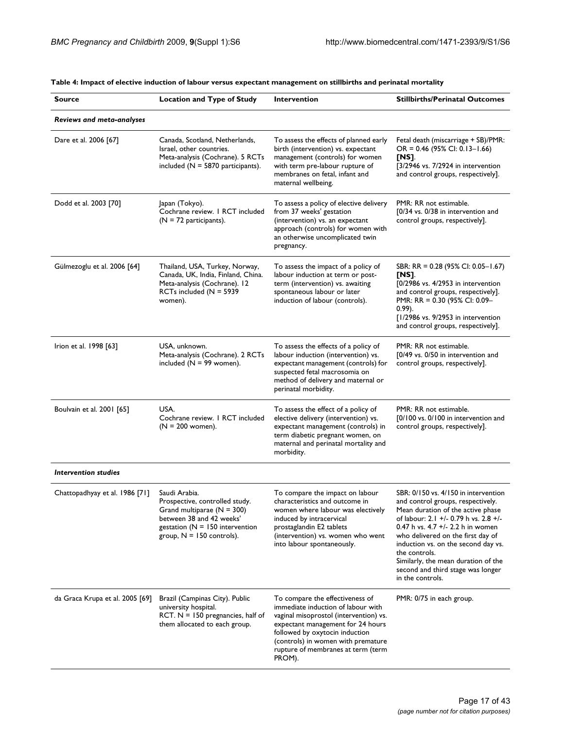| Source                           | <b>Location and Type of Study</b>                                                                                                                                                  | Intervention                                                                                                                                                                                                                                                                 | <b>Stillbirths/Perinatal Outcomes</b>                                                                                                                                                                                                                                                                                                                                                       |
|----------------------------------|------------------------------------------------------------------------------------------------------------------------------------------------------------------------------------|------------------------------------------------------------------------------------------------------------------------------------------------------------------------------------------------------------------------------------------------------------------------------|---------------------------------------------------------------------------------------------------------------------------------------------------------------------------------------------------------------------------------------------------------------------------------------------------------------------------------------------------------------------------------------------|
| <b>Reviews and meta-analyses</b> |                                                                                                                                                                                    |                                                                                                                                                                                                                                                                              |                                                                                                                                                                                                                                                                                                                                                                                             |
| Dare et al. 2006 [67]            | Canada, Scotland, Netherlands,<br>Israel, other countries.<br>Meta-analysis (Cochrane). 5 RCTs<br>included ( $N = 5870$ participants).                                             | To assess the effects of planned early<br>birth (intervention) vs. expectant<br>management (controls) for women<br>with term pre-labour rupture of<br>membranes on fetal, infant and<br>maternal wellbeing.                                                                  | Fetal death (miscarriage + SB)/PMR:<br>OR = $0.46$ (95% CI: 0.13-1.66)<br>[NS].<br>[3/2946 vs. 7/2924 in intervention<br>and control groups, respectively].                                                                                                                                                                                                                                 |
| Dodd et al. 2003 [70]            | Japan (Tokyo).<br>Cochrane review. I RCT included<br>$(N = 72$ participants).                                                                                                      | To assess a policy of elective delivery<br>from 37 weeks' gestation<br>(intervention) vs. an expectant<br>approach (controls) for women with<br>an otherwise uncomplicated twin<br>pregnancy.                                                                                | PMR: RR not estimable.<br>[0/34 vs. 0/38 in intervention and<br>control groups, respectively].                                                                                                                                                                                                                                                                                              |
| Gülmezoglu et al. 2006 [64]      | Thailand, USA, Turkey, Norway,<br>Canada, UK, India, Finland, China.<br>Meta-analysis (Cochrane). 12<br>RCTs included ( $N = 5939$<br>women).                                      | To assess the impact of a policy of<br>labour induction at term or post-<br>term (intervention) vs. awaiting<br>spontaneous labour or later<br>induction of labour (controls).                                                                                               | SBR: RR = 0.28 (95% CI: 0.05-1.67)<br>[NS].<br>[0/2986 vs. 4/2953 in intervention<br>and control groups, respectively].<br>PMR: RR = 0.30 (95% CI: 0.09-<br>$0.99$ ).<br>$[1/2986$ vs. $9/2953$ in intervention<br>and control groups, respectively].                                                                                                                                       |
| Irion et al. 1998 [63]           | USA, unknown.<br>Meta-analysis (Cochrane). 2 RCTs<br>included ( $N = 99$ women).                                                                                                   | To assess the effects of a policy of<br>labour induction (intervention) vs.<br>expectant management (controls) for<br>suspected fetal macrosomia on<br>method of delivery and maternal or<br>perinatal morbidity.                                                            | PMR: RR not estimable.<br>[0/49 vs. 0/50 in intervention and<br>control groups, respectively].                                                                                                                                                                                                                                                                                              |
| Boulvain et al. 2001 [65]        | USA.<br>Cochrane review. I RCT included<br>$(N = 200$ women).                                                                                                                      | To assess the effect of a policy of<br>elective delivery (intervention) vs.<br>expectant management (controls) in<br>term diabetic pregnant women, on<br>maternal and perinatal mortality and<br>morbidity.                                                                  | PMR: RR not estimable.<br>[0/100 vs. 0/100 in intervention and<br>control groups, respectively].                                                                                                                                                                                                                                                                                            |
| <b>Intervention studies</b>      |                                                                                                                                                                                    |                                                                                                                                                                                                                                                                              |                                                                                                                                                                                                                                                                                                                                                                                             |
| Chattopadhyay et al. 1986 [71]   | Saudi Arabia.<br>Prospective, controlled study.<br>Grand multiparae ( $N = 300$ )<br>between 38 and 42 weeks'<br>gestation ( $N = 150$ intervention<br>group, $N = 150$ controls). | To compare the impact on labour<br>characteristics and outcome in<br>women where labour was electively<br>induced by intracervical<br>prostaglandin E2 tablets<br>(intervention) vs. women who went<br>into labour spontaneously.                                            | SBR: 0/150 vs. 4/150 in intervention<br>and control groups, respectively.<br>Mean duration of the active phase<br>of labour: 2.1 +/- 0.79 h vs. 2.8 +/-<br>0.47 h vs. $4.7 +/- 2.2$ h in women<br>who delivered on the first day of<br>induction vs. on the second day vs.<br>the controls.<br>Similarly, the mean duration of the<br>second and third stage was longer<br>in the controls. |
| da Graca Krupa et al. 2005 [69]  | Brazil (Campinas City). Public<br>university hospital.<br>RCT. $N = 150$ pregnancies, half of<br>them allocated to each group.                                                     | To compare the effectiveness of<br>immediate induction of labour with<br>vaginal misoprostol (intervention) vs.<br>expectant management for 24 hours<br>followed by oxytocin induction<br>(controls) in women with premature<br>rupture of membranes at term (term<br>PROM). | PMR: 0/75 in each group.                                                                                                                                                                                                                                                                                                                                                                    |

**Table 4: Impact of elective induction of labour versus expectant management on stillbirths and perinatal mortality**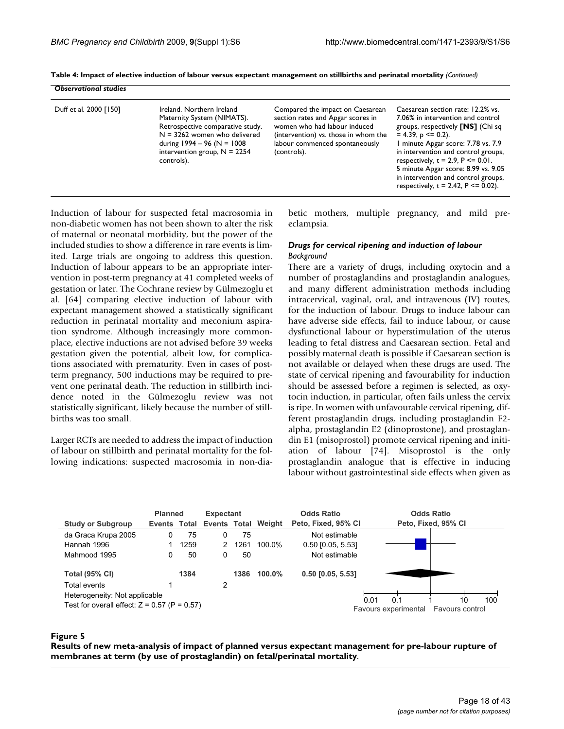|  | Table 4: Impact of elective induction of labour versus expectant management on stillbirths and perinatal mortality (Continued) |  |
|--|--------------------------------------------------------------------------------------------------------------------------------|--|
|--|--------------------------------------------------------------------------------------------------------------------------------|--|

| <b>Observational studies</b> |                                                                                                                                                                                                                |                                                                                                                                                                                                |                                                                                                                                                                                                                                                                                                                                                                                                    |
|------------------------------|----------------------------------------------------------------------------------------------------------------------------------------------------------------------------------------------------------------|------------------------------------------------------------------------------------------------------------------------------------------------------------------------------------------------|----------------------------------------------------------------------------------------------------------------------------------------------------------------------------------------------------------------------------------------------------------------------------------------------------------------------------------------------------------------------------------------------------|
| Duff et al. 2000 [150]       | Ireland. Northern Ireland<br>Maternity System (NIMATS).<br>Retrospective comparative study.<br>$N = 3262$ women who delivered<br>during $1994 - 96$ (N = 1008)<br>intervention group, $N = 2254$<br>controls). | Compared the impact on Caesarean<br>section rates and Apgar scores in<br>women who had labour induced<br>(intervention) vs. those in whom the<br>labour commenced spontaneously<br>(controls). | Caesarean section rate: 12.2% vs.<br>7.06% in intervention and control<br>groups, respectively <b>[NS]</b> (Chi sq<br>$= 4.39$ , $p \le 0.2$ ).<br>minute Apgar score: 7.78 vs. 7.9<br>in intervention and control groups,<br>respectively, $t = 2.9$ , $P \le 0.01$ .<br>5 minute Apgar score: 8.99 vs. 9.05<br>in intervention and control groups,<br>respectively, $t = 2.42$ , $P \le 0.02$ ). |

Induction of labour for suspected fetal macrosomia in non-diabetic women has not been shown to alter the risk of maternal or neonatal morbidity, but the power of the included studies to show a difference in rare events is limited. Large trials are ongoing to address this question. Induction of labour appears to be an appropriate intervention in post-term pregnancy at 41 completed weeks of gestation or later. The Cochrane review by Gülmezoglu et al. [64] comparing elective induction of labour with expectant management showed a statistically significant reduction in perinatal mortality and meconium aspiration syndrome. Although increasingly more commonplace, elective inductions are not advised before 39 weeks gestation given the potential, albeit low, for complications associated with prematurity. Even in cases of postterm pregnancy, 500 inductions may be required to prevent one perinatal death. The reduction in stillbirth incidence noted in the Gülmezoglu review was not statistically significant, likely because the number of stillbirths was too small.

Larger RCTs are needed to address the impact of induction of labour on stillbirth and perinatal mortality for the following indications: suspected macrosomia in non-diabetic mothers, multiple pregnancy, and mild preeclampsia.

### *Drugs for cervical ripening and induction of labour Background*

There are a variety of drugs, including oxytocin and a number of prostaglandins and prostaglandin analogues, and many different administration methods including intracervical, vaginal, oral, and intravenous (IV) routes, for the induction of labour. Drugs to induce labour can have adverse side effects, fail to induce labour, or cause dysfunctional labour or hyperstimulation of the uterus leading to fetal distress and Caesarean section. Fetal and possibly maternal death is possible if Caesarean section is not available or delayed when these drugs are used. The state of cervical ripening and favourability for induction should be assessed before a regimen is selected, as oxytocin induction, in particular, often fails unless the cervix is ripe. In women with unfavourable cervical ripening, different prostaglandin drugs, including prostaglandin F2 alpha, prostaglandin E2 (dinoprostone), and prostaglandin E1 (misoprostol) promote cervical ripening and initiation of labour [74]. Misoprostol is the only prostaglandin analogue that is effective in inducing labour without gastrointestinal side effects when given as

|                                                | <b>Planned</b> | <b>Expectant</b>           |        | <b>Odds Ratio</b>   | <b>Odds Ratio</b>                                    |
|------------------------------------------------|----------------|----------------------------|--------|---------------------|------------------------------------------------------|
| <b>Study or Subgroup</b>                       | Events Total   | <b>Events Total Weight</b> |        | Peto, Fixed, 95% CI | Peto, Fixed, 95% CI                                  |
| da Graca Krupa 2005                            | 75<br>0        | 75<br>0                    |        | Not estimable       |                                                      |
| Hannah 1996                                    | 1259           | 1261<br>2                  | 100.0% | $0.50$ [0.05, 5.53] |                                                      |
| Mahmood 1995                                   | 50<br>0        | 50<br>0                    |        | Not estimable       |                                                      |
| <b>Total (95% CI)</b>                          | 1384           | 1386                       | 100.0% | $0.50$ [0.05, 5.53] |                                                      |
| Total events                                   |                | 2                          |        |                     |                                                      |
| Heterogeneity: Not applicable                  |                |                            |        |                     | 100<br>0.01                                          |
| Test for overall effect: $Z = 0.57$ (P = 0.57) |                |                            |        |                     | 0.1<br>10<br>Favours experimental<br>Favours control |

#### Results of new meta-analysis of impact of (by use of prostaglandin) on **Figure 5** fetal/perinatal mortality planned versus expectant management for pre-labour rupture of membranes at term

**Results of new meta-analysis of impact of planned versus expectant management for pre-labour rupture of membranes at term (by use of prostaglandin) on fetal/perinatal mortality**.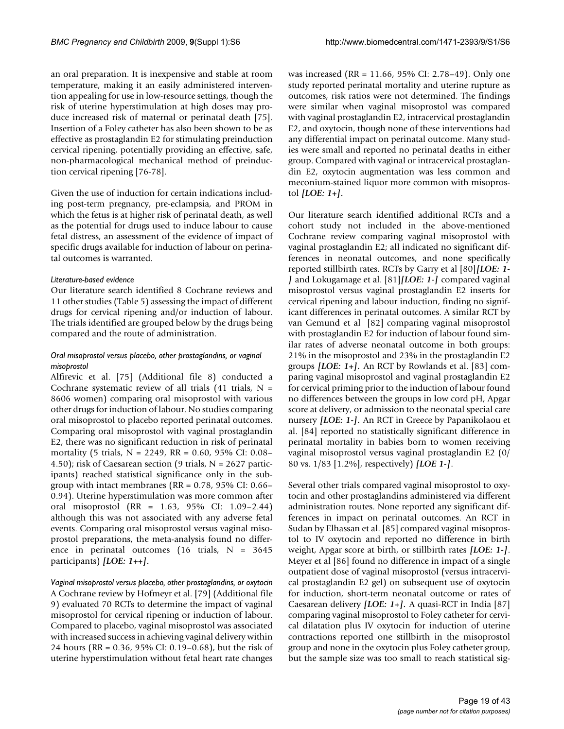an oral preparation. It is inexpensive and stable at room temperature, making it an easily administered intervention appealing for use in low-resource settings, though the risk of uterine hyperstimulation at high doses may produce increased risk of maternal or perinatal death [75]. Insertion of a Foley catheter has also been shown to be as effective as prostaglandin E2 for stimulating preinduction cervical ripening, potentially providing an effective, safe, non-pharmacological mechanical method of preinduction cervical ripening [76-78].

Given the use of induction for certain indications including post-term pregnancy, pre-eclampsia, and PROM in which the fetus is at higher risk of perinatal death, as well as the potential for drugs used to induce labour to cause fetal distress, an assessment of the evidence of impact of specific drugs available for induction of labour on perinatal outcomes is warranted.

### *Literature-based evidence*

Our literature search identified 8 Cochrane reviews and 11 other studies (Table 5) assessing the impact of different drugs for cervical ripening and/or induction of labour. The trials identified are grouped below by the drugs being compared and the route of administration.

## *Oral misoprostol versus placebo, other prostaglandins, or vaginal misoprostol*

Alfirevic et al. [75] (Additional file 8) conducted a Cochrane systematic review of all trials  $(41 \text{ trials}, N =$ 8606 women) comparing oral misoprostol with various other drugs for induction of labour. No studies comparing oral misoprostol to placebo reported perinatal outcomes. Comparing oral misoprostol with vaginal prostaglandin E2, there was no significant reduction in risk of perinatal mortality (5 trials, N = 2249, RR = 0.60, 95% CI: 0.08– 4.50); risk of Caesarean section (9 trials,  $N = 2627$  participants) reached statistical significance only in the subgroup with intact membranes ( $RR = 0.78$ , 95% CI: 0.66– 0.94). Uterine hyperstimulation was more common after oral misoprostol (RR = 1.63, 95% CI: 1.09–2.44) although this was not associated with any adverse fetal events. Comparing oral misoprostol versus vaginal misoprostol preparations, the meta-analysis found no difference in perinatal outcomes (16 trials, N = 3645 participants) *[LOE: 1++].*

*Vaginal misoprostol versus placebo, other prostaglandins, or oxytocin* A Cochrane review by Hofmeyr et al. [79] (Additional file 9) evaluated 70 RCTs to determine the impact of vaginal misoprostol for cervical ripening or induction of labour. Compared to placebo, vaginal misoprostol was associated with increased success in achieving vaginal delivery within 24 hours (RR = 0.36, 95% CI: 0.19–0.68), but the risk of uterine hyperstimulation without fetal heart rate changes

was increased (RR = 11.66, 95% CI: 2.78–49). Only one study reported perinatal mortality and uterine rupture as outcomes, risk ratios were not determined. The findings were similar when vaginal misoprostol was compared with vaginal prostaglandin E2, intracervical prostaglandin E2, and oxytocin, though none of these interventions had any differential impact on perinatal outcome. Many studies were small and reported no perinatal deaths in either group. Compared with vaginal or intracervical prostaglandin E2, oxytocin augmentation was less common and meconium-stained liquor more common with misoprostol *[LOE: 1+].*

Our literature search identified additional RCTs and a cohort study not included in the above-mentioned Cochrane review comparing vaginal misoprostol with vaginal prostaglandin E2; all indicated no significant differences in neonatal outcomes, and none specifically reported stillbirth rates. RCTs by Garry et al [80]*[LOE: 1- ]* and Lokugamage et al. [81]*[LOE: 1-]* compared vaginal misoprostol versus vaginal prostaglandin E2 inserts for cervical ripening and labour induction, finding no significant differences in perinatal outcomes. A similar RCT by van Gemund et al [82] comparing vaginal misoprostol with prostaglandin E2 for induction of labour found similar rates of adverse neonatal outcome in both groups: 21% in the misoprostol and 23% in the prostaglandin E2 groups *[LOE: 1+].* An RCT by Rowlands et al. [83] comparing vaginal misoprostol and vaginal prostaglandin E2 for cervical priming prior to the induction of labour found no differences between the groups in low cord pH, Apgar score at delivery, or admission to the neonatal special care nursery *[LOE: 1-].* An RCT in Greece by Papanikolaou et al. [84] reported no statistically significant difference in perinatal mortality in babies born to women receiving vaginal misoprostol versus vaginal prostaglandin E2 (0/ 80 vs. 1/83 [1.2%], respectively) *[LOE 1-]*.

Several other trials compared vaginal misoprostol to oxytocin and other prostaglandins administered via different administration routes. None reported any significant differences in impact on perinatal outcomes. An RCT in Sudan by Elhassan et al. [85] compared vaginal misoprostol to IV oxytocin and reported no difference in birth weight, Apgar score at birth, or stillbirth rates *[LOE: 1-]*. Meyer et al [86] found no difference in impact of a single outpatient dose of vaginal misoprostol (versus intracervical prostaglandin E2 gel) on subsequent use of oxytocin for induction, short-term neonatal outcome or rates of Caesarean delivery *[LOE: 1+].* A quasi-RCT in India [87] comparing vaginal misoprostol to Foley catheter for cervical dilatation plus IV oxytocin for induction of uterine contractions reported one stillbirth in the misoprostol group and none in the oxytocin plus Foley catheter group, but the sample size was too small to reach statistical sig-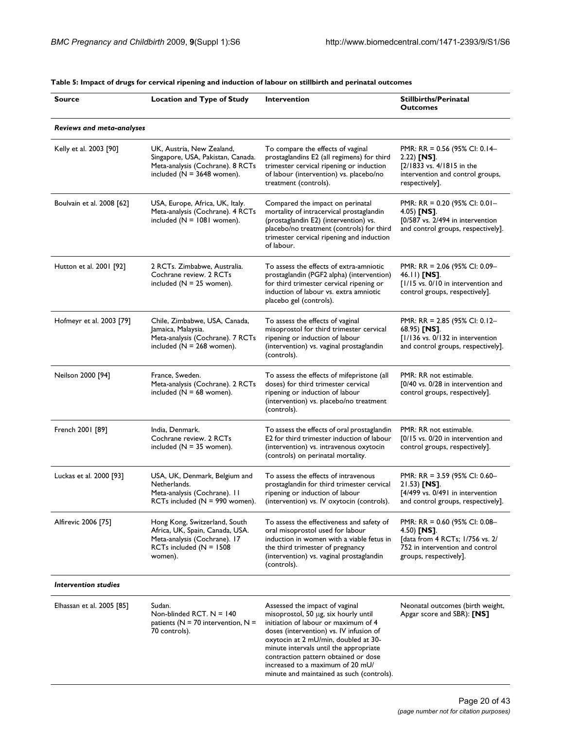| Source                           | Location and Type of Study                                                                                                               | Intervention                                                                                                                                                                                                                                                                                                                                                         | <b>Stillbirths/Perinatal</b><br>Outcomes                                                                                                                |
|----------------------------------|------------------------------------------------------------------------------------------------------------------------------------------|----------------------------------------------------------------------------------------------------------------------------------------------------------------------------------------------------------------------------------------------------------------------------------------------------------------------------------------------------------------------|---------------------------------------------------------------------------------------------------------------------------------------------------------|
| <b>Reviews and meta-analyses</b> |                                                                                                                                          |                                                                                                                                                                                                                                                                                                                                                                      |                                                                                                                                                         |
| Kelly et al. 2003 [90]           | UK, Austria, New Zealand,<br>Singapore, USA, Pakistan, Canada.<br>Meta-analysis (Cochrane). 8 RCTs<br>included ( $N = 3648$ women).      | To compare the effects of vaginal<br>prostaglandins E2 (all regimens) for third<br>trimester cervical ripening or induction<br>of labour (intervention) vs. placebo/no<br>treatment (controls).                                                                                                                                                                      | PMR: RR = 0.56 (95% CI: 0.14–<br>2.22) [NS].<br>[2/1833 vs. 4/1815 in the<br>intervention and control groups,<br>respectively].                         |
| Boulvain et al. 2008 [62]        | USA, Europe, Africa, UK, Italy.<br>Meta-analysis (Cochrane). 4 RCTs<br>included ( $N = 1081$ women).                                     | Compared the impact on perinatal<br>mortality of intracervical prostaglandin<br>(prostaglandin E2) (intervention) vs.<br>placebo/no treatment (controls) for third<br>trimester cervical ripening and induction<br>of labour.                                                                                                                                        | PMR: RR = 0.20 (95% CI: 0.01–<br>$(4.05)$ [NS].<br>[0/587 vs. 2/494 in intervention<br>and control groups, respectively].                               |
| Hutton et al. 2001 [92]          | 2 RCTs. Zimbabwe, Australia.<br>Cochrane review, 2 RCTs<br>included ( $N = 25$ women).                                                   | To assess the effects of extra-amniotic<br>prostaglandin (PGF2 alpha) (intervention)<br>for third trimester cervical ripening or<br>induction of labour vs. extra amniotic<br>placebo gel (controls).                                                                                                                                                                | PMR: RR = 2.06 (95% CI: 0.09-<br>46.11) [NS].<br>[1/15 vs. 0/10 in intervention and<br>control groups, respectively].                                   |
| Hofmeyr et al. 2003 [79]         | Chile, Zimbabwe, USA, Canada,<br>Jamaica, Malaysia.<br>Meta-analysis (Cochrane). 7 RCTs<br>included ( $N = 268$ women).                  | To assess the effects of vaginal<br>misoprostol for third trimester cervical<br>ripening or induction of labour<br>(intervention) vs. vaginal prostaglandin<br>(controls).                                                                                                                                                                                           | PMR: RR = 2.85 (95% CI: 0.12-<br>68.95) [NS].<br>[1/136 vs. 0/132 in intervention<br>and control groups, respectively].                                 |
| Neilson 2000 [94]                | France, Sweden.<br>Meta-analysis (Cochrane). 2 RCTs<br>included ( $N = 68$ women).                                                       | To assess the effects of mifepristone (all<br>doses) for third trimester cervical<br>ripening or induction of labour<br>(intervention) vs. placebo/no treatment<br>(controls).                                                                                                                                                                                       | PMR: RR not estimable.<br>[0/40 vs. 0/28 in intervention and<br>control groups, respectively].                                                          |
| French 2001 [89]                 | India, Denmark.<br>Cochrane review. 2 RCTs<br>included ( $N = 35$ women).                                                                | To assess the effects of oral prostaglandin<br>E2 for third trimester induction of labour<br>(intervention) vs. intravenous oxytocin<br>(controls) on perinatal mortality.                                                                                                                                                                                           | PMR: RR not estimable.<br>[0/15 vs. 0/20 in intervention and<br>control groups, respectively].                                                          |
| Luckas et al. 2000 [93]          | USA, UK, Denmark, Belgium and<br>Netherlands.<br>Meta-analysis (Cochrane). 11<br>RCTs included ( $N = 990$ women).                       | To assess the effects of intravenous<br>prostaglandin for third trimester cervical<br>ripening or induction of labour<br>(intervention) vs. IV oxytocin (controls).                                                                                                                                                                                                  | PMR: RR = 3.59 (95% CI: 0.60-<br>21.53) [NS].<br>[4/499 vs. 0/491 in intervention<br>and control groups, respectively].                                 |
| Alfirevic 2006 [75]              | Hong Kong, Switzerland, South<br>Africa, UK, Spain, Canada, USA.<br>Meta-analysis (Cochrane). 17<br>RCTs included $(N = 1508$<br>women). | To assess the effectiveness and safety of<br>oral misoprostol used for labour<br>induction in women with a viable fetus in<br>the third trimester of pregnancy<br>(intervention) vs. vaginal prostaglandin<br>(controls).                                                                                                                                            | PMR: RR = $0.60$ (95% CI: 0.08-<br>4.50) [ <b>NS</b> ].<br>[data from 4 RCTs; 1/756 vs. 2/<br>752 in intervention and control<br>groups, respectively]. |
| <b>Intervention studies</b>      |                                                                                                                                          |                                                                                                                                                                                                                                                                                                                                                                      |                                                                                                                                                         |
| Elhassan et al. 2005 [85]        | Sudan.<br>Non-blinded RCT. $N = 140$<br>patients ( $N = 70$ intervention, $N =$<br>70 controls).                                         | Assessed the impact of vaginal<br>misoprostol, 50 µg, six hourly until<br>initiation of labour or maximum of 4<br>doses (intervention) vs. IV infusion of<br>oxytocin at 2 mU/min, doubled at 30-<br>minute intervals until the appropriate<br>contraction pattern obtained or dose<br>increased to a maximum of 20 mU/<br>minute and maintained as such (controls). | Neonatal outcomes (birth weight,<br>Apgar score and SBR): [NS]                                                                                          |

**Table 5: Impact of drugs for cervical ripening and induction of labour on stillbirth and perinatal outcomes**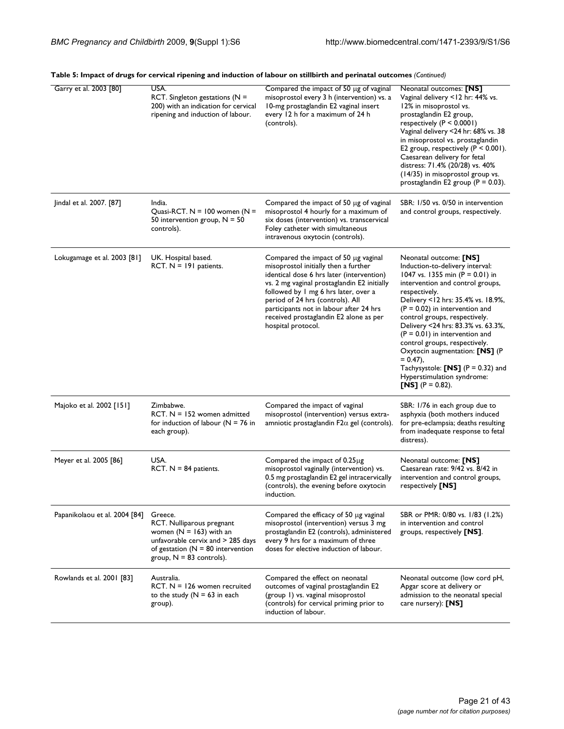| Garry et al. 2003 [80]        | USA.<br>RCT. Singleton gestations ( $N =$<br>200) with an indication for cervical<br>ripening and induction of labour.                                                       | Compared the impact of 50 µg of vaginal<br>misoprostol every 3 h (intervention) vs. a<br>10-mg prostaglandin E2 vaginal insert<br>every 12 h for a maximum of 24 h<br>(controls).                                                                                                                                                                               | Neonatal outcomes: [NS]<br>Vaginal delivery <12 hr: 44% vs.<br>12% in misoprostol vs.<br>prostaglandin E2 group,<br>respectively $(P < 0.0001)$<br>Vaginal delivery <24 hr: 68% vs. 38<br>in misoprostol vs. prostaglandin<br>E2 group, respectively $(P < 0.001)$ .<br>Caesarean delivery for fetal<br>distress: 71.4% (20/28) vs. 40%<br>(14/35) in misoprostol group vs.<br>prostaglandin E2 group ( $P = 0.03$ ).                                                                                                    |
|-------------------------------|------------------------------------------------------------------------------------------------------------------------------------------------------------------------------|-----------------------------------------------------------------------------------------------------------------------------------------------------------------------------------------------------------------------------------------------------------------------------------------------------------------------------------------------------------------|--------------------------------------------------------------------------------------------------------------------------------------------------------------------------------------------------------------------------------------------------------------------------------------------------------------------------------------------------------------------------------------------------------------------------------------------------------------------------------------------------------------------------|
| Jindal et al. 2007. [87]      | India.<br>Quasi-RCT. $N = 100$ women ( $N =$<br>50 intervention group, $N = 50$<br>controls).                                                                                | Compared the impact of 50 µg of vaginal<br>misoprostol 4 hourly for a maximum of<br>six doses (intervention) vs. transcervical<br>Foley catheter with simultaneous<br>intravenous oxytocin (controls).                                                                                                                                                          | SBR: 1/50 vs. 0/50 in intervention<br>and control groups, respectively.                                                                                                                                                                                                                                                                                                                                                                                                                                                  |
| Lokugamage et al. 2003 [81]   | UK. Hospital based.<br>$RCT. N = 191$ patients.                                                                                                                              | Compared the impact of 50 µg vaginal<br>misoprostol initially then a further<br>identical dose 6 hrs later (intervention)<br>vs. 2 mg vaginal prostaglandin E2 initially<br>followed by 1 mg 6 hrs later, over a<br>period of 24 hrs (controls). All<br>participants not in labour after 24 hrs<br>received prostaglandin E2 alone as per<br>hospital protocol. | Neonatal outcome: [NS]<br>Induction-to-delivery interval:<br>1047 vs. 1355 min ( $P = 0.01$ ) in<br>intervention and control groups,<br>respectively.<br>Delivery <12 hrs: 35.4% vs. 18.9%,<br>$(P = 0.02)$ in intervention and<br>control groups, respectively.<br>Delivery <24 hrs: 83.3% vs. 63.3%,<br>$(P = 0.01)$ in intervention and<br>control groups, respectively.<br>Oxytocin augmentation: [NS] (P<br>$= 0.47$ ),<br>Tachysystole: $[NS]$ (P = 0.32) and<br>Hyperstimulation syndrome:<br>[NS] $(P = 0.82)$ . |
| Majoko et al. 2002 [151]      | Zimbabwe.<br>$RCT. N = 152$ women admitted<br>for induction of labour ( $N = 76$ in<br>each group).                                                                          | Compared the impact of vaginal<br>misoprostol (intervention) versus extra-<br>amniotic prostaglandin $F2\alpha$ gel (controls).                                                                                                                                                                                                                                 | SBR: 1/76 in each group due to<br>asphyxia (both mothers induced<br>for pre-eclampsia; deaths resulting<br>from inadequate response to fetal<br>distress).                                                                                                                                                                                                                                                                                                                                                               |
| Meyer et al. 2005 [86]        | USA.<br>$RCT. N = 84$ patients.                                                                                                                                              | Compared the impact of $0.25\mu$ g<br>misoprostol vaginally (intervention) vs.<br>0.5 mg prostaglandin E2 gel intracervically<br>(controls), the evening before oxytocin<br>induction.                                                                                                                                                                          | Neonatal outcome: [NS]<br>Caesarean rate: 9/42 vs. 8/42 in<br>intervention and control groups,<br>respectively [NS]                                                                                                                                                                                                                                                                                                                                                                                                      |
| Papanikolaou et al. 2004 [84] | Greece.<br>RCT. Nulliparous pregnant<br>women $(N = 163)$ with an<br>unfavorable cervix and > 285 days<br>of gestation ( $N = 80$ intervention<br>group, $N = 83$ controls). | Compared the efficacy of 50 µg vaginal<br>misoprostol (intervention) versus 3 mg<br>prostaglandin E2 (controls), administered<br>every 9 hrs for a maximum of three<br>doses for elective induction of labour.                                                                                                                                                  | SBR or PMR: 0/80 vs. 1/83 (1.2%)<br>in intervention and control<br>groups, respectively [NS].                                                                                                                                                                                                                                                                                                                                                                                                                            |
| Rowlands et al. 2001 [83]     | Australia.<br>$RCT. N = 126$ women recruited<br>to the study ( $N = 63$ in each<br>group).                                                                                   | Compared the effect on neonatal<br>outcomes of vaginal prostaglandin E2<br>(group 1) vs. vaginal misoprostol<br>(controls) for cervical priming prior to<br>induction of labour.                                                                                                                                                                                | Neonatal outcome (low cord pH,<br>Apgar score at delivery or<br>admission to the neonatal special<br>care nursery): [NS]                                                                                                                                                                                                                                                                                                                                                                                                 |

| Table 5: Impact of drugs for cervical ripening and induction of labour on stillbirth and perinatal outcomes (Continued) |  |  |  |  |
|-------------------------------------------------------------------------------------------------------------------------|--|--|--|--|
|-------------------------------------------------------------------------------------------------------------------------|--|--|--|--|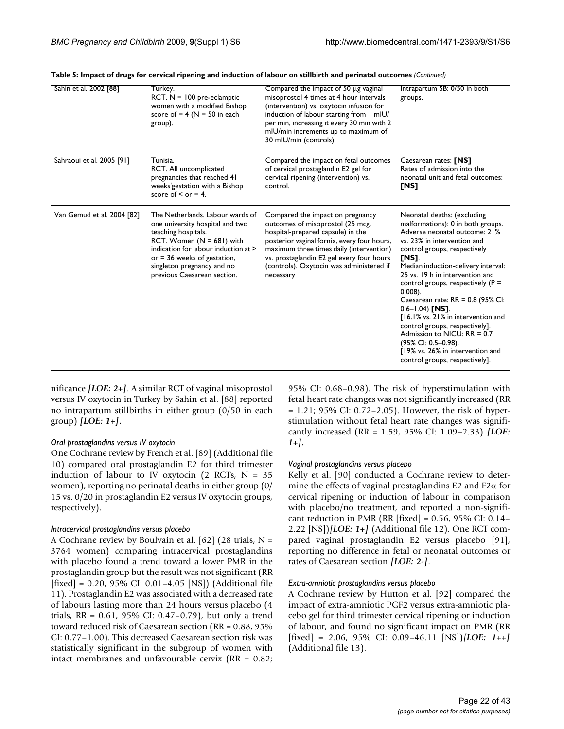| Sahin et al. 2002 [88]     | Turkey.<br>$RCT. N = 100$ pre-eclamptic<br>women with a modified Bishop<br>score of $= 4$ (N $= 50$ in each<br>group).                                                                                                                                          | Compared the impact of 50 µg vaginal<br>misoprostol 4 times at 4 hour intervals<br>(intervention) vs. oxytocin infusion for<br>induction of labour starting from 1 mIU/<br>per min, increasing it every 30 min with 2<br>mlU/min increments up to maximum of<br>30 mIU/min (controls).                     | Intrapartum SB: 0/50 in both<br>groups.                                                                                                                                                                                                                                                                                                                                                                                                                                                                                                                                              |
|----------------------------|-----------------------------------------------------------------------------------------------------------------------------------------------------------------------------------------------------------------------------------------------------------------|------------------------------------------------------------------------------------------------------------------------------------------------------------------------------------------------------------------------------------------------------------------------------------------------------------|--------------------------------------------------------------------------------------------------------------------------------------------------------------------------------------------------------------------------------------------------------------------------------------------------------------------------------------------------------------------------------------------------------------------------------------------------------------------------------------------------------------------------------------------------------------------------------------|
| Sahraoui et al. 2005 [91]  | Tunisia.<br>RCT. All uncomplicated<br>pregnancies that reached 41<br>weeks'gestation with a Bishop<br>score of $\le$ or = 4.                                                                                                                                    | Compared the impact on fetal outcomes<br>of cervical prostaglandin E2 gel for<br>cervical ripening (intervention) vs.<br>control.                                                                                                                                                                          | Caesarean rates: [NS]<br>Rates of admission into the<br>neonatal unit and fetal outcomes:<br>[NS]                                                                                                                                                                                                                                                                                                                                                                                                                                                                                    |
| Van Gemud et al. 2004 [82] | The Netherlands. Labour wards of<br>one university hospital and two<br>teaching hospitals.<br>RCT. Women $(N = 681)$ with<br>indication for labour induction at ><br>or $=$ 36 weeks of gestation,<br>singleton pregnancy and no<br>previous Caesarean section. | Compared the impact on pregnancy<br>outcomes of misoprostol (25 mcg,<br>hospital-prepared capsule) in the<br>posterior vaginal fornix, every four hours,<br>maximum three times daily (intervention)<br>vs. prostaglandin E2 gel every four hours<br>(controls). Oxytocin was administered if<br>necessary | Neonatal deaths: (excluding<br>malformations): 0 in both groups.<br>Adverse neonatal outcome: 21%<br>vs. 23% in intervention and<br>control groups, respectively<br><b>[NS].</b><br>Median induction-delivery interval:<br>25 vs. 19 h in intervention and<br>control groups, respectively $(P =$<br>$0.008$ ).<br>Caesarean rate: $RR = 0.8$ (95% CI:<br>$0.6 - 1.04$ ) [NS].<br>[16.1% vs. 21% in intervention and<br>control groups, respectively].<br>Admission to NICU: $RR = 0.7$<br>(95% CI: 0.5-0.98).<br>[19% vs. 26% in intervention and<br>control groups, respectively]. |

**Table 5: Impact of drugs for cervical ripening and induction of labour on stillbirth and perinatal outcomes** *(Continued)*

nificance *[LOE: 2+]*. A similar RCT of vaginal misoprostol versus IV oxytocin in Turkey by Sahin et al. [88] reported no intrapartum stillbirths in either group (0/50 in each group) *[LOE: 1+].*

#### *Oral prostaglandins versus IV oxytocin*

One Cochrane review by French et al. [89] (Additional file 10) compared oral prostaglandin E2 for third trimester induction of labour to IV oxytocin (2 RCTs,  $N = 35$ women), reporting no perinatal deaths in either group (0/ 15 vs. 0/20 in prostaglandin E2 versus IV oxytocin groups, respectively).

#### *Intracervical prostaglandins versus placebo*

A Cochrane review by Boulvain et al. [62] (28 trials,  $N =$ 3764 women) comparing intracervical prostaglandins with placebo found a trend toward a lower PMR in the prostaglandin group but the result was not significant (RR [fixed] = 0.20, 95% CI: 0.01–4.05 [NS]) (Additional file 11). Prostaglandin E2 was associated with a decreased rate of labours lasting more than 24 hours versus placebo (4 trials, RR = 0.61, 95% CI: 0.47–0.79), but only a trend toward reduced risk of Caesarean section (RR = 0.88, 95% CI: 0.77–1.00). This decreased Caesarean section risk was statistically significant in the subgroup of women with intact membranes and unfavourable cervix (RR = 0.82;

95% CI: 0.68–0.98). The risk of hyperstimulation with fetal heart rate changes was not significantly increased (RR  $= 1.21$ ; 95% CI: 0.72–2.05). However, the risk of hyperstimulation without fetal heart rate changes was significantly increased (RR = 1.59, 95% CI: 1.09–2.33) *[LOE: 1+].*

#### *Vaginal prostaglandins versus placebo*

Kelly et al. [90] conducted a Cochrane review to determine the effects of vaginal prostaglandins E2 and F2 $\alpha$  for cervical ripening or induction of labour in comparison with placebo/no treatment, and reported a non-significant reduction in PMR (RR [fixed] =  $0.56$ ,  $95\%$  CI:  $0.14$ -2.22 [NS])*[LOE: 1+]* (Additional file 12). One RCT compared vaginal prostaglandin E2 versus placebo [91], reporting no difference in fetal or neonatal outcomes or rates of Caesarean section *[LOE: 2-]*.

### *Extra-amniotic prostaglandins versus placebo*

A Cochrane review by Hutton et al. [92] compared the impact of extra-amniotic PGF2 versus extra-amniotic placebo gel for third trimester cervical ripening or induction of labour, and found no significant impact on PMR (RR [fixed] = 2.06, 95% CI: 0.09–46.11 [NS])*[LOE: 1++]* (Additional file 13).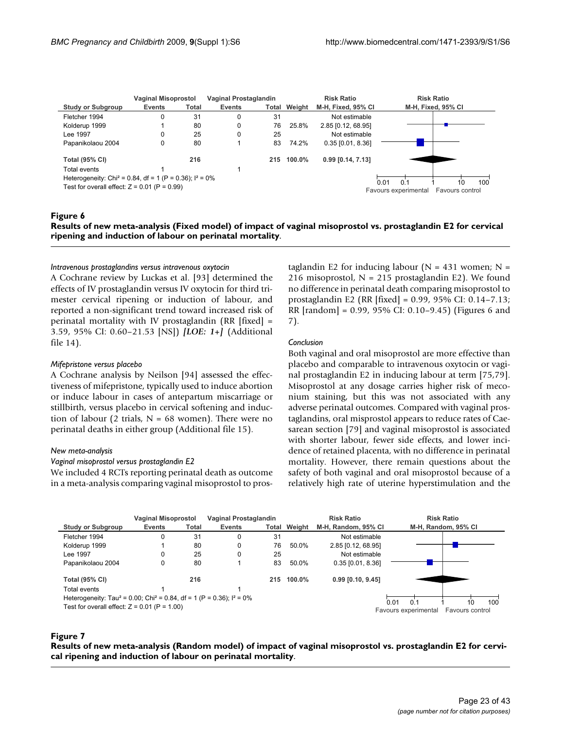|                                                                        | <b>Vaginal Misoprostol</b> |       | Vaginal Prostaglandin |     |              | <b>Risk Ratio</b>   | <b>Risk Ratio</b>                              |
|------------------------------------------------------------------------|----------------------------|-------|-----------------------|-----|--------------|---------------------|------------------------------------------------|
| <b>Study or Subgroup</b>                                               | <b>Events</b>              | Total | Events                |     | Total Weight | M-H, Fixed, 95% CI  | M-H, Fixed, 95% CI                             |
| Fletcher 1994                                                          | 0                          | 31    |                       | 31  |              | Not estimable       |                                                |
| Kolderup 1999                                                          |                            | 80    | 0                     | 76  | 25.8%        | 2.85 [0.12, 68.95]  |                                                |
| Lee 1997                                                               | 0                          | 25    | 0                     | 25  |              | Not estimable       |                                                |
| Papanikolaou 2004                                                      | 0                          | 80    |                       | 83  | 74.2%        | $0.35$ [0.01, 8.36] |                                                |
| <b>Total (95% CI)</b>                                                  |                            | 216   |                       | 215 | $100.0\%$    | 0.99 [0.14, 7.13]   |                                                |
| Total events                                                           |                            |       |                       |     |              |                     |                                                |
| Heterogeneity: Chi <sup>2</sup> = 0.84, df = 1 (P = 0.36); $I^2 = 0\%$ |                            |       |                       |     |              |                     | 100<br>0.01<br>10                              |
| Test for overall effect: $Z = 0.01$ (P = 0.99)                         |                            |       |                       |     |              |                     | 0.1<br>Favours experimental<br>Favours control |

#### Results of new meta-analysis (Fixed model) of impact of vagina tion of labour on perinatal mortality **Figure 6** l misoprostol vs. dinoprostone for cervical ripening and induc-

| Results of new meta-analysis (Fixed model) of impact of vaginal misoprostol vs. prostaglandin E2 for cervical |  |
|---------------------------------------------------------------------------------------------------------------|--|
| ripening and induction of labour on perinatal mortality.                                                      |  |

#### *Intravenous prostaglandins versus intravenous oxytocin*

A Cochrane review by Luckas et al. [93] determined the effects of IV prostaglandin versus IV oxytocin for third trimester cervical ripening or induction of labour, and reported a non-significant trend toward increased risk of perinatal mortality with IV prostaglandin (RR [fixed] = 3.59, 95% CI: 0.60–21.53 [NS]) *[LOE: 1+]* (Additional file 14).

#### *Mifepristone versus placebo*

A Cochrane analysis by Neilson [94] assessed the effectiveness of mifepristone, typically used to induce abortion or induce labour in cases of antepartum miscarriage or stillbirth, versus placebo in cervical softening and induction of labour (2 trials,  $N = 68$  women). There were no perinatal deaths in either group (Additional file 15).

#### *New meta-analysis*

#### *Vaginal misoprostol versus prostaglandin E2*

We included 4 RCTs reporting perinatal death as outcome in a meta-analysis comparing vaginal misoprostol to prostaglandin E2 for inducing labour ( $N = 431$  women;  $N =$ 216 misoprostol,  $N = 215$  prostaglandin E2). We found no difference in perinatal death comparing misoprostol to prostaglandin E2 (RR [fixed] = 0.99, 95% CI: 0.14–7.13; RR [random] = 0.99, 95% CI: 0.10–9.45) (Figures 6 and 7).

#### *Conclusion*

Both vaginal and oral misoprostol are more effective than placebo and comparable to intravenous oxytocin or vaginal prostaglandin E2 in inducing labour at term [75,79]. Misoprostol at any dosage carries higher risk of meconium staining, but this was not associated with any adverse perinatal outcomes. Compared with vaginal prostaglandins, oral misprostol appears to reduce rates of Caesarean section [79] and vaginal misoprostol is associated with shorter labour, fewer side effects, and lower incidence of retained placenta, with no difference in perinatal mortality. However, there remain questions about the safety of both vaginal and oral misoprostol because of a relatively high rate of uterine hyperstimulation and the

|                                                                                                | Vaginal Misoprostol |              | Vaginal Prostaglandin |     |                     | <b>Risk Ratio</b>   |                                     | <b>Risk Ratio</b>     |     |
|------------------------------------------------------------------------------------------------|---------------------|--------------|-----------------------|-----|---------------------|---------------------|-------------------------------------|-----------------------|-----|
| <b>Study or Subgroup</b>                                                                       | <b>Events</b>       | <b>Total</b> | <b>Events</b>         |     | <b>Total Weight</b> | M-H, Random, 95% CI |                                     | M-H, Random, 95% CI   |     |
| Fletcher 1994                                                                                  | 0                   | 31           | 0                     | 31  |                     | Not estimable       |                                     |                       |     |
| Kolderup 1999                                                                                  |                     | 80           | 0                     | 76  | 50.0%               | 2.85 [0.12, 68.95]  |                                     |                       |     |
| Lee 1997                                                                                       |                     | 25           | 0                     | 25  |                     | Not estimable       |                                     |                       |     |
| Papanikolaou 2004                                                                              | 0                   | 80           |                       | 83  | 50.0%               | $0.35$ [0.01, 8.36] |                                     |                       |     |
| <b>Total (95% CI)</b>                                                                          |                     | 216          |                       | 215 | 100.0%              | $0.99$ [0.10, 9.45] |                                     |                       |     |
| Total events                                                                                   |                     |              |                       |     |                     |                     |                                     |                       |     |
| Heterogeneity: Tau <sup>2</sup> = 0.00; Chi <sup>2</sup> = 0.84, df = 1 (P = 0.36); $1^2$ = 0% |                     |              |                       |     |                     |                     |                                     |                       |     |
| Test for overall effect: $Z = 0.01$ (P = 1.00)                                                 |                     |              |                       |     |                     |                     | 0.01<br>0.1<br>Favours experimental | 10<br>Favours control | 100 |

#### Results of new meta-analysis (Random model) induction of labour on perinatal mortality **Figure 7** of impact of vaginal misoprostol vs. prostaglandin E2 for cervical ripening and

**Results of new meta-analysis (Random model) of impact of vaginal misoprostol vs. prostaglandin E2 for cervical ripening and induction of labour on perinatal mortality**.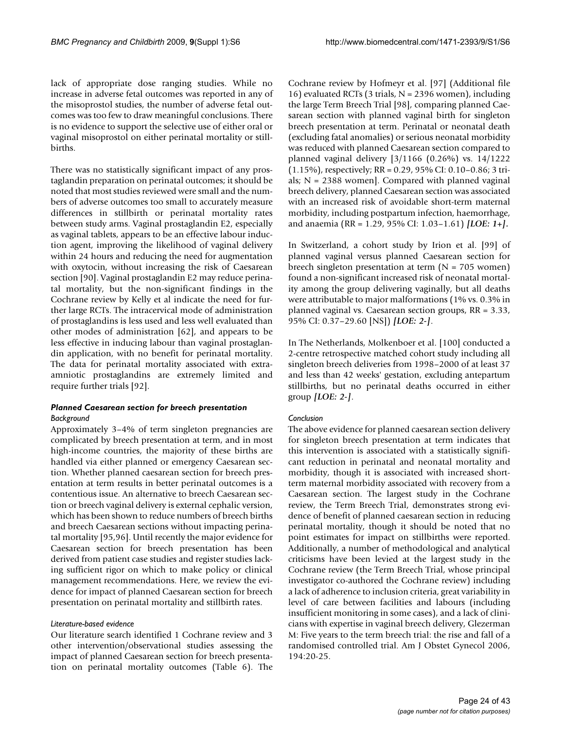lack of appropriate dose ranging studies. While no increase in adverse fetal outcomes was reported in any of the misoprostol studies, the number of adverse fetal outcomes was too few to draw meaningful conclusions. There is no evidence to support the selective use of either oral or vaginal misoprostol on either perinatal mortality or stillbirths.

There was no statistically significant impact of any prostaglandin preparation on perinatal outcomes; it should be noted that most studies reviewed were small and the numbers of adverse outcomes too small to accurately measure differences in stillbirth or perinatal mortality rates between study arms. Vaginal prostaglandin E2, especially as vaginal tablets, appears to be an effective labour induction agent, improving the likelihood of vaginal delivery within 24 hours and reducing the need for augmentation with oxytocin, without increasing the risk of Caesarean section [90]. Vaginal prostaglandin E2 may reduce perinatal mortality, but the non-significant findings in the Cochrane review by Kelly et al indicate the need for further large RCTs. The intracervical mode of administration of prostaglandins is less used and less well evaluated than other modes of administration [62], and appears to be less effective in inducing labour than vaginal prostaglandin application, with no benefit for perinatal mortality. The data for perinatal mortality associated with extraamniotic prostaglandins are extremely limited and require further trials [92].

## *Planned Caesarean section for breech presentation Background*

Approximately 3–4% of term singleton pregnancies are complicated by breech presentation at term, and in most high-income countries, the majority of these births are handled via either planned or emergency Caesarean section. Whether planned caesarean section for breech presentation at term results in better perinatal outcomes is a contentious issue. An alternative to breech Caesarean section or breech vaginal delivery is external cephalic version, which has been shown to reduce numbers of breech births and breech Caesarean sections without impacting perinatal mortality [95,96]. Until recently the major evidence for Caesarean section for breech presentation has been derived from patient case studies and register studies lacking sufficient rigor on which to make policy or clinical management recommendations. Here, we review the evidence for impact of planned Caesarean section for breech presentation on perinatal mortality and stillbirth rates.

### *Literature-based evidence*

Our literature search identified 1 Cochrane review and 3 other intervention/observational studies assessing the impact of planned Caesarean section for breech presentation on perinatal mortality outcomes (Table 6). The Cochrane review by Hofmeyr et al. [97] (Additional file 16) evaluated RCTs (3 trials, N = 2396 women), including the large Term Breech Trial [98], comparing planned Caesarean section with planned vaginal birth for singleton breech presentation at term. Perinatal or neonatal death (excluding fatal anomalies) or serious neonatal morbidity was reduced with planned Caesarean section compared to planned vaginal delivery [3/1166 (0.26%) vs. 14/1222 (1.15%), respectively; RR = 0.29, 95% CI: 0.10–0.86; 3 trials;  $N = 2388$  women]. Compared with planned vaginal breech delivery, planned Caesarean section was associated with an increased risk of avoidable short-term maternal morbidity, including postpartum infection, haemorrhage, and anaemia (RR = 1.29, 95% CI: 1.03–1.61) *[LOE: 1+].*

In Switzerland, a cohort study by Irion et al. [99] of planned vaginal versus planned Caesarean section for breech singleton presentation at term  $(N = 705$  women) found a non-significant increased risk of neonatal mortality among the group delivering vaginally, but all deaths were attributable to major malformations (1% vs. 0.3% in planned vaginal vs. Caesarean section groups, RR = 3.33, 95% CI: 0.37–29.60 [NS]) *[LOE: 2-]*.

In The Netherlands, Molkenboer et al. [100] conducted a 2-centre retrospective matched cohort study including all singleton breech deliveries from 1998–2000 of at least 37 and less than 42 weeks' gestation, excluding antepartum stillbirths, but no perinatal deaths occurred in either group *[LOE: 2-]*.

### *Conclusion*

The above evidence for planned caesarean section delivery for singleton breech presentation at term indicates that this intervention is associated with a statistically significant reduction in perinatal and neonatal mortality and morbidity, though it is associated with increased shortterm maternal morbidity associated with recovery from a Caesarean section. The largest study in the Cochrane review, the Term Breech Trial, demonstrates strong evidence of benefit of planned caesarean section in reducing perinatal mortality, though it should be noted that no point estimates for impact on stillbirths were reported. Additionally, a number of methodological and analytical criticisms have been levied at the largest study in the Cochrane review (the Term Breech Trial, whose principal investigator co-authored the Cochrane review) including a lack of adherence to inclusion criteria, great variability in level of care between facilities and labours (including insufficient monitoring in some cases), and a lack of clinicians with expertise in vaginal breech delivery, Glezerman M: Five years to the term breech trial: the rise and fall of a randomised controlled trial. Am J Obstet Gynecol 2006, 194:20-25.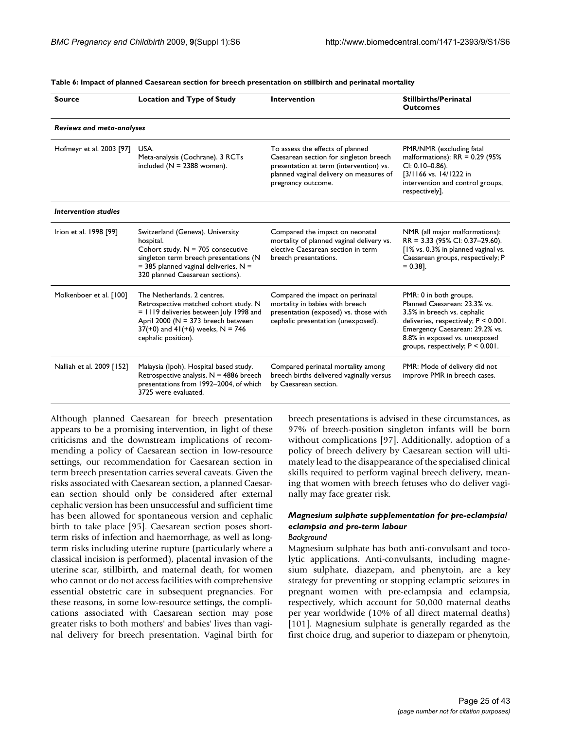| Source                                                                                                | <b>Location and Type of Study</b>                                                                                                                                                                                       | Intervention                                                                                                                                                                           | <b>Stillbirths/Perinatal</b><br><b>Outcomes</b>                                                                                                                                                                                            |
|-------------------------------------------------------------------------------------------------------|-------------------------------------------------------------------------------------------------------------------------------------------------------------------------------------------------------------------------|----------------------------------------------------------------------------------------------------------------------------------------------------------------------------------------|--------------------------------------------------------------------------------------------------------------------------------------------------------------------------------------------------------------------------------------------|
| <b>Reviews and meta-analyses</b>                                                                      |                                                                                                                                                                                                                         |                                                                                                                                                                                        |                                                                                                                                                                                                                                            |
| Hofmeyr et al. 2003 [97]<br>USA.<br>Meta-analysis (Cochrane). 3 RCTs<br>included ( $N = 2388$ women). |                                                                                                                                                                                                                         | To assess the effects of planned<br>Caesarean section for singleton breech<br>presentation at term (intervention) vs.<br>planned vaginal delivery on measures of<br>pregnancy outcome. | PMR/NMR (excluding fatal<br>malformations): $RR = 0.29$ (95%)<br>$Cl: 0.10 - 0.86$ ).<br>[3/1166 vs. 14/1222 in<br>intervention and control groups,<br>respectively].                                                                      |
| <b>Intervention studies</b>                                                                           |                                                                                                                                                                                                                         |                                                                                                                                                                                        |                                                                                                                                                                                                                                            |
| Irion et al. 1998 [99]                                                                                | Switzerland (Geneva). University<br>hospital.<br>Cohort study. $N = 705$ consecutive<br>singleton term breech presentations (N<br>$=$ 385 planned vaginal deliveries, N =<br>320 planned Caesarean sections).           | Compared the impact on neonatal<br>mortality of planned vaginal delivery vs.<br>elective Caesarean section in term<br>breech presentations.                                            | NMR (all major malformations):<br>RR = 3.33 (95% CI: 0.37-29.60).<br>[1% vs. 0.3% in planned vaginal vs.<br>Caesarean groups, respectively; P<br>$= 0.38$ ].                                                                               |
| Molkenboer et al. [100]                                                                               | The Netherlands, 2 centres.<br>Retrospective matched cohort study. N<br>= 1119 deliveries between July 1998 and<br>April 2000 ( $N = 373$ breech between<br>$37(+0)$ and $41(+6)$ weeks, N = 746<br>cephalic position). | Compared the impact on perinatal<br>mortality in babies with breech<br>presentation (exposed) vs. those with<br>cephalic presentation (unexposed).                                     | PMR: 0 in both groups.<br>Planned Caesarean: 23.3% vs.<br>3.5% in breech vs. cephalic<br>deliveries, respectively; $P < 0.001$ .<br>Emergency Caesarean: 29.2% vs.<br>8.8% in exposed vs. unexposed<br>groups, respectively; $P < 0.001$ . |
| Nalliah et al. 2009 [152]                                                                             | Malaysia (Ipoh). Hospital based study.<br>Retrospective analysis. $N = 4886$ breech<br>presentations from 1992-2004, of which<br>3725 were evaluated.                                                                   | Compared perinatal mortality among<br>breech births delivered vaginally versus<br>by Caesarean section.                                                                                | PMR: Mode of delivery did not<br>improve PMR in breech cases.                                                                                                                                                                              |

|  |  |  |  | Table 6: Impact of planned Caesarean section for breech presentation on stillbirth and perinatal mortality |  |  |  |  |
|--|--|--|--|------------------------------------------------------------------------------------------------------------|--|--|--|--|
|--|--|--|--|------------------------------------------------------------------------------------------------------------|--|--|--|--|

Although planned Caesarean for breech presentation appears to be a promising intervention, in light of these criticisms and the downstream implications of recommending a policy of Caesarean section in low-resource settings, our recommendation for Caesarean section in term breech presentation carries several caveats. Given the risks associated with Caesarean section, a planned Caesarean section should only be considered after external cephalic version has been unsuccessful and sufficient time has been allowed for spontaneous version and cephalic birth to take place [95]. Caesarean section poses shortterm risks of infection and haemorrhage, as well as longterm risks including uterine rupture (particularly where a classical incision is performed), placental invasion of the uterine scar, stillbirth, and maternal death, for women who cannot or do not access facilities with comprehensive essential obstetric care in subsequent pregnancies. For these reasons, in some low-resource settings, the complications associated with Caesarean section may pose greater risks to both mothers' and babies' lives than vaginal delivery for breech presentation. Vaginal birth for breech presentations is advised in these circumstances, as 97% of breech-position singleton infants will be born without complications [97]. Additionally, adoption of a policy of breech delivery by Caesarean section will ultimately lead to the disappearance of the specialised clinical skills required to perform vaginal breech delivery, meaning that women with breech fetuses who do deliver vaginally may face greater risk.

# *Magnesium sulphate supplementation for pre-eclampsia/ eclampsia and pre-term labour*

## *Background*

Magnesium sulphate has both anti-convulsant and tocolytic applications. Anti-convulsants, including magnesium sulphate, diazepam, and phenytoin, are a key strategy for preventing or stopping eclamptic seizures in pregnant women with pre-eclampsia and eclampsia, respectively, which account for 50,000 maternal deaths per year worldwide (10% of all direct maternal deaths) [101]. Magnesium sulphate is generally regarded as the first choice drug, and superior to diazepam or phenytoin,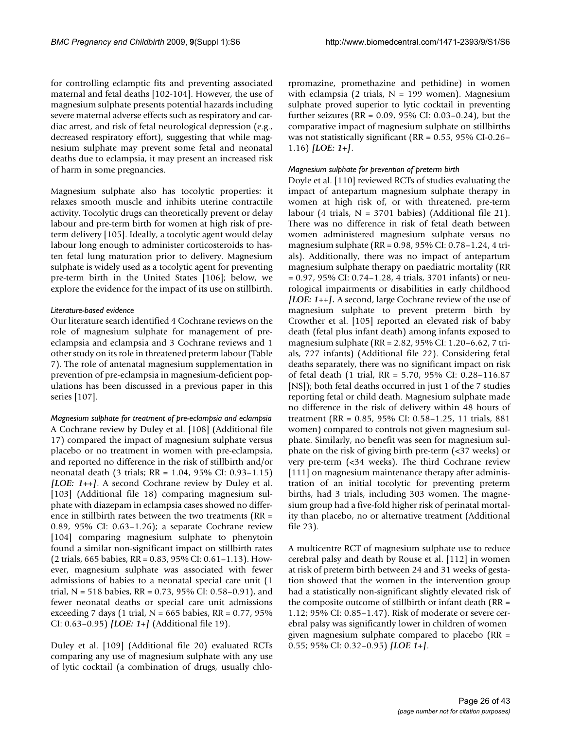for controlling eclamptic fits and preventing associated maternal and fetal deaths [\[102](#page-40-0)-104]. However, the use of magnesium sulphate presents potential hazards including severe maternal adverse effects such as respiratory and cardiac arrest, and risk of fetal neurological depression (e.g., decreased respiratory effort), suggesting that while magnesium sulphate may prevent some fetal and neonatal deaths due to eclampsia, it may present an increased risk of harm in some pregnancies.

Magnesium sulphate also has tocolytic properties: it relaxes smooth muscle and inhibits uterine contractile activity. Tocolytic drugs can theoretically prevent or delay labour and pre-term birth for women at high risk of preterm delivery [105]. Ideally, a tocolytic agent would delay labour long enough to administer corticosteroids to hasten fetal lung maturation prior to delivery. Magnesium sulphate is widely used as a tocolytic agent for preventing pre-term birth in the United States [106]; below, we explore the evidence for the impact of its use on stillbirth.

## *Literature-based evidence*

Our literature search identified 4 Cochrane reviews on the role of magnesium sulphate for management of preeclampsia and eclampsia and 3 Cochrane reviews and 1 other study on its role in threatened preterm labour (Table 7). The role of antenatal magnesium supplementation in prevention of pre-eclampsia in magnesium-deficient populations has been discussed in a previous paper in this series [107].

*Magnesium sulphate for treatment of pre-eclampsia and eclampsia* A Cochrane review by Duley et al. [108] (Additional file 17) compared the impact of magnesium sulphate versus placebo or no treatment in women with pre-eclampsia, and reported no difference in the risk of stillbirth and/or neonatal death (3 trials; RR = 1.04, 95% CI: 0.93–1.15) *[LOE: 1++]*. A second Cochrane review by Duley et al. [103] (Additional file 18) comparing magnesium sulphate with diazepam in eclampsia cases showed no difference in stillbirth rates between the two treatments (RR = 0.89, 95% CI: 0.63–1.26); a separate Cochrane review [104] comparing magnesium sulphate to phenytoin found a similar non-significant impact on stillbirth rates (2 trials, 665 babies, RR = 0.83, 95% CI: 0.61–1.13). However, magnesium sulphate was associated with fewer admissions of babies to a neonatal special care unit (1 trial, N = 518 babies, RR = 0.73, 95% CI: 0.58–0.91), and fewer neonatal deaths or special care unit admissions exceeding 7 days (1 trial,  $N = 665$  babies,  $RR = 0.77$ , 95% CI: 0.63–0.95) *[LOE: 1+]* (Additional file 19).

Duley et al. [109] (Additional file 20) evaluated RCTs comparing any use of magnesium sulphate with any use of lytic cocktail (a combination of drugs, usually chlorpromazine, promethazine and pethidine) in women with eclampsia (2 trials,  $N = 199$  women). Magnesium sulphate proved superior to lytic cocktail in preventing further seizures (RR = 0.09, 95% CI: 0.03–0.24), but the comparative impact of magnesium sulphate on stillbirths was not statistically significant (RR = 0.55, 95% CI-0.26– 1.16) *[LOE: 1+]*.

### *Magnesium sulphate for prevention of preterm birth*

Doyle et al. [110] reviewed RCTs of studies evaluating the impact of antepartum magnesium sulphate therapy in women at high risk of, or with threatened, pre-term labour (4 trials,  $N = 3701$  babies) (Additional file 21). There was no difference in risk of fetal death between women administered magnesium sulphate versus no magnesium sulphate (RR = 0.98, 95% CI: 0.78–1.24, 4 trials). Additionally, there was no impact of antepartum magnesium sulphate therapy on paediatric mortality (RR = 0.97, 95% CI: 0.74–1.28, 4 trials, 3701 infants) or neurological impairments or disabilities in early childhood *[LOE: 1++].* A second, large Cochrane review of the use of magnesium sulphate to prevent preterm birth by Crowther et al. [105] reported an elevated risk of baby death (fetal plus infant death) among infants exposed to magnesium sulphate (RR = 2.82, 95% CI: 1.20–6.62, 7 trials, 727 infants) (Additional file 22). Considering fetal deaths separately, there was no significant impact on risk of fetal death (1 trial, RR = 5.70, 95% CI: 0.28–116.87 [NS]); both fetal deaths occurred in just 1 of the 7 studies reporting fetal or child death. Magnesium sulphate made no difference in the risk of delivery within 48 hours of treatment (RR = 0.85, 95% CI: 0.58–1.25, 11 trials, 881 women) compared to controls not given magnesium sulphate. Similarly, no benefit was seen for magnesium sulphate on the risk of giving birth pre-term (<37 weeks) or very pre-term (<34 weeks). The third Cochrane review [111] on magnesium maintenance therapy after administration of an initial tocolytic for preventing preterm births, had 3 trials, including 303 women. The magnesium group had a five-fold higher risk of perinatal mortality than placebo, no or alternative treatment (Additional file 23).

A multicentre RCT of magnesium sulphate use to reduce cerebral palsy and death by Rouse et al. [112] in women at risk of preterm birth between 24 and 31 weeks of gestation showed that the women in the intervention group had a statistically non-significant slightly elevated risk of the composite outcome of stillbirth or infant death (RR = 1.12; 95% CI: 0.85–1.47). Risk of moderate or severe cerebral palsy was significantly lower in children of women given magnesium sulphate compared to placebo (RR = 0.55; 95% CI: 0.32–0.95) *[LOE 1+]*.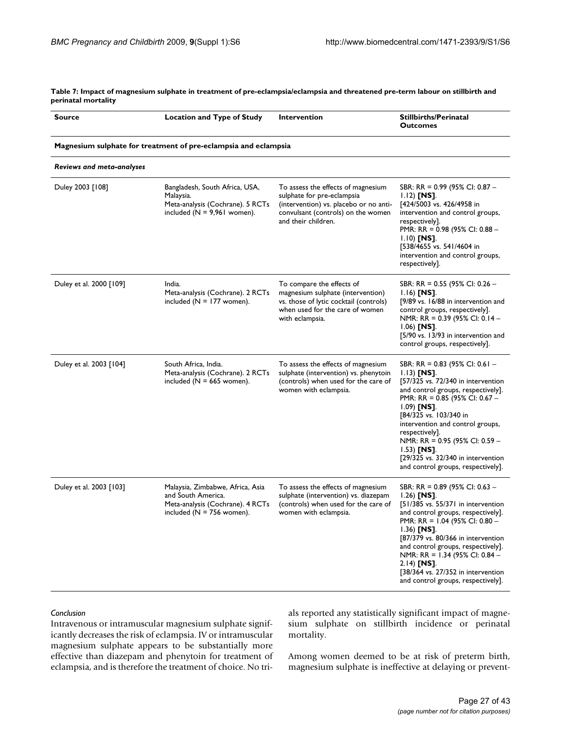| Source                           | <b>Location and Type of Study</b>                                                                                          | Intervention                                                                                                                                                            | <b>Stillbirths/Perinatal</b><br><b>Outcomes</b>                                                                                                                                                                                                                                                                                                                                                 |
|----------------------------------|----------------------------------------------------------------------------------------------------------------------------|-------------------------------------------------------------------------------------------------------------------------------------------------------------------------|-------------------------------------------------------------------------------------------------------------------------------------------------------------------------------------------------------------------------------------------------------------------------------------------------------------------------------------------------------------------------------------------------|
|                                  | Magnesium sulphate for treatment of pre-eclampsia and eclampsia                                                            |                                                                                                                                                                         |                                                                                                                                                                                                                                                                                                                                                                                                 |
| <b>Reviews and meta-analyses</b> |                                                                                                                            |                                                                                                                                                                         |                                                                                                                                                                                                                                                                                                                                                                                                 |
| Duley 2003 [108]                 | Bangladesh, South Africa, USA,<br>Malaysia.<br>Meta-analysis (Cochrane). 5 RCTs<br>included ( $N = 9,961$ women).          | To assess the effects of magnesium<br>sulphate for pre-eclampsia<br>(intervention) vs. placebo or no anti-<br>convulsant (controls) on the women<br>and their children. | SBR: RR = 0.99 (95% CI: 0.87 -<br>$1.12)$ [NS].<br>[424/5003 vs. 426/4958 in<br>intervention and control groups,<br>respectively].<br>PMR: RR = $0.98$ (95% CI: $0.88 -$<br>$1.10)$ [NS].<br>[538/4655 vs. 541/4604 in<br>intervention and control groups,<br>respectively].                                                                                                                    |
| Duley et al. 2000 [109]          | India.<br>Meta-analysis (Cochrane). 2 RCTs<br>included ( $N = 177$ women).                                                 | To compare the effects of<br>magnesium sulphate (intervention)<br>vs. those of lytic cocktail (controls)<br>when used for the care of women<br>with eclampsia.          | SBR: RR = 0.55 (95% CI: 0.26 –<br>$1.16$ ) [NS].<br>[9/89 vs. 16/88 in intervention and<br>control groups, respectively].<br>NMR: RR = 0.39 (95% CI: 0.14 –<br>$1.06$ ) [NS].<br>[5/90 vs. 13/93 in intervention and<br>control groups, respectively].                                                                                                                                          |
| Duley et al. 2003 [104]          | South Africa, India.<br>Meta-analysis (Cochrane). 2 RCTs<br>included ( $N = 665$ women).                                   | To assess the effects of magnesium<br>sulphate (intervention) vs. phenytoin<br>(controls) when used for the care of<br>women with eclampsia.                            | SBR: RR = 0.83 (95% CI: 0.61 -<br>$1.13)$ [NS].<br>[57/325 vs. 72/340 in intervention<br>and control groups, respectively].<br>PMR: RR = $0.85$ (95% CI: 0.67 –<br>$1.09)$ [NS].<br>[84/325 vs. 103/340 in<br>intervention and control groups,<br>respectively].<br>NMR: RR = 0.95 (95% CI: 0.59 -<br>$1.53)$ [NS].<br>[29/325 vs. 32/340 in intervention<br>and control groups, respectively]. |
| Duley et al. 2003 [103]          | Malaysia, Zimbabwe, Africa, Asia<br>and South America.<br>Meta-analysis (Cochrane). 4 RCTs<br>included ( $N = 756$ women). | To assess the effects of magnesium<br>sulphate (intervention) vs. diazepam<br>(controls) when used for the care of<br>women with eclampsia.                             | SBR: RR = 0.89 (95% CI: 0.63 -<br>$1.26)$ [NS].<br>[51/385 vs. 55/371 in intervention<br>and control groups, respectively].<br>PMR: RR = $1.04$ (95% CI: 0.80 -<br>$1.36)$ [NS].<br>[87/379 vs. 80/366 in intervention<br>and control groups, respectively].<br>NMR: RR = 1.34 (95% CI: 0.84 -<br>$2.14)$ [NS].<br>$[38/364$ vs. $27/352$ in intervention<br>and control groups, respectively]. |

**Table 7: Impact of magnesium sulphate in treatment of pre-eclampsia/eclampsia and threatened pre-term labour on stillbirth and perinatal mortality**

#### *Conclusion*

Intravenous or intramuscular magnesium sulphate significantly decreases the risk of eclampsia. IV or intramuscular magnesium sulphate appears to be substantially more effective than diazepam and phenytoin for treatment of eclampsia, and is therefore the treatment of choice. No trials reported any statistically significant impact of magnesium sulphate on stillbirth incidence or perinatal mortality.

Among women deemed to be at risk of preterm birth, magnesium sulphate is ineffective at delaying or prevent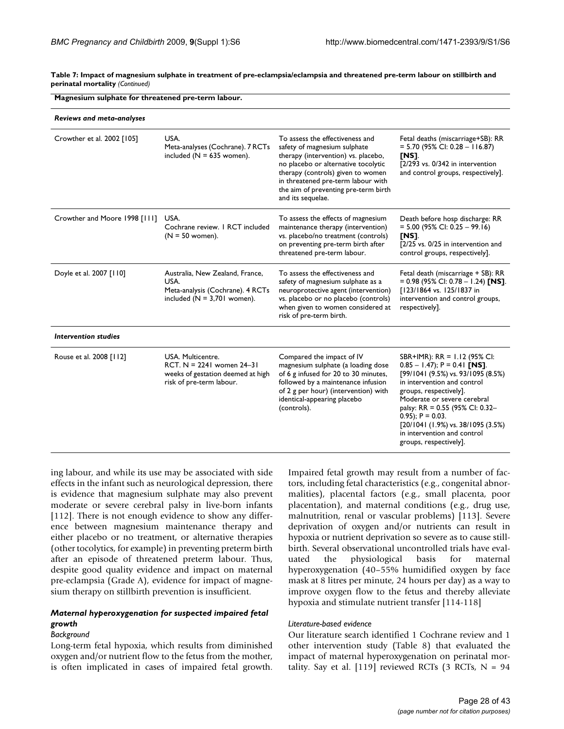**Table 7: Impact of magnesium sulphate in treatment of pre-eclampsia/eclampsia and threatened pre-term labour on stillbirth and perinatal mortality** *(Continued)*

| Magnesium sulphate for threatened pre-term labour. |                                                                                                                     |                                                                                                                                                                                                                                                                                       |                                                                                                                                                                                                                                                                                                                                                          |
|----------------------------------------------------|---------------------------------------------------------------------------------------------------------------------|---------------------------------------------------------------------------------------------------------------------------------------------------------------------------------------------------------------------------------------------------------------------------------------|----------------------------------------------------------------------------------------------------------------------------------------------------------------------------------------------------------------------------------------------------------------------------------------------------------------------------------------------------------|
| <b>Reviews and meta-analyses</b>                   |                                                                                                                     |                                                                                                                                                                                                                                                                                       |                                                                                                                                                                                                                                                                                                                                                          |
| Crowther et al. 2002 [105]                         | USA.<br>Meta-analyses (Cochrane). 7 RCTs<br>included ( $N = 635$ women).                                            | To assess the effectiveness and<br>safety of magnesium sulphate<br>therapy (intervention) vs. placebo,<br>no placebo or alternative tocolytic<br>therapy (controls) given to women<br>in threatened pre-term labour with<br>the aim of preventing pre-term birth<br>and its sequelae. | Fetal deaths (miscarriage+SB): RR<br>$= 5.70$ (95% CI: 0.28 - 116.87)<br><b>[NS].</b><br>[2/293 vs. 0/342 in intervention<br>and control groups, respectively].                                                                                                                                                                                          |
| Crowther and Moore 1998 [111]                      | USA.<br>Cochrane review. I RCT included<br>$(N = 50$ women).                                                        | To assess the effects of magnesium<br>maintenance therapy (intervention)<br>vs. placebo/no treatment (controls)<br>on preventing pre-term birth after<br>threatened pre-term labour.                                                                                                  | Death before hosp discharge: RR<br>$= 5.00$ (95% CI: 0.25 - 99.16)<br>[NS].<br>[2/25 vs. 0/25 in intervention and<br>control groups, respectively].                                                                                                                                                                                                      |
| Doyle et al. 2007 [110]                            | Australia, New Zealand, France,<br>USA.<br>Meta-analysis (Cochrane). 4 RCTs<br>included ( $N = 3,701$ women).       | To assess the effectiveness and<br>safety of magnesium sulphate as a<br>neuroprotective agent (intervention)<br>vs. placebo or no placebo (controls)<br>when given to women considered at<br>risk of pre-term birth.                                                                  | Fetal death (miscarriage + SB): RR<br>$= 0.98$ (95% CI: 0.78 - 1.24) [NS].<br>[123/1864 vs. 125/1837 in<br>intervention and control groups,<br>respectively].                                                                                                                                                                                            |
| <b>Intervention studies</b>                        |                                                                                                                     |                                                                                                                                                                                                                                                                                       |                                                                                                                                                                                                                                                                                                                                                          |
| Rouse et al. 2008 [112]                            | USA. Multicentre.<br>$RCT. N = 2241$ women $24-31$<br>weeks of gestation deemed at high<br>risk of pre-term labour. | Compared the impact of IV<br>magnesium sulphate (a loading dose<br>of 6 g infused for 20 to 30 minutes,<br>followed by a maintenance infusion<br>of 2 g per hour) (intervention) with<br>identical-appearing placebo<br>(controls).                                                   | SBR+IMR): RR = $1.12$ (95% CI:<br>$0.85 - 1.47$ ; P = 0.41 [NS].<br>[99/1041 (9.5%) vs. 93/1095 (8.5%)<br>in intervention and control<br>groups, respectively].<br>Moderate or severe cerebral<br>palsy: RR = 0.55 (95% CI: 0.32-<br>$(0.95)$ ; P = 0.03.<br>[20/1041 (1.9%) vs. 38/1095 (3.5%)<br>in intervention and control<br>groups, respectively]. |

ing labour, and while its use may be associated with side effects in the infant such as neurological depression, there is evidence that magnesium sulphate may also prevent moderate or severe cerebral palsy in live-born infants [112]. There is not enough evidence to show any difference between magnesium maintenance therapy and either placebo or no treatment, or alternative therapies (other tocolytics, for example) in preventing preterm birth after an episode of threatened preterm labour. Thus, despite good quality evidence and impact on maternal pre-eclampsia (Grade A), evidence for impact of magnesium therapy on stillbirth prevention is insufficient.

## *Maternal hyperoxygenation for suspected impaired fetal growth*

#### *Background*

Long-term fetal hypoxia, which results from diminished oxygen and/or nutrient flow to the fetus from the mother, is often implicated in cases of impaired fetal growth. Impaired fetal growth may result from a number of factors, including fetal characteristics (e.g., congenital abnormalities), placental factors (e.g., small placenta, poor placentation), and maternal conditions (e.g., drug use, malnutrition, renal or vascular problems) [113]. Severe deprivation of oxygen and/or nutrients can result in hypoxia or nutrient deprivation so severe as to cause stillbirth. Several observational uncontrolled trials have evaluated the physiological basis for maternal hyperoxygenation (40–55% humidified oxygen by face mask at 8 litres per minute, 24 hours per day) as a way to improve oxygen flow to the fetus and thereby alleviate hypoxia and stimulate nutrient transfer [114-118]

#### *Literature-based evidence*

Our literature search identified 1 Cochrane review and 1 other intervention study (Table 8) that evaluated the impact of maternal hyperoxygenation on perinatal mortality. Say et al. [119] reviewed RCTs (3 RCTs,  $N = 94$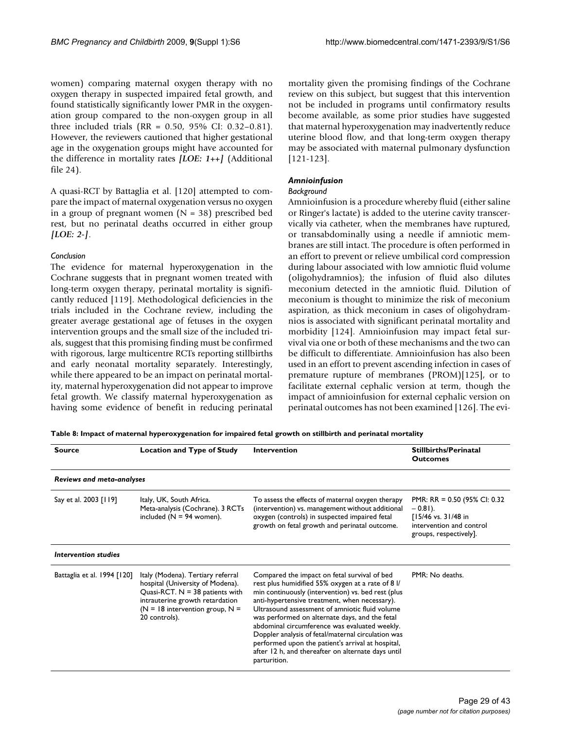women) comparing maternal oxygen therapy with no oxygen therapy in suspected impaired fetal growth, and found statistically significantly lower PMR in the oxygenation group compared to the non-oxygen group in all three included trials (RR = 0.50, 95% CI: 0.32–0.81). However, the reviewers cautioned that higher gestational age in the oxygenation groups might have accounted for the difference in mortality rates *[LOE: 1++]* (Additional file 24).

A quasi-RCT by Battaglia et al. [120] attempted to compare the impact of maternal oxygenation versus no oxygen in a group of pregnant women  $(N = 38)$  prescribed bed rest, but no perinatal deaths occurred in either group *[LOE: 2-]*.

## *Conclusion*

The evidence for maternal hyperoxygenation in the Cochrane suggests that in pregnant women treated with long-term oxygen therapy, perinatal mortality is significantly reduced [119]. Methodological deficiencies in the trials included in the Cochrane review, including the greater average gestational age of fetuses in the oxygen intervention groups and the small size of the included trials, suggest that this promising finding must be confirmed with rigorous, large multicentre RCTs reporting stillbirths and early neonatal mortality separately. Interestingly, while there appeared to be an impact on perinatal mortality, maternal hyperoxygenation did not appear to improve fetal growth. We classify maternal hyperoxygenation as having some evidence of benefit in reducing perinatal

mortality given the promising findings of the Cochrane review on this subject, but suggest that this intervention not be included in programs until confirmatory results become available, as some prior studies have suggested that maternal hyperoxygenation may inadvertently reduce uterine blood flow, and that long-term oxygen therapy may be associated with maternal pulmonary dysfunction [121-123].

## *Amnioinfusion*

### *Background*

Amnioinfusion is a procedure whereby fluid (either saline or Ringer's lactate) is added to the uterine cavity transcervically via catheter, when the membranes have ruptured, or transabdominally using a needle if amniotic membranes are still intact. The procedure is often performed in an effort to prevent or relieve umbilical cord compression during labour associated with low amniotic fluid volume (oligohydramnios); the infusion of fluid also dilutes meconium detected in the amniotic fluid. Dilution of meconium is thought to minimize the risk of meconium aspiration, as thick meconium in cases of oligohydramnios is associated with significant perinatal mortality and morbidity [124]. Amnioinfusion may impact fetal survival via one or both of these mechanisms and the two can be difficult to differentiate. Amnioinfusion has also been used in an effort to prevent ascending infection in cases of premature rupture of membranes (PROM)[125], or to facilitate external cephalic version at term, though the impact of amnioinfusion for external cephalic version on perinatal outcomes has not been examined [126]. The evi-

**Table 8: Impact of maternal hyperoxygenation for impaired fetal growth on stillbirth and perinatal mortality**

| <b>Source</b>                    | <b>Location and Type of Study</b>                                                                                                                                                                      | Intervention                                                                                                                                                                                                                                                                                                                                                                                                                                                                                                                                   | <b>Stillbirths/Perinatal</b><br><b>Outcomes</b>                                                                            |
|----------------------------------|--------------------------------------------------------------------------------------------------------------------------------------------------------------------------------------------------------|------------------------------------------------------------------------------------------------------------------------------------------------------------------------------------------------------------------------------------------------------------------------------------------------------------------------------------------------------------------------------------------------------------------------------------------------------------------------------------------------------------------------------------------------|----------------------------------------------------------------------------------------------------------------------------|
| <b>Reviews and meta-analyses</b> |                                                                                                                                                                                                        |                                                                                                                                                                                                                                                                                                                                                                                                                                                                                                                                                |                                                                                                                            |
| Say et al. 2003 [119]            | Italy, UK, South Africa.<br>Meta-analysis (Cochrane). 3 RCTs<br>included ( $N = 94$ women).                                                                                                            | To assess the effects of maternal oxygen therapy<br>(intervention) vs. management without additional<br>oxygen (controls) in suspected impaired fetal<br>growth on fetal growth and perinatal outcome.                                                                                                                                                                                                                                                                                                                                         | PMR: RR = $0.50$ (95% CI: 0.32)<br>$-0.81$ ).<br>[15/46 vs. 31/48 in<br>intervention and control<br>groups, respectively]. |
| Intervention studies             |                                                                                                                                                                                                        |                                                                                                                                                                                                                                                                                                                                                                                                                                                                                                                                                |                                                                                                                            |
| Battaglia et al. 1994 [120]      | Italy (Modena). Tertiary referral<br>hospital (University of Modena).<br>Quasi-RCT. $N = 38$ patients with<br>intrauterine growth retardation<br>( $N = 18$ intervention group, $N =$<br>20 controls). | Compared the impact on fetal survival of bed<br>rest plus humidified 55% oxygen at a rate of 8 l/<br>min continuously (intervention) vs. bed rest (plus<br>anti-hypertensive treatment, when necessary).<br>Ultrasound assessment of amniotic fluid volume<br>was performed on alternate days, and the fetal<br>abdominal circumference was evaluated weekly.<br>Doppler analysis of fetal/maternal circulation was<br>performed upon the patient's arrival at hospital,<br>after 12 h, and thereafter on alternate days until<br>parturition. | PMR: No deaths.                                                                                                            |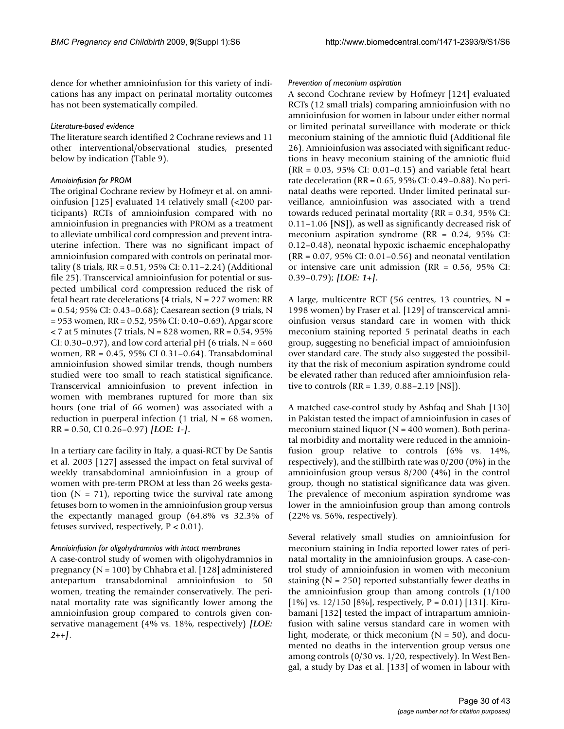dence for whether amnioinfusion for this variety of indications has any impact on perinatal mortality outcomes has not been systematically compiled.

### *Literature-based evidence*

The literature search identified 2 Cochrane reviews and 11 other interventional/observational studies, presented below by indication (Table 9).

### *Amnioinfusion for PROM*

The original Cochrane review by Hofmeyr et al. on amnioinfusion [125] evaluated 14 relatively small (<200 participants) RCTs of amnioinfusion compared with no amnioinfusion in pregnancies with PROM as a treatment to alleviate umbilical cord compression and prevent intrauterine infection. There was no significant impact of amnioinfusion compared with controls on perinatal mortality (8 trials, RR = 0.51, 95% CI: 0.11–2.24) (Additional file 25). Transcervical amnioinfusion for potential or suspected umbilical cord compression reduced the risk of fetal heart rate decelerations  $(4 \text{ trials}, N = 227 \text{ women})$ : RR = 0.54; 95% CI: 0.43–0.68); Caesarean section (9 trials, N  $= 953$  women, RR  $= 0.52$ , 95% CI: 0.40–0.69), Apgar score < 7 at 5 minutes (7 trials, N = 828 women, RR = 0.54, 95% CI:  $0.30-0.97$ ), and low cord arterial pH (6 trials, N = 660 women, RR = 0.45, 95% CI 0.31–0.64). Transabdominal amnioinfusion showed similar trends, though numbers studied were too small to reach statistical significance. Transcervical amnioinfusion to prevent infection in women with membranes ruptured for more than six hours (one trial of 66 women) was associated with a reduction in puerperal infection  $(1 \text{ trial}, N = 68 \text{ women},$ RR = 0.50, CI 0.26–0.97) *[LOE: 1-].*

In a tertiary care facility in Italy, a quasi-RCT by De Santis et al. 2003 [127] assessed the impact on fetal survival of weekly transabdominal amnioinfusion in a group of women with pre-term PROM at less than 26 weeks gestation  $(N = 71)$ , reporting twice the survival rate among fetuses born to women in the amnioinfusion group versus the expectantly managed group (64.8% vs 32.3% of fetuses survived, respectively,  $P < 0.01$ ).

### *Amnioinfusion for oligohydramnios with intact membranes*

A case-control study of women with oligohydramnios in pregnancy (N = 100) by Chhabra et al. [128] administered antepartum transabdominal amnioinfusion to 50 women, treating the remainder conservatively. The perinatal mortality rate was significantly lower among the amnioinfusion group compared to controls given conservative management (4% vs. 18%, respectively) *[LOE: 2++]*.

### *Prevention of meconium aspiration*

A second Cochrane review by Hofmeyr [124] evaluated RCTs (12 small trials) comparing amnioinfusion with no amnioinfusion for women in labour under either normal or limited perinatal surveillance with moderate or thick meconium staining of the amniotic fluid (Additional file 26). Amnioinfusion was associated with significant reductions in heavy meconium staining of the amniotic fluid (RR = 0.03, 95% CI: 0.01–0.15) and variable fetal heart rate deceleration (RR = 0.65, 95% CI: 0.49–0.88). No perinatal deaths were reported. Under limited perinatal surveillance, amnioinfusion was associated with a trend towards reduced perinatal mortality (RR = 0.34, 95% CI: 0.11–1.06 **[NS]**), as well as significantly decreased risk of meconium aspiration syndrome (RR = 0.24, 95% CI: 0.12–0.48), neonatal hypoxic ischaemic encephalopathy (RR = 0.07, 95% CI: 0.01–0.56) and neonatal ventilation or intensive care unit admission (RR = 0.56, 95% CI: 0.39–0.79); *[LOE: 1+].*

A large, multicentre RCT (56 centres, 13 countries,  $N =$ 1998 women) by Fraser et al. [129] of transcervical amnioinfusion versus standard care in women with thick meconium staining reported 5 perinatal deaths in each group, suggesting no beneficial impact of amnioinfusion over standard care. The study also suggested the possibility that the risk of meconium aspiration syndrome could be elevated rather than reduced after amnioinfusion relative to controls (RR = 1.39, 0.88–2.19 [NS]).

A matched case-control study by Ashfaq and Shah [130] in Pakistan tested the impact of amnioinfusion in cases of meconium stained liquor ( $N = 400$  women). Both perinatal morbidity and mortality were reduced in the amnioinfusion group relative to controls (6% vs. 14%, respectively), and the stillbirth rate was 0/200 (0%) in the amnioinfusion group versus 8/200 (4%) in the control group, though no statistical significance data was given. The prevalence of meconium aspiration syndrome was lower in the amnioinfusion group than among controls (22% vs. 56%, respectively).

Several relatively small studies on amnioinfusion for meconium staining in India reported lower rates of perinatal mortality in the amnioinfusion groups. A case-control study of amnioinfusion in women with meconium staining  $(N = 250)$  reported substantially fewer deaths in the amnioinfusion group than among controls (1/100 [1%] vs. 12/150 [8%], respectively,  $P = 0.01$ ] [131]. Kirubamani [132] tested the impact of intrapartum amnioinfusion with saline versus standard care in women with light, moderate, or thick meconium  $(N = 50)$ , and documented no deaths in the intervention group versus one among controls (0/30 vs. 1/20, respectively). In West Bengal, a study by Das et al. [133] of women in labour with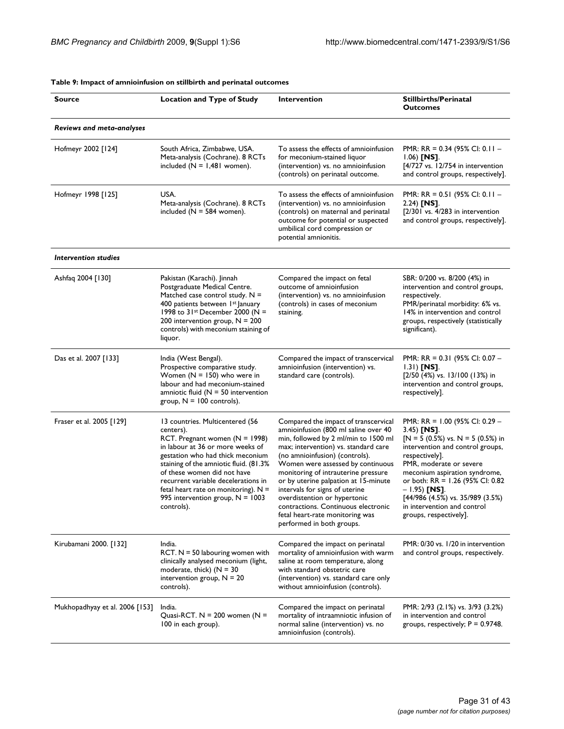| <b>Source</b>                    | Location and Type of Study                                                                                                                                                                                                                                                                                                                                               | <b>Intervention</b>                                                                                                                                                                                                                                                                                                                                                                                                                                                                         | <b>Stillbirths/Perinatal</b><br><b>Outcomes</b>                                                                                                                                                                                                                                                                                                          |
|----------------------------------|--------------------------------------------------------------------------------------------------------------------------------------------------------------------------------------------------------------------------------------------------------------------------------------------------------------------------------------------------------------------------|---------------------------------------------------------------------------------------------------------------------------------------------------------------------------------------------------------------------------------------------------------------------------------------------------------------------------------------------------------------------------------------------------------------------------------------------------------------------------------------------|----------------------------------------------------------------------------------------------------------------------------------------------------------------------------------------------------------------------------------------------------------------------------------------------------------------------------------------------------------|
| <b>Reviews and meta-analyses</b> |                                                                                                                                                                                                                                                                                                                                                                          |                                                                                                                                                                                                                                                                                                                                                                                                                                                                                             |                                                                                                                                                                                                                                                                                                                                                          |
| Hofmeyr 2002 [124]               | South Africa, Zimbabwe, USA.<br>Meta-analysis (Cochrane). 8 RCTs<br>included ( $N = 1,481$ women).                                                                                                                                                                                                                                                                       | To assess the effects of amnioinfusion<br>for meconium-stained liquor<br>(intervention) vs. no amnioinfusion<br>(controls) on perinatal outcome.                                                                                                                                                                                                                                                                                                                                            | PMR: RR = $0.34$ (95% CI: 0.11 -<br>1.06) [ <b>NS</b> ].<br>[4/727 vs. 12/754 in intervention<br>and control groups, respectively].                                                                                                                                                                                                                      |
| Hofmeyr 1998 [125]               | USA.<br>Meta-analysis (Cochrane). 8 RCTs<br>included ( $N = 584$ women).                                                                                                                                                                                                                                                                                                 | To assess the effects of amnioinfusion<br>(intervention) vs. no amnioinfusion<br>(controls) on maternal and perinatal<br>outcome for potential or suspected<br>umbilical cord compression or<br>potential amnionitis.                                                                                                                                                                                                                                                                       | PMR: RR = $0.51$ (95% CI: 0.11 –<br>$2.24)$ [NS].<br>[ $2/301$ vs. $4/283$ in intervention<br>and control groups, respectively].                                                                                                                                                                                                                         |
| <b>Intervention studies</b>      |                                                                                                                                                                                                                                                                                                                                                                          |                                                                                                                                                                                                                                                                                                                                                                                                                                                                                             |                                                                                                                                                                                                                                                                                                                                                          |
| Ashfaq 2004 [130]                | Pakistan (Karachi). Jinnah<br>Postgraduate Medical Centre.<br>Matched case control study. $N =$<br>400 patients between 1st January<br>1998 to $31^{st}$ December 2000 (N =<br>200 intervention group, $N = 200$<br>controls) with meconium staining of<br>liquor.                                                                                                       | Compared the impact on fetal<br>outcome of amnioinfusion<br>(intervention) vs. no amnioinfusion<br>(controls) in cases of meconium<br>staining.                                                                                                                                                                                                                                                                                                                                             | SBR: 0/200 vs. 8/200 (4%) in<br>intervention and control groups,<br>respectively.<br>PMR/perinatal morbidity: 6% vs.<br>14% in intervention and control<br>groups, respectively (statistically<br>significant).                                                                                                                                          |
| Das et al. 2007 [133]            | India (West Bengal).<br>Prospective comparative study.<br>Women $(N = 150)$ who were in<br>labour and had meconium-stained<br>amniotic fluid ( $N = 50$ intervention<br>group, $N = 100$ controls).                                                                                                                                                                      | Compared the impact of transcervical<br>amnioinfusion (intervention) vs.<br>standard care (controls).                                                                                                                                                                                                                                                                                                                                                                                       | PMR: RR = 0.31 (95% CI: 0.07 -<br>$(0.31)$ [NS].<br>[2/50 (4%) vs. 13/100 (13%) in<br>intervention and control groups,<br>respectively].                                                                                                                                                                                                                 |
| Fraser et al. 2005 [129]         | 13 countries. Multicentered (56<br>centers).<br>RCT. Pregnant women ( $N = 1998$ )<br>in labour at 36 or more weeks of<br>gestation who had thick meconium<br>staining of the amniotic fluid. (81.3%<br>of these women did not have<br>recurrent variable decelerations in<br>fetal heart rate on monitoring). $N =$<br>995 intervention group, $N = 1003$<br>controls). | Compared the impact of transcervical<br>amnioinfusion (800 ml saline over 40<br>min, followed by 2 ml/min to 1500 ml<br>max; intervention) vs. standard care<br>(no amnioinfusion) (controls).<br>Women were assessed by continuous<br>monitoring of intrauterine pressure<br>or by uterine palpation at 15-minute<br>intervals for signs of uterine<br>overdistention or hypertonic<br>contractions. Continuous electronic<br>fetal heart-rate monitoring was<br>performed in both groups. | PMR: RR = 1.00 (95% CI: 0.29 -<br>3.45) [NS].<br>[N = 5 (0.5%) vs. N = 5 (0.5%) in<br>intervention and control groups,<br>respectively].<br>PMR, moderate or severe<br>meconium aspiration syndrome,<br>or both: RR = 1.26 (95% CI: 0.82<br>$-1.95$ [NS].<br>$[44/986 (4.5%)$ vs. 35/989 (3.5%)<br>in intervention and control<br>groups, respectively]. |
| Kirubamani 2000. [132]           | India.<br>$RCT. N = 50$ labouring women with<br>clinically analysed meconium (light,<br>moderate, thick) ( $N = 30$<br>intervention group, $N = 20$<br>controls).                                                                                                                                                                                                        | Compared the impact on perinatal<br>mortality of amnioinfusion with warm<br>saline at room temperature, along<br>with standard obstetric care<br>(intervention) vs. standard care only<br>without amnioinfusion (controls).                                                                                                                                                                                                                                                                 | PMR: 0/30 vs. 1/20 in intervention<br>and control groups, respectively.                                                                                                                                                                                                                                                                                  |
| Mukhopadhyay et al. 2006 [153]   | India.<br>Quasi-RCT. $N = 200$ women ( $N =$<br>100 in each group).                                                                                                                                                                                                                                                                                                      | Compared the impact on perinatal<br>mortality of intraamniotic infusion of<br>normal saline (intervention) vs. no<br>amnioinfusion (controls).                                                                                                                                                                                                                                                                                                                                              | PMR: 2/93 (2.1%) vs. 3/93 (3.2%)<br>in intervention and control<br>groups, respectively; $P = 0.9748$ .                                                                                                                                                                                                                                                  |

## **Table 9: Impact of amnioinfusion on stillbirth and perinatal outcomes**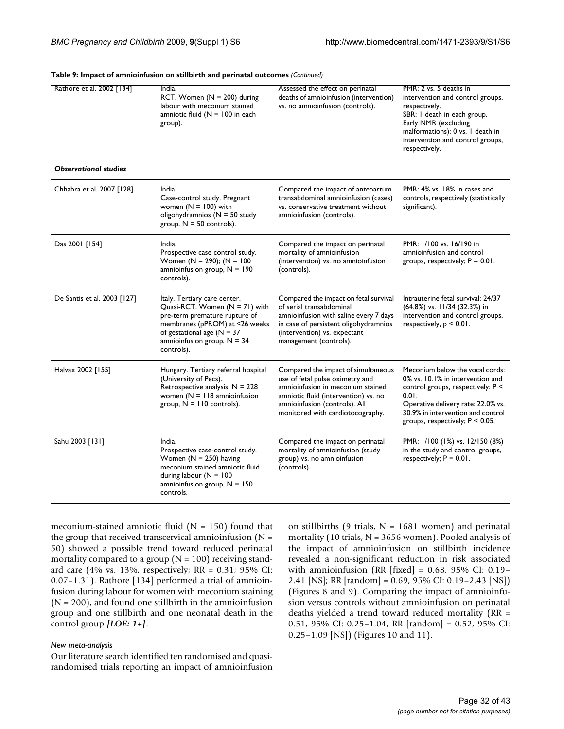| Rathore et al. 2002 [134]    | India.<br>RCT. Women $(N = 200)$ during<br>labour with meconium stained<br>amniotic fluid ( $N = 100$ in each<br>group).                                                                                          | Assessed the effect on perinatal<br>deaths of amnioinfusion (intervention)<br>vs. no amnioinfusion (controls).                                                                                                           | PMR: 2 vs. 5 deaths in<br>intervention and control groups,<br>respectively.<br>SBR: I death in each group.<br>Early NMR (excluding<br>malformations): 0 vs. 1 death in<br>intervention and control groups,<br>respectively.        |
|------------------------------|-------------------------------------------------------------------------------------------------------------------------------------------------------------------------------------------------------------------|--------------------------------------------------------------------------------------------------------------------------------------------------------------------------------------------------------------------------|------------------------------------------------------------------------------------------------------------------------------------------------------------------------------------------------------------------------------------|
| <b>Observational studies</b> |                                                                                                                                                                                                                   |                                                                                                                                                                                                                          |                                                                                                                                                                                                                                    |
| Chhabra et al. 2007 [128]    | India.<br>Case-control study. Pregnant<br>women $(N = 100)$ with<br>oligohydramnios ( $N = 50$ study<br>group, $N = 50$ controls).                                                                                | Compared the impact of antepartum<br>transabdominal amnioinfusion (cases)<br>vs. conservative treatment without<br>amnioinfusion (controls).                                                                             | PMR: 4% vs. 18% in cases and<br>controls, respectively (statistically<br>significant).                                                                                                                                             |
| Das 2001 [154]               | India.<br>Prospective case control study.<br>Women (N = 290); (N = 100<br>amnioinfusion group, $N = 190$<br>controls).                                                                                            | Compared the impact on perinatal<br>mortality of amnioinfusion<br>(intervention) vs. no amnioinfusion<br>(controls).                                                                                                     | PMR: 1/100 vs. 16/190 in<br>amnioinfusion and control<br>groups, respectively; $P = 0.01$ .                                                                                                                                        |
| De Santis et al. 2003 [127]  | Italy. Tertiary care center.<br>Quasi-RCT. Women (N = 71) with<br>pre-term premature rupture of<br>membranes (pPROM) at <26 weeks<br>of gestational age ( $N = 37$<br>amnioinfusion group, $N = 34$<br>controls). | Compared the impact on fetal survival<br>of serial transabdominal<br>amnioinfusion with saline every 7 days<br>in case of persistent oligohydramnios<br>(intervention) vs. expectant<br>management (controls).           | Intrauterine fetal survival: 24/37<br>(64.8%) vs. 11/34 (32.3%) in<br>intervention and control groups,<br>respectively, $p < 0.01$ .                                                                                               |
| Halvax 2002 [155]            | Hungary. Tertiary referral hospital<br>(University of Pecs).<br>Retrospective analysis. $N = 228$<br>women $(N = 118$ amnioinfusion<br>group, $N = 110$ controls).                                                | Compared the impact of simultaneous<br>use of fetal pulse oximetry and<br>amnioinfusion in meconium stained<br>amniotic fluid (intervention) vs. no<br>amnioinfusion (controls). All<br>monitored with cardiotocography. | Meconium below the vocal cords:<br>0% vs. 10.1% in intervention and<br>control groups, respectively; P <<br>0.01.<br>Operative delivery rate: 22.0% vs.<br>30.9% in intervention and control<br>groups, respectively; $P < 0.05$ . |
| Sahu 2003 [131]              | India.<br>Prospective case-control study.<br>Women ( $N = 250$ ) having<br>meconium stained amniotic fluid<br>during labour ( $N = 100$<br>amnioinfusion group, $N = 150$<br>controls.                            | Compared the impact on perinatal<br>mortality of amnioinfusion (study<br>group) vs. no amnioinfusion<br>(controls).                                                                                                      | PMR: 1/100 (1%) vs. 12/150 (8%)<br>in the study and control groups,<br>respectively; $P = 0.01$ .                                                                                                                                  |

#### **Table 9: Impact of amnioinfusion on stillbirth and perinatal outcomes** *(Continued)*

meconium-stained amniotic fluid ( $N = 150$ ) found that the group that received transcervical amnioinfusion ( $N =$ 50) showed a possible trend toward reduced perinatal mortality compared to a group ( $N = 100$ ) receiving standard care (4% vs. 13%, respectively; RR = 0.31; 95% CI: 0.07–1.31). Rathore [134] performed a trial of amnioinfusion during labour for women with meconium staining  $(N = 200)$ , and found one stillbirth in the amnioinfusion group and one stillbirth and one neonatal death in the control group *[LOE: 1+]*.

#### *New meta-analysis*

Our literature search identified ten randomised and quasirandomised trials reporting an impact of amnioinfusion

on stillbirths (9 trials,  $N = 1681$  women) and perinatal mortality (10 trials, N = 3656 women). Pooled analysis of the impact of amnioinfusion on stillbirth incidence revealed a non-significant reduction in risk associated with amnioinfusion (RR [fixed] =  $0.68$ , 95% CI: 0.19-2.41 [NS]; RR [random] = 0.69, 95% CI: 0.19–2.43 [NS]) (Figures 8 and 9). Comparing the impact of amnioinfusion versus controls without amnioinfusion on perinatal deaths yielded a trend toward reduced mortality (RR = 0.51, 95% CI: 0.25–1.04, RR [random] = 0.52, 95% CI: 0.25–1.09 [NS]) (Figures 10 and 11).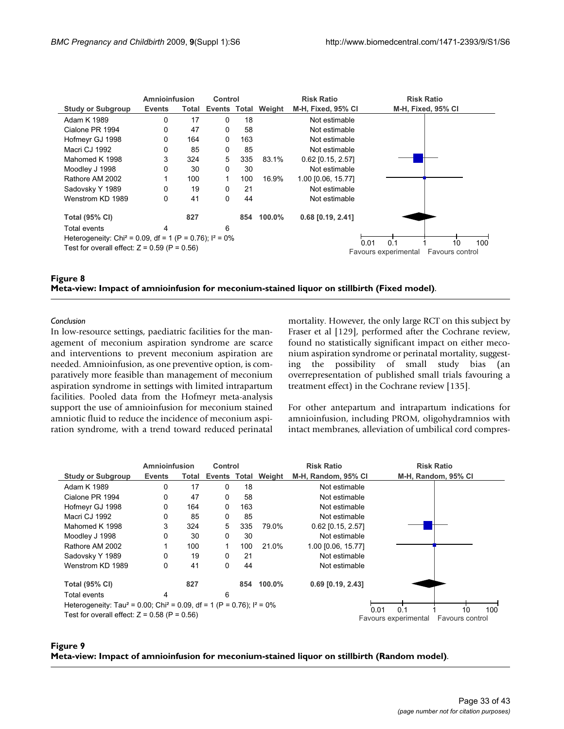|                                                                       | Amnioinfusion |       | Control  |     |                     | <b>Risk Ratio</b>   | <b>Risk Ratio</b>                   |                              |
|-----------------------------------------------------------------------|---------------|-------|----------|-----|---------------------|---------------------|-------------------------------------|------------------------------|
| <b>Study or Subgroup</b>                                              | <b>Events</b> | Total |          |     | Events Total Weight | M-H, Fixed, 95% CI  | M-H, Fixed, 95% CI                  |                              |
| Adam K 1989                                                           | 0             | 17    | $\Omega$ | 18  |                     | Not estimable       |                                     |                              |
| Cialone PR 1994                                                       | 0             | 47    | 0        | 58  |                     | Not estimable       |                                     |                              |
| Hofmeyr GJ 1998                                                       | 0             | 164   | 0        | 163 |                     | Not estimable       |                                     |                              |
| Macri CJ 1992                                                         | 0             | 85    | 0        | 85  |                     | Not estimable       |                                     |                              |
| Mahomed K 1998                                                        | 3             | 324   | 5        | 335 | 83.1%               | $0.62$ [0.15, 2.57] |                                     |                              |
| Moodley J 1998                                                        | 0             | 30    | 0        | 30  |                     | Not estimable       |                                     |                              |
| Rathore AM 2002                                                       |               | 100   |          | 100 | 16.9%               | 1.00 [0.06, 15.77]  |                                     |                              |
| Sadovsky Y 1989                                                       | 0             | 19    | 0        | 21  |                     | Not estimable       |                                     |                              |
| Wenstrom KD 1989                                                      | 0             | 41    | 0        | 44  |                     | Not estimable       |                                     |                              |
| <b>Total (95% CI)</b>                                                 |               | 827   |          | 854 | 100.0%              | $0.68$ [0.19, 2.41] |                                     |                              |
| Total events                                                          | 4             |       | 6        |     |                     |                     |                                     |                              |
| Heterogeneity: Chi <sup>2</sup> = 0.09, df = 1 (P = 0.76); $1^2$ = 0% |               |       |          |     |                     |                     |                                     |                              |
| Test for overall effect: $Z = 0.59$ (P = 0.56)                        |               |       |          |     |                     |                     | 0.01<br>0.1<br>Favours experimental | 100<br>10<br>Favours control |

| Figure 8                                                                                    |  |
|---------------------------------------------------------------------------------------------|--|
| Meta-view: Impact of amnioinfusion for meconium-stained liquor on stillbirth (Fixed model). |  |

#### *Conclusion*

In low-resource settings, paediatric facilities for the management of meconium aspiration syndrome are scarce and interventions to prevent meconium aspiration are needed. Amnioinfusion, as one preventive option, is comparatively more feasible than management of meconium aspiration syndrome in settings with limited intrapartum facilities. Pooled data from the Hofmeyr meta-analysis support the use of amnioinfusion for meconium stained amniotic fluid to reduce the incidence of meconium aspiration syndrome, with a trend toward reduced perinatal

mortality. However, the only large RCT on this subject by Fraser et al [129], performed after the Cochrane review, found no statistically significant impact on either meconium aspiration syndrome or perinatal mortality, suggesting the possibility of small study bias (an overrepresentation of published small trials favouring a treatment effect) in the Cochrane review [135].

For other antepartum and intrapartum indications for amnioinfusion, including PROM, oligohydramnios with intact membranes, alleviation of umbilical cord compres-

|                                                                                                | <b>Amnioinfusion</b> |       | Control  |     |                     | <b>Risk Ratio</b>   |                      | <b>Risk Ratio</b>   |
|------------------------------------------------------------------------------------------------|----------------------|-------|----------|-----|---------------------|---------------------|----------------------|---------------------|
| <b>Study or Subgroup</b>                                                                       | <b>Events</b>        | Total |          |     | Events Total Weight | M-H, Random, 95% CI |                      | M-H, Random, 95% CI |
| Adam K 1989                                                                                    | 0                    | 17    | $\Omega$ | 18  |                     | Not estimable       |                      |                     |
| Cialone PR 1994                                                                                | 0                    | 47    | 0        | 58  |                     | Not estimable       |                      |                     |
| Hofmeyr GJ 1998                                                                                | 0                    | 164   | 0        | 163 |                     | Not estimable       |                      |                     |
| Macri CJ 1992                                                                                  | 0                    | 85    | 0        | 85  |                     | Not estimable       |                      |                     |
| Mahomed K 1998                                                                                 | 3                    | 324   | 5        | 335 | 79.0%               | $0.62$ [0.15, 2.57] |                      |                     |
| Moodley J 1998                                                                                 | 0                    | 30    | 0        | 30  |                     | Not estimable       |                      |                     |
| Rathore AM 2002                                                                                |                      | 100   |          | 100 | 21.0%               | 1.00 [0.06, 15.77]  |                      |                     |
| Sadovsky Y 1989                                                                                | 0                    | 19    | 0        | 21  |                     | Not estimable       |                      |                     |
| Wenstrom KD 1989                                                                               | 0                    | 41    | 0        | 44  |                     | Not estimable       |                      |                     |
| <b>Total (95% CI)</b>                                                                          |                      | 827   |          |     | 854 100.0%          | $0.69$ [0.19, 2.43] |                      |                     |
| Total events                                                                                   | 4                    |       | 6        |     |                     |                     |                      |                     |
| Heterogeneity: Tau <sup>2</sup> = 0.00; Chi <sup>2</sup> = 0.09, df = 1 (P = 0.76); $1^2$ = 0% |                      |       |          |     |                     |                     | 0.1<br>0.01          | 10<br>100           |
| Test for overall effect: $Z = 0.58$ (P = 0.56)                                                 |                      |       |          |     |                     |                     | Favours experimental | Favours control     |

## Meta-view: Impact of amnioinfus **Figure 9** ion for meconium-stained liquor on stillbirth (Random model) **Meta-view: Impact of amnioinfusion for meconium-stained liquor on stillbirth (Random model)**.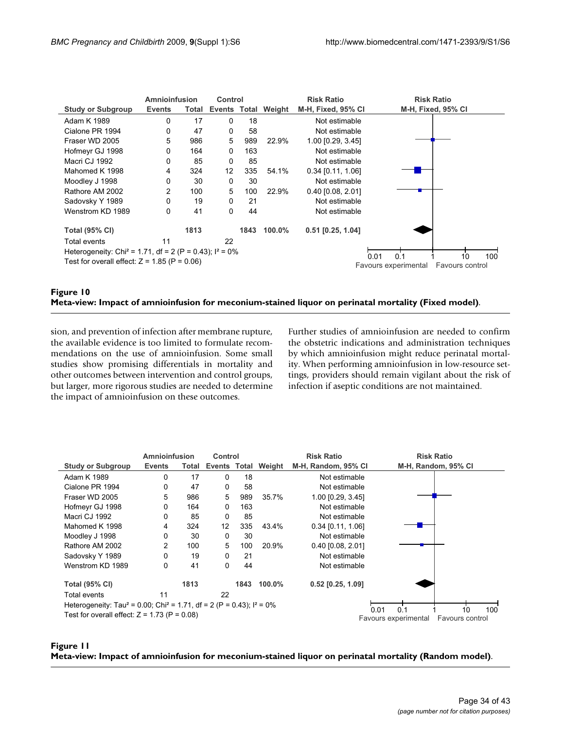|                                                                                                                       | <b>Amnioinfusion</b> |       | Control         |      |                     | <b>Risk Ratio</b>   | <b>Risk Ratio</b> |                    |
|-----------------------------------------------------------------------------------------------------------------------|----------------------|-------|-----------------|------|---------------------|---------------------|-------------------|--------------------|
| <b>Study or Subgroup</b>                                                                                              | <b>Events</b>        | Total |                 |      | Events Total Weight | M-H, Fixed, 95% CI  |                   | M-H, Fixed, 95% CI |
| Adam K 1989                                                                                                           | $\Omega$             | 17    | 0               | 18   |                     | Not estimable       |                   |                    |
| Cialone PR 1994                                                                                                       | 0                    | 47    | 0               | 58   |                     | Not estimable       |                   |                    |
| Fraser WD 2005                                                                                                        | 5                    | 986   | 5               | 989  | 22.9%               | 1.00 [0.29, 3.45]   |                   |                    |
| Hofmeyr GJ 1998                                                                                                       | 0                    | 164   | 0               | 163  |                     | Not estimable       |                   |                    |
| Macri CJ 1992                                                                                                         | 0                    | 85    | 0               | 85   |                     | Not estimable       |                   |                    |
| Mahomed K 1998                                                                                                        | 4                    | 324   | 12 <sup>2</sup> | 335  | 54.1%               | $0.34$ [0.11, 1.06] |                   |                    |
| Moodley J 1998                                                                                                        | 0                    | 30    | 0               | 30   |                     | Not estimable       |                   |                    |
| Rathore AM 2002                                                                                                       | 2                    | 100   | 5               | 100  | 22.9%               | $0.40$ [0.08, 2.01] |                   |                    |
| Sadovsky Y 1989                                                                                                       | 0                    | 19    | 0               | 21   |                     | Not estimable       |                   |                    |
| Wenstrom KD 1989                                                                                                      | 0                    | 41    | 0               | 44   |                     | Not estimable       |                   |                    |
| <b>Total (95% CI)</b>                                                                                                 |                      | 1813  |                 | 1843 | 100.0%              | $0.51$ [0.25, 1.04] |                   |                    |
| Total events                                                                                                          | 11                   |       | 22              |      |                     |                     |                   |                    |
| Heterogeneity: Chi <sup>2</sup> = 1.71, df = 2 (P = 0.43); $I^2 = 0\%$                                                |                      |       |                 |      |                     |                     |                   |                    |
| 0.01<br>10<br>100<br>0.1<br>Test for overall effect: $Z = 1.85$ (P = 0.06)<br>Favours experimental<br>Favours control |                      |       |                 |      |                     |                     |                   |                    |

### Meta-view: Impact of amnioinfusio **Figure 10** n for meconium-stained liquor on perinatal mortality (Fixed model) **Meta-view: Impact of amnioinfusion for meconium-stained liquor on perinatal mortality (Fixed model)**.

sion, and prevention of infection after membrane rupture, the available evidence is too limited to formulate recommendations on the use of amnioinfusion. Some small studies show promising differentials in mortality and other outcomes between intervention and control groups, but larger, more rigorous studies are needed to determine the impact of amnioinfusion on these outcomes.

Further studies of amnioinfusion are needed to confirm the obstetric indications and administration techniques by which amnioinfusion might reduce perinatal mortality. When performing amnioinfusion in low-resource settings, providers should remain vigilant about the risk of infection if aseptic conditions are not maintained.

|                                                                                                 | <b>Amnioinfusion</b> |       | Control  |      |                                     | <b>Risk Ratio</b>            |  | <b>Risk Ratio</b>   |
|-------------------------------------------------------------------------------------------------|----------------------|-------|----------|------|-------------------------------------|------------------------------|--|---------------------|
| <b>Study or Subgroup</b>                                                                        | Events               | Total |          |      | Events Total Weight                 | M-H, Random, 95% CI          |  | M-H, Random, 95% CI |
| Adam K 1989                                                                                     | 0                    | 17    | 0        | 18   |                                     | Not estimable                |  |                     |
| Cialone PR 1994                                                                                 | 0                    | 47    | 0        | 58   |                                     | Not estimable                |  |                     |
| Fraser WD 2005                                                                                  | 5                    | 986   | 5        | 989  | 35.7%                               | 1.00 [0.29, 3.45]            |  |                     |
| Hofmeyr GJ 1998                                                                                 | 0                    | 164   | 0        | 163  |                                     | Not estimable                |  |                     |
| Macri CJ 1992                                                                                   | 0                    | 85    | 0        | 85   |                                     | Not estimable                |  |                     |
| Mahomed K 1998                                                                                  | 4                    | 324   | 12       | 335  | 43.4%                               | $0.34$ [0.11, 1.06]          |  |                     |
| Moodley J 1998                                                                                  | 0                    | 30    | 0        | 30   |                                     | Not estimable                |  |                     |
| Rathore AM 2002                                                                                 | 2                    | 100   | 5        | 100  | 20.9%                               | $0.40$ [0.08, 2.01]          |  |                     |
| Sadovsky Y 1989                                                                                 | 0                    | 19    | $\Omega$ | 21   |                                     | Not estimable                |  |                     |
| Wenstrom KD 1989                                                                                | 0                    | 41    | 0        | 44   |                                     | Not estimable                |  |                     |
| <b>Total (95% CI)</b>                                                                           |                      | 1813  |          | 1843 | 100.0%                              | $0.52$ [0.25, 1.09]          |  |                     |
| Total events                                                                                    | 11                   |       | 22       |      |                                     |                              |  |                     |
| Heterogeneity: Tau <sup>2</sup> = 0.00; Chi <sup>2</sup> = 1.71, df = 2 (P = 0.43); $I^2 = 0\%$ |                      |       |          |      |                                     |                              |  |                     |
| Test for overall effect: $Z = 1.73$ (P = 0.08)                                                  |                      |       |          |      | 0.1<br>0.01<br>Favours experimental | 10<br>100<br>Favours control |  |                     |

## Meta-view: Impact of amnioinfusio **Figure 11** n for meconium-stained liquor on perinatal mortality (Random model) **Meta-view: Impact of amnioinfusion for meconium-stained liquor on perinatal mortality (Random model)**.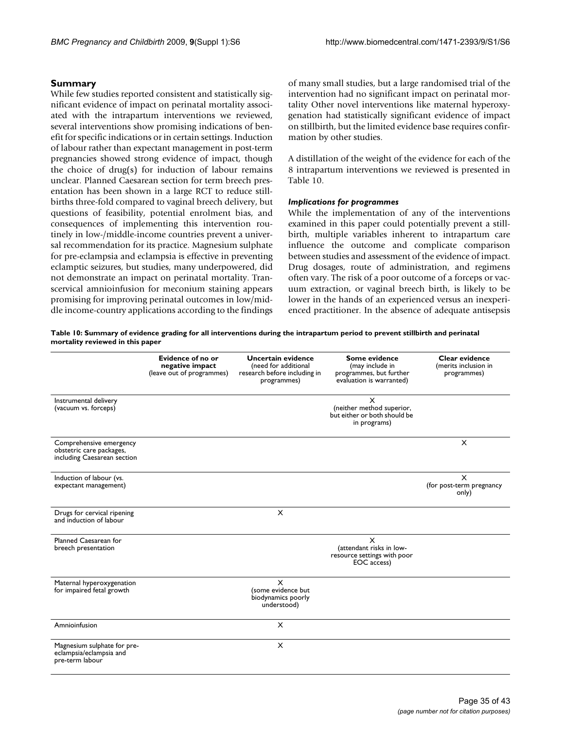## **Summary**

While few studies reported consistent and statistically significant evidence of impact on perinatal mortality associated with the intrapartum interventions we reviewed, several interventions show promising indications of benefit for specific indications or in certain settings. Induction of labour rather than expectant management in post-term pregnancies showed strong evidence of impact, though the choice of drug(s) for induction of labour remains unclear. Planned Caesarean section for term breech presentation has been shown in a large RCT to reduce stillbirths three-fold compared to vaginal breech delivery, but questions of feasibility, potential enrolment bias, and consequences of implementing this intervention routinely in low-/middle-income countries prevent a universal recommendation for its practice. Magnesium sulphate for pre-eclampsia and eclampsia is effective in preventing eclamptic seizures, but studies, many underpowered, did not demonstrate an impact on perinatal mortality. Transcervical amnioinfusion for meconium staining appears promising for improving perinatal outcomes in low/middle income-country applications according to the findings of many small studies, but a large randomised trial of the intervention had no significant impact on perinatal mortality Other novel interventions like maternal hyperoxygenation had statistically significant evidence of impact on stillbirth, but the limited evidence base requires confirmation by other studies.

A distillation of the weight of the evidence for each of the 8 intrapartum interventions we reviewed is presented in Table 10.

## *Implications for programmes*

While the implementation of any of the interventions examined in this paper could potentially prevent a stillbirth, multiple variables inherent to intrapartum care influence the outcome and complicate comparison between studies and assessment of the evidence of impact. Drug dosages, route of administration, and regimens often vary. The risk of a poor outcome of a forceps or vacuum extraction, or vaginal breech birth, is likely to be lower in the hands of an experienced versus an inexperienced practitioner. In the absence of adequate antisepsis

**Table 10: Summary of evidence grading for all interventions during the intrapartum period to prevent stillbirth and perinatal mortality reviewed in this paper**

|                                                                                    | Evidence of no or                            | Uncertain evidence                                                  | Some evidence                                                                      | Clear evidence                                |
|------------------------------------------------------------------------------------|----------------------------------------------|---------------------------------------------------------------------|------------------------------------------------------------------------------------|-----------------------------------------------|
|                                                                                    | negative impact<br>(leave out of programmes) | (need for additional<br>research before including in<br>programmes) | (may include in<br>programmes, but further<br>evaluation is warranted)             | (merits inclusion in<br>programmes)           |
| Instrumental delivery<br>(vacuum vs. forceps)                                      |                                              |                                                                     | X<br>(neither method superior,<br>but either or both should be<br>in programs)     |                                               |
| Comprehensive emergency<br>obstetric care packages,<br>including Caesarean section |                                              |                                                                     |                                                                                    | X                                             |
| Induction of labour (vs.<br>expectant management)                                  |                                              |                                                                     |                                                                                    | $\times$<br>(for post-term pregnancy<br>only) |
| Drugs for cervical ripening<br>and induction of labour                             |                                              | X                                                                   |                                                                                    |                                               |
| Planned Caesarean for<br>breech presentation                                       |                                              |                                                                     | $\times$<br>(attendant risks in low-<br>resource settings with poor<br>EOC access) |                                               |
| Maternal hyperoxygenation<br>for impaired fetal growth                             |                                              | $\times$<br>(some evidence but<br>biodynamics poorly<br>understood) |                                                                                    |                                               |
| Amnioinfusion                                                                      |                                              | X                                                                   |                                                                                    |                                               |
| Magnesium sulphate for pre-<br>eclampsia/eclampsia and<br>pre-term labour          |                                              | X                                                                   |                                                                                    |                                               |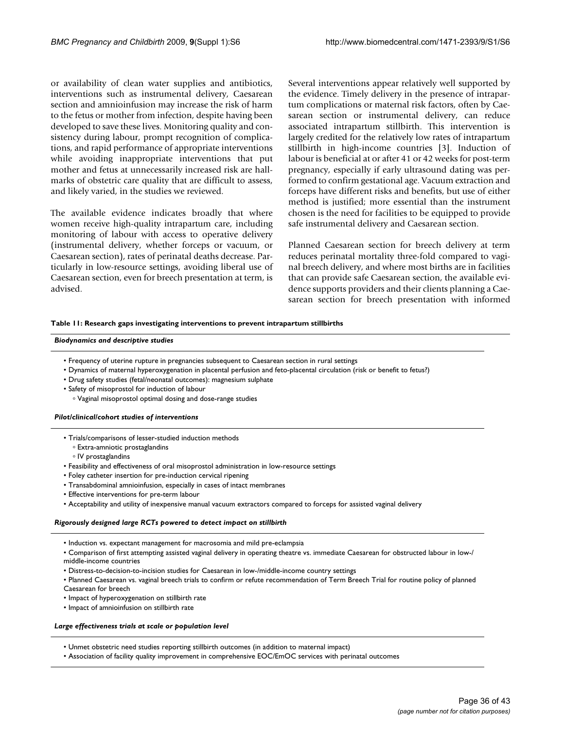or availability of clean water supplies and antibiotics, interventions such as instrumental delivery, Caesarean section and amnioinfusion may increase the risk of harm to the fetus or mother from infection, despite having been developed to save these lives. Monitoring quality and consistency during labour, prompt recognition of complications, and rapid performance of appropriate interventions while avoiding inappropriate interventions that put mother and fetus at unnecessarily increased risk are hallmarks of obstetric care quality that are difficult to assess, and likely varied, in the studies we reviewed.

The available evidence indicates broadly that where women receive high-quality intrapartum care, including monitoring of labour with access to operative delivery (instrumental delivery, whether forceps or vacuum, or Caesarean section), rates of perinatal deaths decrease. Particularly in low-resource settings, avoiding liberal use of Caesarean section, even for breech presentation at term, is advised.

Several interventions appear relatively well supported by the evidence. Timely delivery in the presence of intrapartum complications or maternal risk factors, often by Caesarean section or instrumental delivery, can reduce associated intrapartum stillbirth. This intervention is largely credited for the relatively low rates of intrapartum stillbirth in high-income countries [3]. Induction of labour is beneficial at or after 41 or 42 weeks for post-term pregnancy, especially if early ultrasound dating was performed to confirm gestational age. Vacuum extraction and forceps have different risks and benefits, but use of either method is justified; more essential than the instrument chosen is the need for facilities to be equipped to provide safe instrumental delivery and Caesarean section.

Planned Caesarean section for breech delivery at term reduces perinatal mortality three-fold compared to vaginal breech delivery, and where most births are in facilities that can provide safe Caesarean section, the available evidence supports providers and their clients planning a Caesarean section for breech presentation with informed

#### **Table 11: Research gaps investigating interventions to prevent intrapartum stillbirths**

#### *Biodynamics and descriptive studies*

- Frequency of uterine rupture in pregnancies subsequent to Caesarean section in rural settings
- Dynamics of maternal hyperoxygenation in placental perfusion and feto-placental circulation (risk or benefit to fetus?)
- Drug safety studies (fetal/neonatal outcomes): magnesium sulphate
- Safety of misoprostol for induction of labour
	- Vaginal misoprostol optimal dosing and dose-range studies

#### *Pilot/clinical/cohort studies of interventions*

- Trials/comparisons of lesser-studied induction methods
	- Extra-amniotic prostaglandins
	- o IV prostaglandins
- Feasibility and effectiveness of oral misoprostol administration in low-resource settings
- Foley catheter insertion for pre-induction cervical ripening
- Transabdominal amnioinfusion, especially in cases of intact membranes
- Effective interventions for pre-term labour
- Acceptability and utility of inexpensive manual vacuum extractors compared to forceps for assisted vaginal delivery

#### *Rigorously designed large RCTs powered to detect impact on stillbirth*

- Induction vs. expectant management for macrosomia and mild pre-eclampsia
- Comparison of first attempting assisted vaginal delivery in operating theatre vs. immediate Caesarean for obstructed labour in low-/ middle-income countries
- Distress-to-decision-to-incision studies for Caesarean in low-/middle-income country settings
- Planned Caesarean vs. vaginal breech trials to confirm or refute recommendation of Term Breech Trial for routine policy of planned Caesarean for breech
- Impact of hyperoxygenation on stillbirth rate
- Impact of amnioinfusion on stillbirth rate

#### *Large effectiveness trials at scale or population level*

• Unmet obstetric need studies reporting stillbirth outcomes (in addition to maternal impact)

• Association of facility quality improvement in comprehensive EOC/EmOC services with perinatal outcomes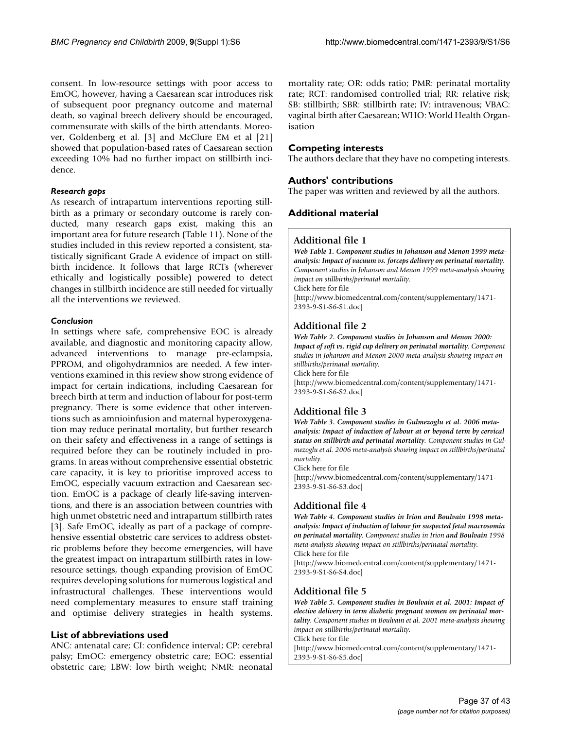consent. In low-resource settings with poor access to EmOC, however, having a Caesarean scar introduces risk of subsequent poor pregnancy outcome and maternal death, so vaginal breech delivery should be encouraged, commensurate with skills of the birth attendants. Moreover, Goldenberg et al. [3] and McClure EM et al [21] showed that population-based rates of Caesarean section exceeding 10% had no further impact on stillbirth incidence.

### *Research gaps*

As research of intrapartum interventions reporting stillbirth as a primary or secondary outcome is rarely conducted, many research gaps exist, making this an important area for future research (Table 11). None of the studies included in this review reported a consistent, statistically significant Grade A evidence of impact on stillbirth incidence. It follows that large RCTs (wherever ethically and logistically possible) powered to detect changes in stillbirth incidence are still needed for virtually all the interventions we reviewed.

### *Conclusion*

In settings where safe, comprehensive EOC is already available, and diagnostic and monitoring capacity allow, advanced interventions to manage pre-eclampsia, PPROM, and oligohydramnios are needed. A few interventions examined in this review show strong evidence of impact for certain indications, including Caesarean for breech birth at term and induction of labour for post-term pregnancy. There is some evidence that other interventions such as amnioinfusion and maternal hyperoxygenation may reduce perinatal mortality, but further research on their safety and effectiveness in a range of settings is required before they can be routinely included in programs. In areas without comprehensive essential obstetric care capacity, it is key to prioritise improved access to EmOC, especially vacuum extraction and Caesarean section. EmOC is a package of clearly life-saving interventions, and there is an association between countries with high unmet obstetric need and intrapartum stillbirth rates [3]. Safe EmOC, ideally as part of a package of comprehensive essential obstetric care services to address obstetric problems before they become emergencies, will have the greatest impact on intrapartum stillbirth rates in lowresource settings, though expanding provision of EmOC requires developing solutions for numerous logistical and infrastructural challenges. These interventions would need complementary measures to ensure staff training and optimise delivery strategies in health systems.

### **List of abbreviations used**

ANC: antenatal care; CI: confidence interval; CP: cerebral palsy; EmOC: emergency obstetric care; EOC: essential obstetric care; LBW: low birth weight; NMR: neonatal

mortality rate; OR: odds ratio; PMR: perinatal mortality rate; RCT: randomised controlled trial; RR: relative risk; SB: stillbirth; SBR: stillbirth rate; IV: intravenous; VBAC: vaginal birth after Caesarean; WHO: World Health Organisation

## **Competing interests**

The authors declare that they have no competing interests.

## **Authors' contributions**

The paper was written and reviewed by all the authors.

## **Additional material**

#### **Additional file 1**

*Web Table 1. Component studies in Johanson and Menon 1999 metaanalysis: Impact of vacuum vs. forceps delivery on perinatal mortality. Component studies in Johanson and Menon 1999 meta-analysis showing impact on stillbirths/perinatal mortality.* Click here for file [\[http://www.biomedcentral.com/content/supplementary/1471-](http://www.biomedcentral.com/content/supplementary/1471-2393-9-S1-S6-S1.doc)

2393-9-S1-S6-S1.doc]

# **Additional file 2**

*Web Table 2. Component studies in Johanson and Menon 2000: Impact of soft vs. rigid cup delivery on perinatal mortality. Component studies in Johanson and Menon 2000 meta-analysis showing impact on stillbirths/perinatal mortality.* Click here for file [\[http://www.biomedcentral.com/content/supplementary/1471-](http://www.biomedcentral.com/content/supplementary/1471-2393-9-S1-S6-S2.doc)

2393-9-S1-S6-S2.doc]

# **Additional file 3**

*Web Table 3. Component studies in Gulmezoglu et al. 2006 metaanalysis: Impact of induction of labour at or beyond term by cervical status on stillbirth and perinatal mortality. Component studies in Gulmezoglu et al. 2006 meta-analysis showing impact on stillbirths/perinatal mortality.*

Click here for file [\[http://www.biomedcentral.com/content/supplementary/1471-](http://www.biomedcentral.com/content/supplementary/1471-2393-9-S1-S6-S3.doc) 2393-9-S1-S6-S3.doc]

# **Additional file 4**

*Web Table 4. Component studies in Irion and Boulvain 1998 metaanalysis: Impact of induction of labour for suspected fetal macrosomia on perinatal mortality. Component studies in Irion and Boulvain 1998 meta-analysis showing impact on stillbirths/perinatal mortality.* Click here for file

[\[http://www.biomedcentral.com/content/supplementary/1471-](http://www.biomedcentral.com/content/supplementary/1471-2393-9-S1-S6-S4.doc) 2393-9-S1-S6-S4.doc]

## **Additional file 5**

*Web Table 5. Component studies in Boulvain et al. 2001: Impact of elective delivery in term diabetic pregnant women on perinatal mortality. Component studies in Boulvain et al. 2001 meta-analysis showing impact on stillbirths/perinatal mortality.*

Click here for file

[\[http://www.biomedcentral.com/content/supplementary/1471-](http://www.biomedcentral.com/content/supplementary/1471-2393-9-S1-S6-S5.doc) 2393-9-S1-S6-S5.doc]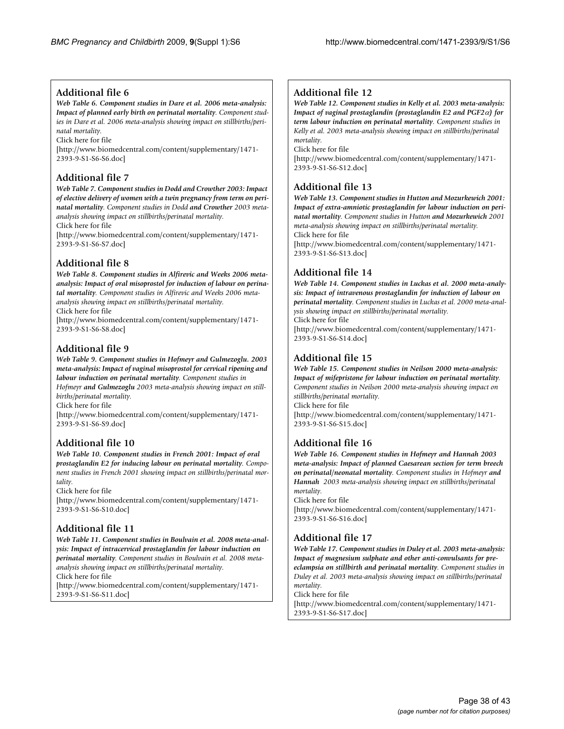## **Additional file 6**

*Web Table 6. Component studies in Dare et al. 2006 meta-analysis: Impact of planned early birth on perinatal mortality. Component studies in Dare et al. 2006 meta-analysis showing impact on stillbirths/perinatal mortality.*

Click here for file

[\[http://www.biomedcentral.com/content/supplementary/1471-](http://www.biomedcentral.com/content/supplementary/1471-2393-9-S1-S6-S6.doc) 2393-9-S1-S6-S6.doc]

# **Additional file 7**

*Web Table 7. Component studies in Dodd and Crowther 2003: Impact of elective delivery of women with a twin pregnancy from term on perinatal mortality. Component studies in Dodd and Crowther 2003 metaanalysis showing impact on stillbirths/perinatal mortality.* Click here for file

[\[http://www.biomedcentral.com/content/supplementary/1471-](http://www.biomedcentral.com/content/supplementary/1471-2393-9-S1-S6-S7.doc) 2393-9-S1-S6-S7.doc]

# **Additional file 8**

*Web Table 8. Component studies in Alfirevic and Weeks 2006 metaanalysis: Impact of oral misoprostol for induction of labour on perinatal mortality. Component studies in Alfirevic and Weeks 2006 metaanalysis showing impact on stillbirths/perinatal mortality.* Click here for file

[\[http://www.biomedcentral.com/content/supplementary/1471-](http://www.biomedcentral.com/content/supplementary/1471-2393-9-S1-S6-S8.doc) 2393-9-S1-S6-S8.doc]

# **Additional file 9**

*Web Table 9. Component studies in Hofmeyr and Gulmezoglu. 2003 meta-analysis: Impact of vaginal misoprostol for cervical ripening and labour induction on perinatal mortality. Component studies in Hofmeyr and Gulmezoglu 2003 meta-analysis showing impact on stillbirths/perinatal mortality.*

Click here for file

[\[http://www.biomedcentral.com/content/supplementary/1471-](http://www.biomedcentral.com/content/supplementary/1471-2393-9-S1-S6-S9.doc) 2393-9-S1-S6-S9.doc]

# **Additional file 10**

*Web Table 10. Component studies in French 2001: Impact of oral prostaglandin E2 for inducing labour on perinatal mortality. Component studies in French 2001 showing impact on stillbirths/perinatal mortality.*

Click here for file

[\[http://www.biomedcentral.com/content/supplementary/1471-](http://www.biomedcentral.com/content/supplementary/1471-2393-9-S1-S6-S10.doc) 2393-9-S1-S6-S10.doc]

# **Additional file 11**

*Web Table 11. Component studies in Boulvain et al. 2008 meta-analysis: Impact of intracervical prostaglandin for labour induction on perinatal mortality. Component studies in Boulvain et al. 2008 metaanalysis showing impact on stillbirths/perinatal mortality.* Click here for file

[\[http://www.biomedcentral.com/content/supplementary/1471-](http://www.biomedcentral.com/content/supplementary/1471-2393-9-S1-S6-S11.doc) 2393-9-S1-S6-S11.doc]

# **Additional file 12**

*Web Table 12. Component studies in Kelly et al. 2003 meta-analysis: Impact of vaginal prostaglandin (prostaglandin E2 and PGF2*α*) for term labour induction on perinatal mortality. Component studies in Kelly et al. 2003 meta-analysis showing impact on stillbirths/perinatal mortality.*

Click here for file

[\[http://www.biomedcentral.com/content/supplementary/1471-](http://www.biomedcentral.com/content/supplementary/1471-2393-9-S1-S6-S12.doc) 2393-9-S1-S6-S12.doc]

# **Additional file 13**

*Web Table 13. Component studies in Hutton and Mozurkewich 2001: Impact of extra-amniotic prostaglandin for labour induction on perinatal mortality. Component studies in Hutton and Mozurkewich 2001 meta-analysis showing impact on stillbirths/perinatal mortality.* Click here for file

[\[http://www.biomedcentral.com/content/supplementary/1471-](http://www.biomedcentral.com/content/supplementary/1471-2393-9-S1-S6-S13.doc) 2393-9-S1-S6-S13.doc]

# **Additional file 14**

*Web Table 14. Component studies in Luckas et al. 2000 meta-analysis: Impact of intravenous prostaglandin for induction of labour on perinatal mortality. Component studies in Luckas et al. 2000 meta-analysis showing impact on stillbirths/perinatal mortality.*

Click here for file [\[http://www.biomedcentral.com/content/supplementary/1471-](http://www.biomedcentral.com/content/supplementary/1471-2393-9-S1-S6-S14.doc) 2393-9-S1-S6-S14.doc]

# **Additional file 15**

*Web Table 15. Component studies in Neilson 2000 meta-analysis: Impact of mifepristone for labour induction on perinatal mortality. Component studies in Neilson 2000 meta-analysis showing impact on stillbirths/perinatal mortality.* Click here for file

[\[http://www.biomedcentral.com/content/supplementary/1471-](http://www.biomedcentral.com/content/supplementary/1471-2393-9-S1-S6-S15.doc) 2393-9-S1-S6-S15.doc]

# **Additional file 16**

*Web Table 16. Component studies in Hofmeyr and Hannah 2003 meta-analysis: Impact of planned Caesarean section for term breech on perinatal/neonatal mortality. Component studies in Hofmeyr and Hannah 2003 meta-analysis showing impact on stillbirths/perinatal mortality.*

Click here for file [\[http://www.biomedcentral.com/content/supplementary/1471-](http://www.biomedcentral.com/content/supplementary/1471-2393-9-S1-S6-S16.doc) 2393-9-S1-S6-S16.doc]

# **Additional file 17**

*Web Table 17. Component studies in Duley et al. 2003 meta-analysis: Impact of magnesium sulphate and other anti-convulsants for preeclampsia on stillbirth and perinatal mortality. Component studies in Duley et al. 2003 meta-analysis showing impact on stillbirths/perinatal mortality.*

Click here for file

[\[http://www.biomedcentral.com/content/supplementary/1471-](http://www.biomedcentral.com/content/supplementary/1471-2393-9-S1-S6-S17.doc) 2393-9-S1-S6-S17.doc]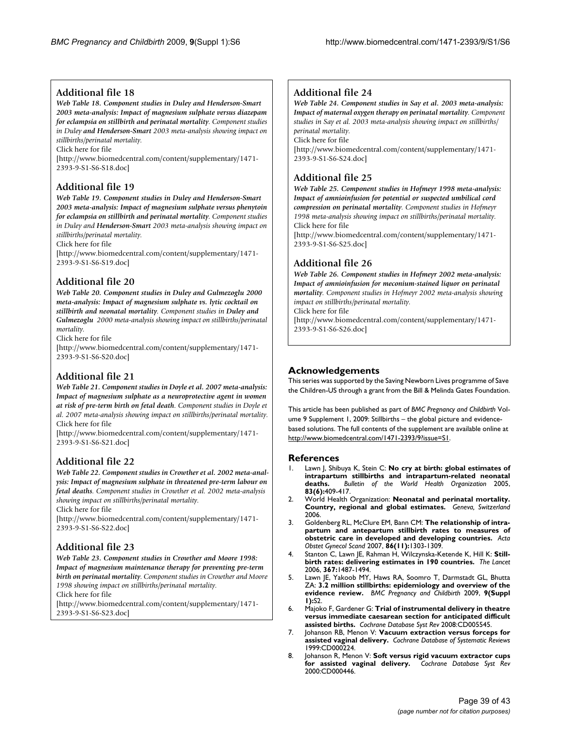## **Additional file 18**

*Web Table 18. Component studies in Duley and Henderson-Smart 2003 meta-analysis: Impact of magnesium sulphate versus diazepam for eclampsia on stillbirth and perinatal mortality. Component studies in Duley and Henderson-Smart 2003 meta-analysis showing impact on stillbirths/perinatal mortality.*

Click here for file

[\[http://www.biomedcentral.com/content/supplementary/1471-](http://www.biomedcentral.com/content/supplementary/1471-2393-9-S1-S6-S18.doc) 2393-9-S1-S6-S18.doc]

# **Additional file 19**

*Web Table 19. Component studies in Duley and Henderson-Smart 2003 meta-analysis: Impact of magnesium sulphate versus phenytoin for eclampsia on stillbirth and perinatal mortality. Component studies in Duley and Henderson-Smart 2003 meta-analysis showing impact on stillbirths/perinatal mortality.*

Click here for file

[\[http://www.biomedcentral.com/content/supplementary/1471-](http://www.biomedcentral.com/content/supplementary/1471-2393-9-S1-S6-S19.doc) 2393-9-S1-S6-S19.doc]

# **Additional file 20**

*Web Table 20. Component studies in Duley and Gulmezoglu 2000 meta-analysis: Impact of magnesium sulphate vs. lytic cocktail on stillbirth and neonatal mortality. Component studies in Duley and Gulmezoglu 2000 meta-analysis showing impact on stillbirths/perinatal mortality.*

Click here for file

[\[http://www.biomedcentral.com/content/supplementary/1471-](http://www.biomedcentral.com/content/supplementary/1471-2393-9-S1-S6-S20.doc) 2393-9-S1-S6-S20.doc]

# **Additional file 21**

*Web Table 21. Component studies in Doyle et al. 2007 meta-analysis: Impact of magnesium sulphate as a neuroprotective agent in women at risk of pre-term birth on fetal death. Component studies in Doyle et al. 2007 meta-analysis showing impact on stillbirths/perinatal mortality.* Click here for file

[\[http://www.biomedcentral.com/content/supplementary/1471-](http://www.biomedcentral.com/content/supplementary/1471-2393-9-S1-S6-S21.doc) 2393-9-S1-S6-S21.doc]

# **Additional file 22**

*Web Table 22. Component studies in Crowther et al. 2002 meta-analysis: Impact of magnesium sulphate in threatened pre-term labour on fetal deaths. Component studies in Crowther et al. 2002 meta-analysis showing impact on stillbirths/perinatal mortality.*

Click here for file

[\[http://www.biomedcentral.com/content/supplementary/1471-](http://www.biomedcentral.com/content/supplementary/1471-2393-9-S1-S6-S22.doc) 2393-9-S1-S6-S22.doc]

# **Additional file 23**

*Web Table 23. Component studies in Crowther and Moore 1998: Impact of magnesium maintenance therapy for preventing pre-term birth on perinatal mortality. Component studies in Crowther and Moore 1998 showing impact on stillbirths/perinatal mortality.*

Click here for file

[\[http://www.biomedcentral.com/content/supplementary/1471-](http://www.biomedcentral.com/content/supplementary/1471-2393-9-S1-S6-S23.doc) 2393-9-S1-S6-S23.doc]

# **Additional file 24**

*Web Table 24. Component studies in Say et al. 2003 meta-analysis: Impact of maternal oxygen therapy on perinatal mortality. Component studies in Say et al. 2003 meta-analysis showing impact on stillbirths/ perinatal mortality.*

Click here for file

[\[http://www.biomedcentral.com/content/supplementary/1471-](http://www.biomedcentral.com/content/supplementary/1471-2393-9-S1-S6-S24.doc) 2393-9-S1-S6-S24.doc]

# **Additional file 25**

*Web Table 25. Component studies in Hofmeyr 1998 meta-analysis: Impact of amnioinfusion for potential or suspected umbilical cord compression on perinatal mortality. Component studies in Hofmeyr 1998 meta-analysis showing impact on stillbirths/perinatal mortality.* Click here for file

[\[http://www.biomedcentral.com/content/supplementary/1471-](http://www.biomedcentral.com/content/supplementary/1471-2393-9-S1-S6-S25.doc) 2393-9-S1-S6-S25.doc]

# **Additional file 26**

*Web Table 26. Component studies in Hofmeyr 2002 meta-analysis: Impact of amnioinfusion for meconium-stained liquor on perinatal mortality. Component studies in Hofmeyr 2002 meta-analysis showing impact on stillbirths/perinatal mortality.*

Click here for file

[\[http://www.biomedcentral.com/content/supplementary/1471-](http://www.biomedcentral.com/content/supplementary/1471-2393-9-S1-S6-S26.doc) 2393-9-S1-S6-S26.doc]

# **Acknowledgements**

This series was supported by the Saving Newborn Lives programme of Save the Children-US through a grant from the Bill & Melinda Gates Foundation.

This article has been published as part of *BMC Pregnancy and Childbirth* Volume 9 Supplement 1, 2009: Stillbirths – the global picture and evidencebased solutions. The full contents of the supplement are available online at [http://www.biomedcentral.com/1471-2393/9?issue=S1.](http://www.biomedcentral.com/1471-2393/9?issue=S1)

### **References**

- 1. Lawn J, Shibuya K, Stein C: **[No cry at birth: global estimates of](http://www.ncbi.nlm.nih.gov/entrez/query.fcgi?cmd=Retrieve&db=PubMed&dopt=Abstract&list_uids=15976891) [intrapartum stillbirths and intrapartum-related neonatal](http://www.ncbi.nlm.nih.gov/entrez/query.fcgi?cmd=Retrieve&db=PubMed&dopt=Abstract&list_uids=15976891) [deaths.](http://www.ncbi.nlm.nih.gov/entrez/query.fcgi?cmd=Retrieve&db=PubMed&dopt=Abstract&list_uids=15976891)** *Bulletin of the World Health Organization* 2005, **83(6):**409-417.
- 2. World Health Organization: **Neonatal and perinatal mortality. Country, regional and global estimates.** *Geneva, Switzerland* 2006.
- 3. Goldenberg RL, McClure EM, Bann CM: **[The relationship of intra](http://www.ncbi.nlm.nih.gov/entrez/query.fcgi?cmd=Retrieve&db=PubMed&dopt=Abstract&list_uids=17963057)[partum and antepartum stillbirth rates to measures of](http://www.ncbi.nlm.nih.gov/entrez/query.fcgi?cmd=Retrieve&db=PubMed&dopt=Abstract&list_uids=17963057) [obstetric care in developed and developing countries.](http://www.ncbi.nlm.nih.gov/entrez/query.fcgi?cmd=Retrieve&db=PubMed&dopt=Abstract&list_uids=17963057)** *Acta Obstet Gynecol Scand* 2007, **86(11):**1303-1309.
- 4. Stanton C, Lawn JE, Rahman H, Wilczynska-Ketende K, Hill K: **Stillbirth rates: delivering estimates in 190 countries.** *The Lancet* 2006, **367:**1487-1494.
- 5. Lawn JE, Yakoob MY, Haws RA, Soomro T, Darmstadt GL, Bhutta ZA: **3.2 million stillbirths: epidemiology and overview of the evidence review.** *BMC Pregnancy and Childbirth* 2009, **9(Suppl 1):**S2.
- 6. Majoko F, Gardener G: **[Trial of instrumental delivery in theatre](http://www.ncbi.nlm.nih.gov/entrez/query.fcgi?cmd=Retrieve&db=PubMed&dopt=Abstract&list_uids=18843693) [versus immediate caesarean section for anticipated difficult](http://www.ncbi.nlm.nih.gov/entrez/query.fcgi?cmd=Retrieve&db=PubMed&dopt=Abstract&list_uids=18843693) [assisted births.](http://www.ncbi.nlm.nih.gov/entrez/query.fcgi?cmd=Retrieve&db=PubMed&dopt=Abstract&list_uids=18843693)** *Cochrane Database Syst Rev* 2008:CD005545.
- 7. Johanson RB, Menon V: **Vacuum extraction versus forceps for assisted vaginal delivery.** *Cochrane Database of Systematic Reviews* 1999:CD000224.
- 8. Johanson R, Menon V: **[Soft versus rigid vacuum extractor cups](http://www.ncbi.nlm.nih.gov/entrez/query.fcgi?cmd=Retrieve&db=PubMed&dopt=Abstract&list_uids=10796203) [for assisted vaginal delivery.](http://www.ncbi.nlm.nih.gov/entrez/query.fcgi?cmd=Retrieve&db=PubMed&dopt=Abstract&list_uids=10796203)** *Cochrane Database Syst Rev* 2000:CD000446.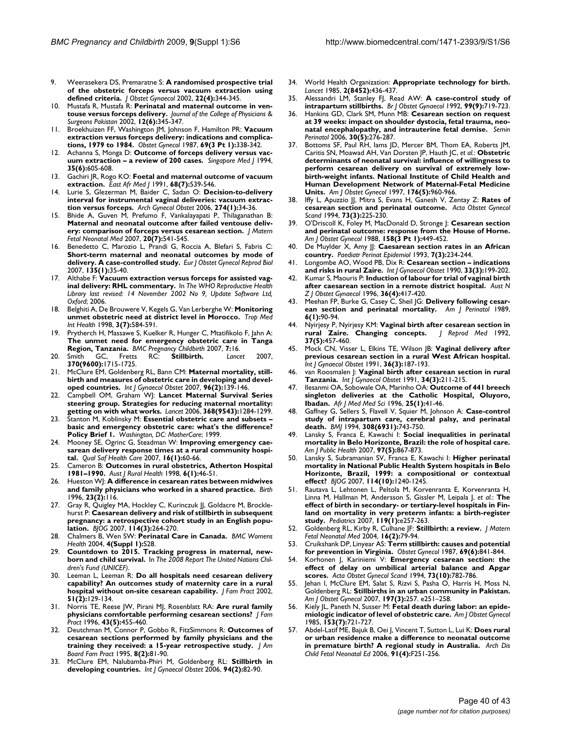- 9. Weerasekera DS, Premaratne S: **[A randomised prospective trial](http://www.ncbi.nlm.nih.gov/entrez/query.fcgi?cmd=Retrieve&db=PubMed&dopt=Abstract&list_uids=12521450) [of the obstetric forceps versus vacuum extraction using](http://www.ncbi.nlm.nih.gov/entrez/query.fcgi?cmd=Retrieve&db=PubMed&dopt=Abstract&list_uids=12521450) [defined criteria.](http://www.ncbi.nlm.nih.gov/entrez/query.fcgi?cmd=Retrieve&db=PubMed&dopt=Abstract&list_uids=12521450)** *J Obstet Gynaecol* 2002, **22(4):**344-345.
- 10. Mustafa R, Mustafa R: **Perinatal and maternal outcome in ventouse versus forceps delivery.** *Journal of the College of Physicians & Surgeons Pakistan* 2002, **12(6):**345-347.
- 11. Broekhuizen FF, Washington JM, Johnson F, Hamilton PR: **[Vacuum](http://www.ncbi.nlm.nih.gov/entrez/query.fcgi?cmd=Retrieve&db=PubMed&dopt=Abstract&list_uids=3822282) [extraction versus forceps delivery: indications and complica](http://www.ncbi.nlm.nih.gov/entrez/query.fcgi?cmd=Retrieve&db=PubMed&dopt=Abstract&list_uids=3822282)[tions, 1979 to 1984.](http://www.ncbi.nlm.nih.gov/entrez/query.fcgi?cmd=Retrieve&db=PubMed&dopt=Abstract&list_uids=3822282)** *Obstet Gynecol* 1987, **69(3 Pt 1):**338-342.
- 12. Achanna S, Monga D: **[Outcome of forceps delivery versus vac](http://www.ncbi.nlm.nih.gov/entrez/query.fcgi?cmd=Retrieve&db=PubMed&dopt=Abstract&list_uids=7761886)[uum extraction – a review of 200 cases.](http://www.ncbi.nlm.nih.gov/entrez/query.fcgi?cmd=Retrieve&db=PubMed&dopt=Abstract&list_uids=7761886)** *Singapore Med J* 1994, **35(6):**605-608.
- 13. Gachiri JR, Rogo KO: **[Foetal and maternal outcome of vacuum](http://www.ncbi.nlm.nih.gov/entrez/query.fcgi?cmd=Retrieve&db=PubMed&dopt=Abstract&list_uids=1756706) [extraction.](http://www.ncbi.nlm.nih.gov/entrez/query.fcgi?cmd=Retrieve&db=PubMed&dopt=Abstract&list_uids=1756706)** *East Afr Med J* 1991, **68(7):**539-546.
- 14. Lurie S, Glezerman M, Baider C, Sadan O: **[Decision-to-delivery](http://www.ncbi.nlm.nih.gov/entrez/query.fcgi?cmd=Retrieve&db=PubMed&dopt=Abstract&list_uids=16408184) [interval for instrumental vaginal deliveries: vacuum extrac](http://www.ncbi.nlm.nih.gov/entrez/query.fcgi?cmd=Retrieve&db=PubMed&dopt=Abstract&list_uids=16408184)[tion versus forceps.](http://www.ncbi.nlm.nih.gov/entrez/query.fcgi?cmd=Retrieve&db=PubMed&dopt=Abstract&list_uids=16408184)** *Arch Gynecol Obstet* 2006, **274(1):**34-36.
- 15. Bhide A, Guven M, Prefumo F, Vankalayapati P, Thilaganathan B: **[Maternal and neonatal outcome after failed ventouse deliv](http://www.ncbi.nlm.nih.gov/entrez/query.fcgi?cmd=Retrieve&db=PubMed&dopt=Abstract&list_uids=17674268)[ery: comparison of forceps versus cesarean section.](http://www.ncbi.nlm.nih.gov/entrez/query.fcgi?cmd=Retrieve&db=PubMed&dopt=Abstract&list_uids=17674268)** *J Matern Fetal Neonatal Med* 2007, **20(7):**541-545.
- 16. Benedetto C, Marozio L, Prandi G, Roccia A, Blefari S, Fabris C: **[Short-term maternal and neonatal outcomes by mode of](http://www.ncbi.nlm.nih.gov/entrez/query.fcgi?cmd=Retrieve&db=PubMed&dopt=Abstract&list_uids=17126475) [delivery. A case-controlled study.](http://www.ncbi.nlm.nih.gov/entrez/query.fcgi?cmd=Retrieve&db=PubMed&dopt=Abstract&list_uids=17126475)** *Eur J Obstet Gynecol Reprod Biol* 2007, **135(1):**35-40.
- Althabe F: Vacuum extraction versus forceps for assisted vag**inal delivery: RHL commentary.** In *The WHO Reproductive Health Library last revised: 14 November 2002 No 9, Update Software Ltd, Oxford*; 2006.
- 18. Belghiti A, De Brouwere V, Kegels G, Van Lerberghe W: **[Monitoring](http://www.ncbi.nlm.nih.gov/entrez/query.fcgi?cmd=Retrieve&db=PubMed&dopt=Abstract&list_uids=9705194) [unmet obstetric need at district level in Morocco.](http://www.ncbi.nlm.nih.gov/entrez/query.fcgi?cmd=Retrieve&db=PubMed&dopt=Abstract&list_uids=9705194)** *Trop Med Int Health* 1998, **3(7):**584-591.
- 19. Prytherch H, Massawe S, Kuelker R, Hunger C, Mtatifikolo F, Jahn A: **[The unmet need for emergency obstetric care in Tanga](http://www.ncbi.nlm.nih.gov/entrez/query.fcgi?cmd=Retrieve&db=PubMed&dopt=Abstract&list_uids=17683590) [Region, Tanzania.](http://www.ncbi.nlm.nih.gov/entrez/query.fcgi?cmd=Retrieve&db=PubMed&dopt=Abstract&list_uids=17683590)** *BMC Pregnancy Childbirth* 2007, **7:**16.
- 20. Smith GC, Fretts RC: **[Stillbirth.](http://www.ncbi.nlm.nih.gov/entrez/query.fcgi?cmd=Retrieve&db=PubMed&dopt=Abstract&list_uids=18022035)** *Lancet* 2007, **370(9600):**1715-1725.
- 21. McClure EM, Goldenberg RL, Bann CM: **[Maternal mortality, still](http://www.ncbi.nlm.nih.gov/entrez/query.fcgi?cmd=Retrieve&db=PubMed&dopt=Abstract&list_uids=17274999)[birth and measures of obstetric care in developing and devel](http://www.ncbi.nlm.nih.gov/entrez/query.fcgi?cmd=Retrieve&db=PubMed&dopt=Abstract&list_uids=17274999)[oped countries.](http://www.ncbi.nlm.nih.gov/entrez/query.fcgi?cmd=Retrieve&db=PubMed&dopt=Abstract&list_uids=17274999)** *Int J Gynaecol Obstet* 2007, **96(2):**139-146.
- 22. Campbell OM, Graham WJ: **[Lancet Maternal Survival Series](http://www.ncbi.nlm.nih.gov/entrez/query.fcgi?cmd=Retrieve&db=PubMed&dopt=Abstract&list_uids=17027735) [steering group. Strategies for reducing maternal mortality:](http://www.ncbi.nlm.nih.gov/entrez/query.fcgi?cmd=Retrieve&db=PubMed&dopt=Abstract&list_uids=17027735) [getting on with what works.](http://www.ncbi.nlm.nih.gov/entrez/query.fcgi?cmd=Retrieve&db=PubMed&dopt=Abstract&list_uids=17027735)** *Lancet* 2006, **368(9543):**1284-1299.
- 23. Stanton M, Koblinsky M: **Essential obstetric care and subsets – basic and emergency obstetric care: what's the difference? Policy Brief 1.** *Washington, DC: MotherCare*; 1999.
- 24. Mooney SE, Ogrinc G, Steadman W: **[Improving emergency cae](http://www.ncbi.nlm.nih.gov/entrez/query.fcgi?cmd=Retrieve&db=PubMed&dopt=Abstract&list_uids=17301207)[sarean delivery response times at a rural community hospi](http://www.ncbi.nlm.nih.gov/entrez/query.fcgi?cmd=Retrieve&db=PubMed&dopt=Abstract&list_uids=17301207)[tal.](http://www.ncbi.nlm.nih.gov/entrez/query.fcgi?cmd=Retrieve&db=PubMed&dopt=Abstract&list_uids=17301207)** *Qual Saf Health Care* 2007, **16(1):**60-66.
- 25. Cameron B: **[Outcomes in rural obstetrics, Atherton Hospital](http://www.ncbi.nlm.nih.gov/entrez/query.fcgi?cmd=Retrieve&db=PubMed&dopt=Abstract&list_uids=9611500) [1981–1990.](http://www.ncbi.nlm.nih.gov/entrez/query.fcgi?cmd=Retrieve&db=PubMed&dopt=Abstract&list_uids=9611500)** *Aust J Rural Health* 1998, **6(1):**46-51.
- 26. Hueston WJ: **[A difference in cesarean rates between midwives](http://www.ncbi.nlm.nih.gov/entrez/query.fcgi?cmd=Retrieve&db=PubMed&dopt=Abstract&list_uids=8826176) [and family physicians who worked in a shared practice.](http://www.ncbi.nlm.nih.gov/entrez/query.fcgi?cmd=Retrieve&db=PubMed&dopt=Abstract&list_uids=8826176)** *Birth* 1996, **23(2):**116.
- 27. Gray R, Quigley MA, Hockley C, Kurinczuk JJ, Goldacre M, Brocklehurst P: **[Caesarean delivery and risk of stillbirth in subsequent](http://www.ncbi.nlm.nih.gov/entrez/query.fcgi?cmd=Retrieve&db=PubMed&dopt=Abstract&list_uids=17261119) [pregnancy: a retrospective cohort study in an English popu](http://www.ncbi.nlm.nih.gov/entrez/query.fcgi?cmd=Retrieve&db=PubMed&dopt=Abstract&list_uids=17261119)[lation.](http://www.ncbi.nlm.nih.gov/entrez/query.fcgi?cmd=Retrieve&db=PubMed&dopt=Abstract&list_uids=17261119)** *BJOG* 2007, **114(3):**264-270.
- 28. Chalmers B, Wen SW: **[Perinatal Care in Canada.](http://www.ncbi.nlm.nih.gov/entrez/query.fcgi?cmd=Retrieve&db=PubMed&dopt=Abstract&list_uids=15345091)** *BMC Womens Health* 2004, **4(Suppl 1):**S28.
- 29. **Countdown to 2015. Tracking progress in maternal, newborn and child survival.** In *The 2008 Report The United Nations Children's Fund (UNICEF)*.
- 30. Leeman L, Leeman R: **[Do all hospitals need cesarean delivery](http://www.ncbi.nlm.nih.gov/entrez/query.fcgi?cmd=Retrieve&db=PubMed&dopt=Abstract&list_uids=11978210) [capability? An outcomes study of maternity care in a rural](http://www.ncbi.nlm.nih.gov/entrez/query.fcgi?cmd=Retrieve&db=PubMed&dopt=Abstract&list_uids=11978210) [hospital without on-site cesarean capability.](http://www.ncbi.nlm.nih.gov/entrez/query.fcgi?cmd=Retrieve&db=PubMed&dopt=Abstract&list_uids=11978210)** *J Fam Pract* 2002, **51(2):**129-134.
- 31. Norris TE, Reese JW, Pirani MJ, Rosenblatt RA: **[Are rural family](http://www.ncbi.nlm.nih.gov/entrez/query.fcgi?cmd=Retrieve&db=PubMed&dopt=Abstract&list_uids=8917144) [physicians comfortable performing cesarean sections?](http://www.ncbi.nlm.nih.gov/entrez/query.fcgi?cmd=Retrieve&db=PubMed&dopt=Abstract&list_uids=8917144)** *J Fam Pract* 1996, **43(5):**455-460.
- 32. Deutchman M, Connor P, Gobbo R, FitzSimmons R: **[Outcomes of](http://www.ncbi.nlm.nih.gov/entrez/query.fcgi?cmd=Retrieve&db=PubMed&dopt=Abstract&list_uids=7778493) [cesarean sections performed by family physicians and the](http://www.ncbi.nlm.nih.gov/entrez/query.fcgi?cmd=Retrieve&db=PubMed&dopt=Abstract&list_uids=7778493) [training they received: a 15-year retrospective study.](http://www.ncbi.nlm.nih.gov/entrez/query.fcgi?cmd=Retrieve&db=PubMed&dopt=Abstract&list_uids=7778493)** *J Am Board Fam Pract* 1995, **8(2):**81-90.
- 33. McClure EM, Nalubamba-Phiri M, Goldenberg RL: **[Stillbirth in](http://www.ncbi.nlm.nih.gov/entrez/query.fcgi?cmd=Retrieve&db=PubMed&dopt=Abstract&list_uids=16730726) [developing countries.](http://www.ncbi.nlm.nih.gov/entrez/query.fcgi?cmd=Retrieve&db=PubMed&dopt=Abstract&list_uids=16730726)** *Int J Gynaecol Obstet* 2006, **94(2):**82-90.
- 34. World Health Organization: **[Appropriate technology for birth.](http://www.ncbi.nlm.nih.gov/entrez/query.fcgi?cmd=Retrieve&db=PubMed&dopt=Abstract&list_uids=2863457)** *Lancet* 1985, **2(8452):**436-437.
- 35. Alessandri LM, Stanley FJ, Read AW: **[A case-control study of](http://www.ncbi.nlm.nih.gov/entrez/query.fcgi?cmd=Retrieve&db=PubMed&dopt=Abstract&list_uids=1420008) [intrapartum stillbirths.](http://www.ncbi.nlm.nih.gov/entrez/query.fcgi?cmd=Retrieve&db=PubMed&dopt=Abstract&list_uids=1420008)** *Br J Obstet Gynaecol* 1992, **99(9):**719-723.
- 36. Hankins GD, Clark SM, Munn MB: **[Cesarean section on request](http://www.ncbi.nlm.nih.gov/entrez/query.fcgi?cmd=Retrieve&db=PubMed&dopt=Abstract&list_uids=17011400) [at 39 weeks: impact on shoulder dystocia, fetal trauma, neo](http://www.ncbi.nlm.nih.gov/entrez/query.fcgi?cmd=Retrieve&db=PubMed&dopt=Abstract&list_uids=17011400)[natal encephalopathy, and intrauterine fetal demise.](http://www.ncbi.nlm.nih.gov/entrez/query.fcgi?cmd=Retrieve&db=PubMed&dopt=Abstract&list_uids=17011400)** *Semin Perinatol* 2006, **30(5):**276-287.
- 37. Bottoms SF, Paul RH, Iams JD, Mercer BM, Thom EA, Roberts JM, Caritis SN, Moawad AH, Van Dorsten JP, Hauth JC, *et al.*: **[Obstetric](http://www.ncbi.nlm.nih.gov/entrez/query.fcgi?cmd=Retrieve&db=PubMed&dopt=Abstract&list_uids=9166152) [determinants of neonatal survival: influence of willingness to](http://www.ncbi.nlm.nih.gov/entrez/query.fcgi?cmd=Retrieve&db=PubMed&dopt=Abstract&list_uids=9166152) perform cesarean delivery on survival of extremely lowbirth-weight infants. National Institute of Child Health and Human Development Network of Maternal-Fetal Medicine [Units.](http://www.ncbi.nlm.nih.gov/entrez/query.fcgi?cmd=Retrieve&db=PubMed&dopt=Abstract&list_uids=9166152)** *Am J Obstet Gynecol* 1997, **176(5):**960-966.
- 38. Iffy L, Apuzzio JJ, Mitra S, Evans H, Ganesh V, Zentay Z: **[Rates of](http://www.ncbi.nlm.nih.gov/entrez/query.fcgi?cmd=Retrieve&db=PubMed&dopt=Abstract&list_uids=8122503) [cesarean section and perinatal outcome.](http://www.ncbi.nlm.nih.gov/entrez/query.fcgi?cmd=Retrieve&db=PubMed&dopt=Abstract&list_uids=8122503)** *Acta Obstet Gynecol Scand* 1994, **73(3):**225-230.
- 39. O'Driscoll K, Foley M, MacDonald D, Stronge J: **[Cesarean section](http://www.ncbi.nlm.nih.gov/entrez/query.fcgi?cmd=Retrieve&db=PubMed&dopt=Abstract&list_uids=3348301) [and perinatal outcome: response from the House of Horne.](http://www.ncbi.nlm.nih.gov/entrez/query.fcgi?cmd=Retrieve&db=PubMed&dopt=Abstract&list_uids=3348301)** *Am J Obstet Gynecol* 1988, **158(3 Pt 1):**449-452.
- 40. De Muylder X, Amy JJ: **[Caesarean section rates in an African](http://www.ncbi.nlm.nih.gov/entrez/query.fcgi?cmd=Retrieve&db=PubMed&dopt=Abstract&list_uids=8378166) [country.](http://www.ncbi.nlm.nih.gov/entrez/query.fcgi?cmd=Retrieve&db=PubMed&dopt=Abstract&list_uids=8378166)** *Paediatr Perinat Epidemiol* 1993, **7(3):**234-244.
- 41. Longombe AO, Wood PB, Dix R: **[Cesarean section indications](http://www.ncbi.nlm.nih.gov/entrez/query.fcgi?cmd=Retrieve&db=PubMed&dopt=Abstract&list_uids=1977635) [and risks in rural Zaire.](http://www.ncbi.nlm.nih.gov/entrez/query.fcgi?cmd=Retrieve&db=PubMed&dopt=Abstract&list_uids=1977635)** *Int J Gynaecol Obstet* 1990, **33(3):**199-202.
- 42. Kumar S, Maouris P: **[Induction of labour for trial of vaginal birth](http://www.ncbi.nlm.nih.gov/entrez/query.fcgi?cmd=Retrieve&db=PubMed&dopt=Abstract&list_uids=9006824) [after caesarean section in a remote district hospital.](http://www.ncbi.nlm.nih.gov/entrez/query.fcgi?cmd=Retrieve&db=PubMed&dopt=Abstract&list_uids=9006824)** *Aust N Z J Obstet Gynaecol* 1996, **36(4):**417-420.
- 43. Meehan FP, Burke G, Casey C, Sheil JG: **[Delivery following cesar](http://www.ncbi.nlm.nih.gov/entrez/query.fcgi?cmd=Retrieve&db=PubMed&dopt=Abstract&list_uids=2910325)[ean section and perinatal mortality.](http://www.ncbi.nlm.nih.gov/entrez/query.fcgi?cmd=Retrieve&db=PubMed&dopt=Abstract&list_uids=2910325)** *Am J Perinatol* 1989, **6(1):**90-94.
- 44. Nyirjesy P, Nyirjesy KM: **[Vaginal birth after cesarean section in](http://www.ncbi.nlm.nih.gov/entrez/query.fcgi?cmd=Retrieve&db=PubMed&dopt=Abstract&list_uids=1507194)** [rural Zaire. Changing concepts.](http://www.ncbi.nlm.nih.gov/entrez/query.fcgi?cmd=Retrieve&db=PubMed&dopt=Abstract&list_uids=1507194) **37(5):**457-460.
- 45. Mock CN, Visser L, Elkins TE, Wilson JB: **[Vaginal delivery after](http://www.ncbi.nlm.nih.gov/entrez/query.fcgi?cmd=Retrieve&db=PubMed&dopt=Abstract&list_uids=1685452) [previous cesarean section in a rural West African hospital.](http://www.ncbi.nlm.nih.gov/entrez/query.fcgi?cmd=Retrieve&db=PubMed&dopt=Abstract&list_uids=1685452)** *Int J Gynaecol Obstet* 1991, **36(3):**187-193.
- 46. van Roosmalen J: **[Vaginal birth after cesarean section in rural](http://www.ncbi.nlm.nih.gov/entrez/query.fcgi?cmd=Retrieve&db=PubMed&dopt=Abstract&list_uids=1673936) [Tanzania.](http://www.ncbi.nlm.nih.gov/entrez/query.fcgi?cmd=Retrieve&db=PubMed&dopt=Abstract&list_uids=1673936)** *Int J Gynaecol Obstet* 1991, **34(3):**211-215.
- 47. Ilesanmi OA, Sobowale OA, Marinho OA: **[Outcome of 441 breech](http://www.ncbi.nlm.nih.gov/entrez/query.fcgi?cmd=Retrieve&db=PubMed&dopt=Abstract&list_uids=9110053) [singleton deliveries at the Catholic Hospital, Oluyoro,](http://www.ncbi.nlm.nih.gov/entrez/query.fcgi?cmd=Retrieve&db=PubMed&dopt=Abstract&list_uids=9110053) [Ibadan.](http://www.ncbi.nlm.nih.gov/entrez/query.fcgi?cmd=Retrieve&db=PubMed&dopt=Abstract&list_uids=9110053)** *Afr J Med Med Sci* 1996, **25(1):**41-46.
- 48. Gaffney G, Sellers S, Flavell V, Squier M, Johnson A: **[Case-control](http://www.ncbi.nlm.nih.gov/entrez/query.fcgi?cmd=Retrieve&db=PubMed&dopt=Abstract&list_uids=8142827) [study of intrapartum care, cerebral palsy, and perinatal](http://www.ncbi.nlm.nih.gov/entrez/query.fcgi?cmd=Retrieve&db=PubMed&dopt=Abstract&list_uids=8142827) [death.](http://www.ncbi.nlm.nih.gov/entrez/query.fcgi?cmd=Retrieve&db=PubMed&dopt=Abstract&list_uids=8142827)** *BMJ* 1994, **308(6931):**743-750.
- 49. Lansky S, Franca E, Kawachi I: **[Social inequalities in perinatal](http://www.ncbi.nlm.nih.gov/entrez/query.fcgi?cmd=Retrieve&db=PubMed&dopt=Abstract&list_uids=17395840) [mortality in Belo Horizonte, Brazil: the role of hospital care.](http://www.ncbi.nlm.nih.gov/entrez/query.fcgi?cmd=Retrieve&db=PubMed&dopt=Abstract&list_uids=17395840)** *Am J Public Health* 2007, **97(5):**867-873.
- 50. Lansky S, Subramanian SV, Franca E, Kawachi I: **[Higher perinatal](http://www.ncbi.nlm.nih.gov/entrez/query.fcgi?cmd=Retrieve&db=PubMed&dopt=Abstract&list_uids=17877675) [mortality in National Public Health System hospitals in Belo](http://www.ncbi.nlm.nih.gov/entrez/query.fcgi?cmd=Retrieve&db=PubMed&dopt=Abstract&list_uids=17877675) Horizonte, Brazil, 1999: a compositional or contextual [effect?](http://www.ncbi.nlm.nih.gov/entrez/query.fcgi?cmd=Retrieve&db=PubMed&dopt=Abstract&list_uids=17877675)** *BJOG* 2007, **114(10):**1240-1245.
- Rautava L, Lehtonen L, Peltola M, Korvenranta E, Korvenranta H, Linna M, Hallman M, Andersson S, Gissler M, Leipala J, *et al.*: **[The](http://www.ncbi.nlm.nih.gov/entrez/query.fcgi?cmd=Retrieve&db=PubMed&dopt=Abstract&list_uids=17200251) [effect of birth in secondary- or tertiary-level hospitals in Fin](http://www.ncbi.nlm.nih.gov/entrez/query.fcgi?cmd=Retrieve&db=PubMed&dopt=Abstract&list_uids=17200251)land on mortality in very preterm infants: a birth-register [study.](http://www.ncbi.nlm.nih.gov/entrez/query.fcgi?cmd=Retrieve&db=PubMed&dopt=Abstract&list_uids=17200251)** *Pediatrics* 2007, **119(1):**e257-263.
- 52. Goldenberg RL, Kirby R, Culhane JF: **[Stillbirth: a review.](http://www.ncbi.nlm.nih.gov/entrez/query.fcgi?cmd=Retrieve&db=PubMed&dopt=Abstract&list_uids=15512717)** *J Matern Fetal Neonatal Med* 2004, **16(2):**79-94.
- 53. Cruikshank DP, Linyear AS: **[Term stillbirth: causes and potential](http://www.ncbi.nlm.nih.gov/entrez/query.fcgi?cmd=Retrieve&db=PubMed&dopt=Abstract&list_uids=3574813) [for prevention in Virginia.](http://www.ncbi.nlm.nih.gov/entrez/query.fcgi?cmd=Retrieve&db=PubMed&dopt=Abstract&list_uids=3574813)** *Obstet Gynecol* 1987, **69(6):**841-844.
- 54. Korhonen J, Kariniemi V: **[Emergency cesarean section: the](http://www.ncbi.nlm.nih.gov/entrez/query.fcgi?cmd=Retrieve&db=PubMed&dopt=Abstract&list_uids=7817729) [effect of delay on umbilical arterial balance and Apgar](http://www.ncbi.nlm.nih.gov/entrez/query.fcgi?cmd=Retrieve&db=PubMed&dopt=Abstract&list_uids=7817729) [scores.](http://www.ncbi.nlm.nih.gov/entrez/query.fcgi?cmd=Retrieve&db=PubMed&dopt=Abstract&list_uids=7817729)** *Acta Obstet Gynecol Scand* 1994, **73(10):**782-786.
- 55. Jehan I, McClure EM, Salat S, Rizvi S, Pasha O, Harris H, Moss N, Goldenberg RL: **[Stillbirths in an urban community in Pakistan.](http://www.ncbi.nlm.nih.gov/entrez/query.fcgi?cmd=Retrieve&db=PubMed&dopt=Abstract&list_uids=17826410)** *Am J Obstet Gynecol* 2007, **197(3):**257. e251–258.
- Kiely JL, Paneth N, Susser M: [Fetal death during labor: an epide](http://www.ncbi.nlm.nih.gov/entrez/query.fcgi?cmd=Retrieve&db=PubMed&dopt=Abstract&list_uids=4073133)**[miologic indicator of level of obstetric care.](http://www.ncbi.nlm.nih.gov/entrez/query.fcgi?cmd=Retrieve&db=PubMed&dopt=Abstract&list_uids=4073133)** *Am J Obstet Gynecol* 1985, **153(7):**721-727.
- 57. Abdel-Latif ME, Bajuk B, Oei J, Vincent T, Sutton L, Lui K: **[Does rural](http://www.ncbi.nlm.nih.gov/entrez/query.fcgi?cmd=Retrieve&db=PubMed&dopt=Abstract&list_uids=16428354) [or urban residence make a difference to neonatal outcome](http://www.ncbi.nlm.nih.gov/entrez/query.fcgi?cmd=Retrieve&db=PubMed&dopt=Abstract&list_uids=16428354) [in premature birth? A regional study in Australia.](http://www.ncbi.nlm.nih.gov/entrez/query.fcgi?cmd=Retrieve&db=PubMed&dopt=Abstract&list_uids=16428354)** *Arch Dis Child Fetal Neonatal Ed* 2006, **91(4):**F251-256.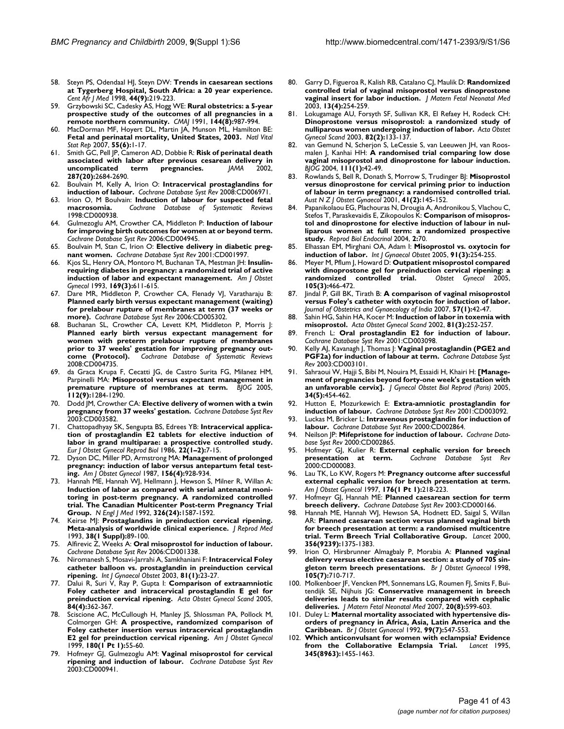- 58. Steyn PS, Odendaal HJ, Steyn DW: **[Trends in caesarean sections](http://www.ncbi.nlm.nih.gov/entrez/query.fcgi?cmd=Retrieve&db=PubMed&dopt=Abstract&list_uids=10101426) [at Tygerberg Hospital, South Africa: a 20 year experience.](http://www.ncbi.nlm.nih.gov/entrez/query.fcgi?cmd=Retrieve&db=PubMed&dopt=Abstract&list_uids=10101426)** *Cent Afr J Med* 1998, **44(9):**219-223.
- 59. Grzybowski SC, Cadesky AS, Hogg WE: **[Rural obstetrics: a 5-year](http://www.ncbi.nlm.nih.gov/entrez/query.fcgi?cmd=Retrieve&db=PubMed&dopt=Abstract&list_uids=2009477) [prospective study of the outcomes of all pregnancies in a](http://www.ncbi.nlm.nih.gov/entrez/query.fcgi?cmd=Retrieve&db=PubMed&dopt=Abstract&list_uids=2009477) [remote northern community.](http://www.ncbi.nlm.nih.gov/entrez/query.fcgi?cmd=Retrieve&db=PubMed&dopt=Abstract&list_uids=2009477)** *CMAJ* 1991, **144(8):**987-994.
- 60. MacDorman MF, Hoyert DL, Martin JA, Munson ML, Hamilton BE: **Fetal and perinatal mortality, United States, 2003.** *Natl Vital Stat Rep* 2007, **55(6):**1-17.
- 61. Smith GC, Pell JP, Cameron AD, Dobbie R: **[Risk of perinatal death](http://www.ncbi.nlm.nih.gov/entrez/query.fcgi?cmd=Retrieve&db=PubMed&dopt=Abstract&list_uids=12020304) [associated with labor after previous cesarean delivery in](http://www.ncbi.nlm.nih.gov/entrez/query.fcgi?cmd=Retrieve&db=PubMed&dopt=Abstract&list_uids=12020304)**  $uncomplied$  term pregnancies. **287(20):**2684-2690.
- 62. Boulvain M, Kelly A, Irion O: **[Intracervical prostaglandins for](http://www.ncbi.nlm.nih.gov/entrez/query.fcgi?cmd=Retrieve&db=PubMed&dopt=Abstract&list_uids=18254122) [induction of labour.](http://www.ncbi.nlm.nih.gov/entrez/query.fcgi?cmd=Retrieve&db=PubMed&dopt=Abstract&list_uids=18254122)** *Cochrane Database Syst Rev* 2008:CD006971.
- 63. Irion O, M Boulvain: **Induction of labour for suspected fetal macrosomia.** *Cochrane Database of Systematic Reviews* 1998:CD000938.
- 64. Gulmezoglu AM, Crowther CA, Middleton P: **[Induction of labour](http://www.ncbi.nlm.nih.gov/entrez/query.fcgi?cmd=Retrieve&db=PubMed&dopt=Abstract&list_uids=17054226) [for improving birth outcomes for women at or beyond term.](http://www.ncbi.nlm.nih.gov/entrez/query.fcgi?cmd=Retrieve&db=PubMed&dopt=Abstract&list_uids=17054226)** *Cochrane Database Syst Rev* 2006:CD004945.
- 65. Boulvain M, Stan C, Irion O: **[Elective delivery in diabetic preg](http://www.ncbi.nlm.nih.gov/entrez/query.fcgi?cmd=Retrieve&db=PubMed&dopt=Abstract&list_uids=11406020)[nant women.](http://www.ncbi.nlm.nih.gov/entrez/query.fcgi?cmd=Retrieve&db=PubMed&dopt=Abstract&list_uids=11406020)** *Cochrane Database Syst Rev* 2001:CD001997.
- 66. Kjos SL, Henry OA, Montoro M, Buchanan TA, Mestman JH: **[Insulin](http://www.ncbi.nlm.nih.gov/entrez/query.fcgi?cmd=Retrieve&db=PubMed&dopt=Abstract&list_uids=8372870)[requiring diabetes in pregnancy: a randomized trial of active](http://www.ncbi.nlm.nih.gov/entrez/query.fcgi?cmd=Retrieve&db=PubMed&dopt=Abstract&list_uids=8372870) [induction of labor and expectant management.](http://www.ncbi.nlm.nih.gov/entrez/query.fcgi?cmd=Retrieve&db=PubMed&dopt=Abstract&list_uids=8372870)** *Am J Obstet Gynecol* 1993, **169(3):**611-615.
- 67. Dare MR, Middleton P, Crowther CA, Flenady VJ, Varatharaju B: **[Planned early birth versus expectant management \(waiting\)](http://www.ncbi.nlm.nih.gov/entrez/query.fcgi?cmd=Retrieve&db=PubMed&dopt=Abstract&list_uids=16437525) for prelabour rupture of membranes at term (37 weeks or [more\).](http://www.ncbi.nlm.nih.gov/entrez/query.fcgi?cmd=Retrieve&db=PubMed&dopt=Abstract&list_uids=16437525)** *Cochrane Database Syst Rev* 2006:CD005302.
- Buchanan SL, Crowther CA, Levett KM, Middleton P, Morris I: **Planned early birth versus expectant management for women with preterm prelabour rupture of membranes** prior to 37 weeks' gestation for improving pregnancy out-<br>come (Protocol). Cochrane Database of Systematic Reviews **come (Protocol).** *Cochrane Database of Systematic Reviews* 2008:CD004735.
- 69. da Graca Krupa F, Cecatti JG, de Castro Surita FG, Milanez HM, Parpinelli MA: **[Misoprostol versus expectant management in](http://www.ncbi.nlm.nih.gov/entrez/query.fcgi?cmd=Retrieve&db=PubMed&dopt=Abstract&list_uids=16101609) [premature rupture of membranes at term.](http://www.ncbi.nlm.nih.gov/entrez/query.fcgi?cmd=Retrieve&db=PubMed&dopt=Abstract&list_uids=16101609)** *BJOG* 2005, **112(9):**1284-1290.
- 70. Dodd JM, Crowther CA: **[Elective delivery of women with a twin](http://www.ncbi.nlm.nih.gov/entrez/query.fcgi?cmd=Retrieve&db=PubMed&dopt=Abstract&list_uids=12535480) [pregnancy from 37 weeks' gestation.](http://www.ncbi.nlm.nih.gov/entrez/query.fcgi?cmd=Retrieve&db=PubMed&dopt=Abstract&list_uids=12535480)** *Cochrane Database Syst Rev* 2003:CD003582.
- 71. Chattopadhyay SK, Sengupta BS, Edrees YB: **[Intracervical applica](http://www.ncbi.nlm.nih.gov/entrez/query.fcgi?cmd=Retrieve&db=PubMed&dopt=Abstract&list_uids=3522309)[tion of prostaglandin E2 tablets for elective induction of](http://www.ncbi.nlm.nih.gov/entrez/query.fcgi?cmd=Retrieve&db=PubMed&dopt=Abstract&list_uids=3522309) labor in grand multiparae: a prospective controlled study.** *Eur J Obstet Gynecol Reprod Biol* 1986, **22(1–2):**7-15.
- 72. Dyson DC, Miller PD, Armstrong MA: **[Management of prolonged](http://www.ncbi.nlm.nih.gov/entrez/query.fcgi?cmd=Retrieve&db=PubMed&dopt=Abstract&list_uids=3472467) [pregnancy: induction of labor versus antepartum fetal test](http://www.ncbi.nlm.nih.gov/entrez/query.fcgi?cmd=Retrieve&db=PubMed&dopt=Abstract&list_uids=3472467)[ing.](http://www.ncbi.nlm.nih.gov/entrez/query.fcgi?cmd=Retrieve&db=PubMed&dopt=Abstract&list_uids=3472467)** *Am J Obstet Gynecol* 1987, **156(4):**928-934.
- 73. Hannah ME, Hannah WJ, Hellmann J, Hewson S, Milner R, Willan A: **[Induction of labor as compared with serial antenatal moni](http://www.ncbi.nlm.nih.gov/entrez/query.fcgi?cmd=Retrieve&db=PubMed&dopt=Abstract&list_uids=1584259)toring in post-term pregnancy. A randomized controlled trial. The Canadian Multicenter Post-term Pregnancy Trial [Group.](http://www.ncbi.nlm.nih.gov/entrez/query.fcgi?cmd=Retrieve&db=PubMed&dopt=Abstract&list_uids=1584259)** *N Engl J Med* 1992, **326(24):**1587-1592.
- 74. Keirse MJ: **[Prostaglandins in preinduction cervical ripening.](http://www.ncbi.nlm.nih.gov/entrez/query.fcgi?cmd=Retrieve&db=PubMed&dopt=Abstract&list_uids=8429533) [Meta-analysis of worldwide clinical experience.](http://www.ncbi.nlm.nih.gov/entrez/query.fcgi?cmd=Retrieve&db=PubMed&dopt=Abstract&list_uids=8429533)** *J Reprod Med* 1993, **38(1 Suppl):**89-100.
- 75. Alfirevic Z, Weeks A: **[Oral misoprostol for induction of labour.](http://www.ncbi.nlm.nih.gov/entrez/query.fcgi?cmd=Retrieve&db=PubMed&dopt=Abstract&list_uids=16625542)** *Cochrane Database Syst Rev* 2006:CD001338.
- 76. Niromanesh S, Mosavi-Jarrahi A, Samkhaniani F: **[Intracervical Foley](http://www.ncbi.nlm.nih.gov/entrez/query.fcgi?cmd=Retrieve&db=PubMed&dopt=Abstract&list_uids=12676389) [catheter balloon vs. prostaglandin in preinduction cervical](http://www.ncbi.nlm.nih.gov/entrez/query.fcgi?cmd=Retrieve&db=PubMed&dopt=Abstract&list_uids=12676389) [ripening.](http://www.ncbi.nlm.nih.gov/entrez/query.fcgi?cmd=Retrieve&db=PubMed&dopt=Abstract&list_uids=12676389)** *Int J Gynaecol Obstet* 2003, **81(1):**23-27.
- 77. Dalui R, Suri V, Ray P, Gupta I: **[Comparison of extraamniotic](http://www.ncbi.nlm.nih.gov/entrez/query.fcgi?cmd=Retrieve&db=PubMed&dopt=Abstract&list_uids=15762966) [Foley catheter and intracervical prostaglandin E gel for](http://www.ncbi.nlm.nih.gov/entrez/query.fcgi?cmd=Retrieve&db=PubMed&dopt=Abstract&list_uids=15762966) [preinduction cervical ripening.](http://www.ncbi.nlm.nih.gov/entrez/query.fcgi?cmd=Retrieve&db=PubMed&dopt=Abstract&list_uids=15762966)** *Acta Obstet Gynecol Scand* 2005, **84(4):**362-367.
- 78. Sciscione AC, McCullough H, Manley JS, Shlossman PA, Pollock M, Colmorgen GH: **[A prospective, randomized comparison of](http://www.ncbi.nlm.nih.gov/entrez/query.fcgi?cmd=Retrieve&db=PubMed&dopt=Abstract&list_uids=9914578) [Foley catheter insertion versus intracervical prostaglandin](http://www.ncbi.nlm.nih.gov/entrez/query.fcgi?cmd=Retrieve&db=PubMed&dopt=Abstract&list_uids=9914578) [E2 gel for preinduction cervical ripening.](http://www.ncbi.nlm.nih.gov/entrez/query.fcgi?cmd=Retrieve&db=PubMed&dopt=Abstract&list_uids=9914578)** *Am J Obstet Gynecol* 1999, **180(1 Pt 1):**55-60.
- 79. Hofmeyr GJ, Gulmezoglu AM: **[Vaginal misoprostol for cervical](http://www.ncbi.nlm.nih.gov/entrez/query.fcgi?cmd=Retrieve&db=PubMed&dopt=Abstract&list_uids=12535398) [ripening and induction of labour.](http://www.ncbi.nlm.nih.gov/entrez/query.fcgi?cmd=Retrieve&db=PubMed&dopt=Abstract&list_uids=12535398)** *Cochrane Database Syst Rev* 2003:CD000941.
- 80. Garry D, Figueroa R, Kalish RB, Catalano CJ, Maulik D: **[Randomized](http://www.ncbi.nlm.nih.gov/entrez/query.fcgi?cmd=Retrieve&db=PubMed&dopt=Abstract&list_uids=12854927) [controlled trial of vaginal misoprostol versus dinoprostone](http://www.ncbi.nlm.nih.gov/entrez/query.fcgi?cmd=Retrieve&db=PubMed&dopt=Abstract&list_uids=12854927) [vaginal insert for labor induction.](http://www.ncbi.nlm.nih.gov/entrez/query.fcgi?cmd=Retrieve&db=PubMed&dopt=Abstract&list_uids=12854927)** *J Matern Fetal Neonatal Med* 2003, **13(4):**254-259.
- 81. Lokugamage AU, Forsyth SF, Sullivan KR, El Refaey H, Rodeck CH: **[Dinoprostone versus misoprostol: a randomized study of](http://www.ncbi.nlm.nih.gov/entrez/query.fcgi?cmd=Retrieve&db=PubMed&dopt=Abstract&list_uids=12648174) [nulliparous women undergoing induction of labor.](http://www.ncbi.nlm.nih.gov/entrez/query.fcgi?cmd=Retrieve&db=PubMed&dopt=Abstract&list_uids=12648174)** *Acta Obstet Gynecol Scand* 2003, **82(2):**133-137.
- 82. van Gemund N, Scherjon S, LeCessie S, van Leeuwen JH, van Roosmalen J, Kanhai HH: **[A randomised trial comparing low dose](http://www.ncbi.nlm.nih.gov/entrez/query.fcgi?cmd=Retrieve&db=PubMed&dopt=Abstract&list_uids=14687051) [vaginal misoprostol and dinoprostone for labour induction.](http://www.ncbi.nlm.nih.gov/entrez/query.fcgi?cmd=Retrieve&db=PubMed&dopt=Abstract&list_uids=14687051)** *BJOG* 2004, **111(1):**42-49.
- 83. Rowlands S, Bell R, Donath S, Morrow S, Trudinger BJ: **[Misoprostol](http://www.ncbi.nlm.nih.gov/entrez/query.fcgi?cmd=Retrieve&db=PubMed&dopt=Abstract&list_uids=11453262) [versus dinoprostone for cervical priming prior to induction](http://www.ncbi.nlm.nih.gov/entrez/query.fcgi?cmd=Retrieve&db=PubMed&dopt=Abstract&list_uids=11453262) of labour in term pregnancy: a randomised controlled trial.** *Aust N Z J Obstet Gynaecol* 2001, **41(2):**145-152.
- Papanikolaou EG, Plachouras N, Drougia A, Andronikou S, Vlachou C, Stefos T, Paraskevaidis E, Zikopoulos K: **[Comparison of misopros](http://www.ncbi.nlm.nih.gov/entrez/query.fcgi?cmd=Retrieve&db=PubMed&dopt=Abstract&list_uids=15450119)[tol and dinoprostone for elective induction of labour in nul](http://www.ncbi.nlm.nih.gov/entrez/query.fcgi?cmd=Retrieve&db=PubMed&dopt=Abstract&list_uids=15450119)liparous women at full term: a randomized prospective [study.](http://www.ncbi.nlm.nih.gov/entrez/query.fcgi?cmd=Retrieve&db=PubMed&dopt=Abstract&list_uids=15450119)** *Reprod Biol Endocrinol* 2004, **2:**70.
- 85. Elhassan EM, Mirghani OA, Adam I: **[Misoprostol vs. oxytocin for](http://www.ncbi.nlm.nih.gov/entrez/query.fcgi?cmd=Retrieve&db=PubMed&dopt=Abstract&list_uids=16162347) [induction of labor.](http://www.ncbi.nlm.nih.gov/entrez/query.fcgi?cmd=Retrieve&db=PubMed&dopt=Abstract&list_uids=16162347)** *Int J Gynaecol Obstet* 2005, **91(3):**254-255.
- 86. Meyer M, Pflum J, Howard D: **[Outpatient misoprostol compared](http://www.ncbi.nlm.nih.gov/entrez/query.fcgi?cmd=Retrieve&db=PubMed&dopt=Abstract&list_uids=15738009) [with dinoprostone gel for preinduction cervical ripening: a](http://www.ncbi.nlm.nih.gov/entrez/query.fcgi?cmd=Retrieve&db=PubMed&dopt=Abstract&list_uids=15738009)**  $r$ andomized controlled trial. **105(3):**466-472.
- 87. Jindal P, Gill BK, Tirath B: **A comparison of vaginal misoprostol versus Foley's catheter with oxytocin for induction of labor.** *Journal of Obstetrics and Gynaecology of India* 2007, **57(1):**42-47.
- Sahin HG, Sahin HA, Kocer M: [Induction of labor in toxemia with](http://www.ncbi.nlm.nih.gov/entrez/query.fcgi?cmd=Retrieve&db=PubMed&dopt=Abstract&list_uids=11966483) **[misoprostol.](http://www.ncbi.nlm.nih.gov/entrez/query.fcgi?cmd=Retrieve&db=PubMed&dopt=Abstract&list_uids=11966483)** *Acta Obstet Gynecol Scand* 2002, **81(3):**252-257.
- 89. French L: **[Oral prostaglandin E2 for induction of labour.](http://www.ncbi.nlm.nih.gov/entrez/query.fcgi?cmd=Retrieve&db=PubMed&dopt=Abstract&list_uids=11406075)** *Cochrane Database Syst Rev* 2001:CD003098.
- 90. Kelly AJ, Kavanagh J, Thomas J: **[Vaginal prostaglandin \(PGE2 and](http://www.ncbi.nlm.nih.gov/entrez/query.fcgi?cmd=Retrieve&db=PubMed&dopt=Abstract&list_uids=14583960) [PGF2a\) for induction of labour at term.](http://www.ncbi.nlm.nih.gov/entrez/query.fcgi?cmd=Retrieve&db=PubMed&dopt=Abstract&list_uids=14583960)** *Cochrane Database Syst Rev* 2003:CD003101.
- 91. Sahraoui W, Hajji S, Bibi M, Nouira M, Essaidi H, Khairi H: **[\[Manage](http://www.ncbi.nlm.nih.gov/entrez/query.fcgi?cmd=Retrieve&db=PubMed&dopt=Abstract&list_uids=16142136)[ment of pregnancies beyond forty-one week's gestation with](http://www.ncbi.nlm.nih.gov/entrez/query.fcgi?cmd=Retrieve&db=PubMed&dopt=Abstract&list_uids=16142136) [an unfavorable cervix\].](http://www.ncbi.nlm.nih.gov/entrez/query.fcgi?cmd=Retrieve&db=PubMed&dopt=Abstract&list_uids=16142136)** *J Gynecol Obstet Biol Reprod (Paris)* 2005, **34(5):**454-462.
- 92. Hutton E, Mozurkewich E: **[Extra-amniotic prostaglandin for](http://www.ncbi.nlm.nih.gov/entrez/query.fcgi?cmd=Retrieve&db=PubMed&dopt=Abstract&list_uids=11406071) [induction of labour.](http://www.ncbi.nlm.nih.gov/entrez/query.fcgi?cmd=Retrieve&db=PubMed&dopt=Abstract&list_uids=11406071)** *Cochrane Database Syst Rev* 2001:CD003092.
- 93. Luckas M, Bricker L: **[Intravenous prostaglandin for induction of](http://www.ncbi.nlm.nih.gov/entrez/query.fcgi?cmd=Retrieve&db=PubMed&dopt=Abstract&list_uids=11034778) [labour.](http://www.ncbi.nlm.nih.gov/entrez/query.fcgi?cmd=Retrieve&db=PubMed&dopt=Abstract&list_uids=11034778)** *Cochrane Database Syst Rev* 2000:CD002864.
- 94. Neilson JP: **[Mifepristone for induction of labour.](http://www.ncbi.nlm.nih.gov/entrez/query.fcgi?cmd=Retrieve&db=PubMed&dopt=Abstract&list_uids=11034779)** *Cochrane Database Syst Rev* 2000:CD002865.
- Hofmeyr GJ, Kulier R: **[External cephalic version for breech](http://www.ncbi.nlm.nih.gov/entrez/query.fcgi?cmd=Retrieve&db=PubMed&dopt=Abstract&list_uids=10796122)**<br>**presentation at term.** Cochrane Database Syst Rev **[presentation at term.](http://www.ncbi.nlm.nih.gov/entrez/query.fcgi?cmd=Retrieve&db=PubMed&dopt=Abstract&list_uids=10796122)** *Cochrane Database Syst Rev* 2000:CD000083.
- 96. Lau TK, Lo KW, Rogers M: **[Pregnancy outcome after successful](http://www.ncbi.nlm.nih.gov/entrez/query.fcgi?cmd=Retrieve&db=PubMed&dopt=Abstract&list_uids=9024118) [external cephalic version for breech presentation at term.](http://www.ncbi.nlm.nih.gov/entrez/query.fcgi?cmd=Retrieve&db=PubMed&dopt=Abstract&list_uids=9024118)** *Am J Obstet Gynecol* 1997, **176(1 Pt 1):**218-223.
- 97. Hofmeyr GJ, Hannah ME: **[Planned caesarean section for term](http://www.ncbi.nlm.nih.gov/entrez/query.fcgi?cmd=Retrieve&db=PubMed&dopt=Abstract&list_uids=12917886) [breech delivery.](http://www.ncbi.nlm.nih.gov/entrez/query.fcgi?cmd=Retrieve&db=PubMed&dopt=Abstract&list_uids=12917886)** *Cochrane Database Syst Rev* 2003:CD000166.
- 98. Hannah ME, Hannah WJ, Hewson SA, Hodnett ED, Saigal S, Willan AR: **[Planned caesarean section versus planned vaginal birth](http://www.ncbi.nlm.nih.gov/entrez/query.fcgi?cmd=Retrieve&db=PubMed&dopt=Abstract&list_uids=11052579) [for breech presentation at term: a randomised multicentre](http://www.ncbi.nlm.nih.gov/entrez/query.fcgi?cmd=Retrieve&db=PubMed&dopt=Abstract&list_uids=11052579) [trial. Term Breech Trial Collaborative Group.](http://www.ncbi.nlm.nih.gov/entrez/query.fcgi?cmd=Retrieve&db=PubMed&dopt=Abstract&list_uids=11052579)** *Lancet* 2000, **356(9239):**1375-1383.
- 99. Irion O, Hirsbrunner Almagbaly P, Morabia A: **[Planned vaginal](http://www.ncbi.nlm.nih.gov/entrez/query.fcgi?cmd=Retrieve&db=PubMed&dopt=Abstract&list_uids=9692410) [delivery versus elective caesarean section: a study of 705 sin](http://www.ncbi.nlm.nih.gov/entrez/query.fcgi?cmd=Retrieve&db=PubMed&dopt=Abstract&list_uids=9692410)[gleton term breech presentations.](http://www.ncbi.nlm.nih.gov/entrez/query.fcgi?cmd=Retrieve&db=PubMed&dopt=Abstract&list_uids=9692410)** *Br J Obstet Gynaecol* 1998, **105(7):**710-717.
- 100. Molkenboer JF, Vencken PM, Sonnemans LG, Roumen FJ, Smits F, Buitendijk SE, Nijhuis JG: **[Conservative management in breech](http://www.ncbi.nlm.nih.gov/entrez/query.fcgi?cmd=Retrieve&db=PubMed&dopt=Abstract&list_uids=17674277) [deliveries leads to similar results compared with cephalic](http://www.ncbi.nlm.nih.gov/entrez/query.fcgi?cmd=Retrieve&db=PubMed&dopt=Abstract&list_uids=17674277) [deliveries.](http://www.ncbi.nlm.nih.gov/entrez/query.fcgi?cmd=Retrieve&db=PubMed&dopt=Abstract&list_uids=17674277)** *J Matern Fetal Neonatal Med* 2007, **20(8):**599-603.
- 101. Duley L: **[Maternal mortality associated with hypertensive dis](http://www.ncbi.nlm.nih.gov/entrez/query.fcgi?cmd=Retrieve&db=PubMed&dopt=Abstract&list_uids=1525093)[orders of pregnancy in Africa, Asia, Latin America and the](http://www.ncbi.nlm.nih.gov/entrez/query.fcgi?cmd=Retrieve&db=PubMed&dopt=Abstract&list_uids=1525093) [Caribbean.](http://www.ncbi.nlm.nih.gov/entrez/query.fcgi?cmd=Retrieve&db=PubMed&dopt=Abstract&list_uids=1525093)** *Br J Obstet Gynaecol* 1992, **99(7):**547-553.
- <span id="page-40-0"></span>102. **[Which anticonvulsant for women with eclampsia? Evidence](http://www.ncbi.nlm.nih.gov/entrez/query.fcgi?cmd=Retrieve&db=PubMed&dopt=Abstract&list_uids=7769899)** [from the Collaborative Eclampsia Trial.](http://www.ncbi.nlm.nih.gov/entrez/query.fcgi?cmd=Retrieve&db=PubMed&dopt=Abstract&list_uids=7769899) **345(8963):**1455-1463.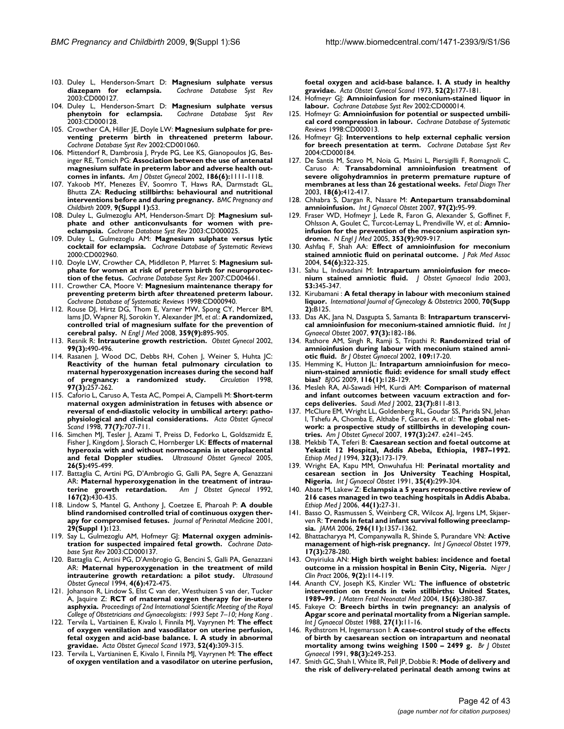- 103. Duley L, Henderson-Smart D: **[Magnesium sulphate versus](http://www.ncbi.nlm.nih.gov/entrez/query.fcgi?cmd=Retrieve&db=PubMed&dopt=Abstract&list_uids=14583910) [diazepam for eclampsia.](http://www.ncbi.nlm.nih.gov/entrez/query.fcgi?cmd=Retrieve&db=PubMed&dopt=Abstract&list_uids=14583910)** *Cochrane Database Syst Rev* 2003:CD000127.
- 104. Duley L, Henderson-Smart D: **[Magnesium sulphate versus](http://www.ncbi.nlm.nih.gov/entrez/query.fcgi?cmd=Retrieve&db=PubMed&dopt=Abstract&list_uids=14583911) [phenytoin for eclampsia.](http://www.ncbi.nlm.nih.gov/entrez/query.fcgi?cmd=Retrieve&db=PubMed&dopt=Abstract&list_uids=14583911)** *Cochrane Database Syst Rev* 2003:CD000128.
- 105. Crowther CA, Hiller JE, Doyle LW: **[Magnesium sulphate for pre](http://www.ncbi.nlm.nih.gov/entrez/query.fcgi?cmd=Retrieve&db=PubMed&dopt=Abstract&list_uids=12519550)[venting preterm birth in threatened preterm labour.](http://www.ncbi.nlm.nih.gov/entrez/query.fcgi?cmd=Retrieve&db=PubMed&dopt=Abstract&list_uids=12519550)** *Cochrane Database Syst Rev* 2002:CD001060.
- 106. Mittendorf R, Dambrosia J, Pryde PG, Lee KS, Gianopoulos JG, Besinger RE, Tomich PG: **[Association between the use of antenatal](http://www.ncbi.nlm.nih.gov/entrez/query.fcgi?cmd=Retrieve&db=PubMed&dopt=Abstract&list_uids=12066082) [magnesium sulfate in preterm labor and adverse health out](http://www.ncbi.nlm.nih.gov/entrez/query.fcgi?cmd=Retrieve&db=PubMed&dopt=Abstract&list_uids=12066082)[comes in infants.](http://www.ncbi.nlm.nih.gov/entrez/query.fcgi?cmd=Retrieve&db=PubMed&dopt=Abstract&list_uids=12066082)** *Am J Obstet Gynecol* 2002, **186(6):**1111-1118.
- 107. Yakoob MY, Menezes EV, Soomro T, Haws RA, Darmstadt GL, Bhutta ZA: **Reducing stillbirths: behavioural and nutritional interventions before and during pregnancy.** *BMC Pregnancy and Childbirth* 2009, **9(Suppl 1):**S3.
- 108. Duley L, Gulmezoglu AM, Henderson-Smart DJ: **[Magnesium sul](http://www.ncbi.nlm.nih.gov/entrez/query.fcgi?cmd=Retrieve&db=PubMed&dopt=Abstract&list_uids=12804383)[phate and other anticonvulsants for women with pre](http://www.ncbi.nlm.nih.gov/entrez/query.fcgi?cmd=Retrieve&db=PubMed&dopt=Abstract&list_uids=12804383)[eclampsia.](http://www.ncbi.nlm.nih.gov/entrez/query.fcgi?cmd=Retrieve&db=PubMed&dopt=Abstract&list_uids=12804383)** *Cochrane Database Syst Rev* 2003:CD000025.
- 109. Duley L, Gulmezoglu AM: **Magnesium sulphate versus lytic cocktail for eclampsia.** *Cochrane Database of Systematic Reviews* 2000:CD002960.
- 110. Doyle LW, Crowther CA, Middleton P, Marret S: **[Magnesium sul](http://www.ncbi.nlm.nih.gov/entrez/query.fcgi?cmd=Retrieve&db=PubMed&dopt=Abstract&list_uids=17636771)[phate for women at risk of preterm birth for neuroprotec](http://www.ncbi.nlm.nih.gov/entrez/query.fcgi?cmd=Retrieve&db=PubMed&dopt=Abstract&list_uids=17636771)[tion of the fetus.](http://www.ncbi.nlm.nih.gov/entrez/query.fcgi?cmd=Retrieve&db=PubMed&dopt=Abstract&list_uids=17636771)** *Cochrane Database Syst Rev* 2007:CD004661.
- 111. Crowther CA, Moore V: **Magnesium maintenance therapy for preventing preterm birth after threatened preterm labour.** *Cochrane Database of Systematic Reviews* 1998:CD000940.
- 112. Rouse DJ, Hirtz DG, Thom E, Varner MW, Spong CY, Mercer BM, Iams JD, Wapner RJ, Sorokin Y, Alexander JM, *et al.*: **[A randomized,](http://www.ncbi.nlm.nih.gov/entrez/query.fcgi?cmd=Retrieve&db=PubMed&dopt=Abstract&list_uids=18753646) [controlled trial of magnesium sulfate for the prevention of](http://www.ncbi.nlm.nih.gov/entrez/query.fcgi?cmd=Retrieve&db=PubMed&dopt=Abstract&list_uids=18753646) [cerebral palsy.](http://www.ncbi.nlm.nih.gov/entrez/query.fcgi?cmd=Retrieve&db=PubMed&dopt=Abstract&list_uids=18753646)** *N Engl J Med* 2008, **359(9):**895-905.
- 113. Resnik R: **[Intrauterine growth restriction.](http://www.ncbi.nlm.nih.gov/entrez/query.fcgi?cmd=Retrieve&db=PubMed&dopt=Abstract&list_uids=11864679)** *Obstet Gynecol* 2002, **99(3):**490-496.
- 114. Rasanen J, Wood DC, Debbs RH, Cohen J, Weiner S, Huhta JC: **[Reactivity of the human fetal pulmonary circulation to](http://www.ncbi.nlm.nih.gov/entrez/query.fcgi?cmd=Retrieve&db=PubMed&dopt=Abstract&list_uids=9462527) maternal hyperoxygenation increases during the second half [of pregnancy: a randomized study.](http://www.ncbi.nlm.nih.gov/entrez/query.fcgi?cmd=Retrieve&db=PubMed&dopt=Abstract&list_uids=9462527)** *Circulation* 1998, **97(3):**257-262.
- 115. Caforio L, Caruso A, Testa AC, Pompei A, Ciampelli M: **[Short-term](http://www.ncbi.nlm.nih.gov/entrez/query.fcgi?cmd=Retrieve&db=PubMed&dopt=Abstract&list_uids=9740516) [maternal oxygen administration in fetuses with absence or](http://www.ncbi.nlm.nih.gov/entrez/query.fcgi?cmd=Retrieve&db=PubMed&dopt=Abstract&list_uids=9740516) reversal of end-diastolic velocity in umbilical artery: patho[physiological and clinical considerations.](http://www.ncbi.nlm.nih.gov/entrez/query.fcgi?cmd=Retrieve&db=PubMed&dopt=Abstract&list_uids=9740516)** *Acta Obstet Gynecol Scand* 1998, **77(7):**707-711.
- 116. Simchen MJ, Tesler J, Azami T, Preiss D, Fedorko L, Goldszmidz E, Fisher J, Kingdom J, Slorach C, Hornberger LK: **[Effects of maternal](http://www.ncbi.nlm.nih.gov/entrez/query.fcgi?cmd=Retrieve&db=PubMed&dopt=Abstract&list_uids=16180259) [hyperoxia with and without normocapnia in uteroplacental](http://www.ncbi.nlm.nih.gov/entrez/query.fcgi?cmd=Retrieve&db=PubMed&dopt=Abstract&list_uids=16180259) [and fetal Doppler studies.](http://www.ncbi.nlm.nih.gov/entrez/query.fcgi?cmd=Retrieve&db=PubMed&dopt=Abstract&list_uids=16180259)** *Ultrasound Obstet Gynecol* 2005, **26(5):**495-499.
- 117. Battaglia C, Artini PG, D'Ambrogio G, Galli PA, Segre A, Genazzani AR: **[Maternal hyperoxygenation in the treatment of intrau](http://www.ncbi.nlm.nih.gov/entrez/query.fcgi?cmd=Retrieve&db=PubMed&dopt=Abstract&list_uids=1497047)[terine growth retardation.](http://www.ncbi.nlm.nih.gov/entrez/query.fcgi?cmd=Retrieve&db=PubMed&dopt=Abstract&list_uids=1497047)** *Am J Obstet Gynecol* 1992, **167(2):**430-435.
- 118. Lindow S, Mantel G, Anthony J, Coetzee E, Pharoah P: **A double blind randomised controlled trial of continuous oxygen therapy for compromised fetuses.** *Journal of Perinatal Medicine* 2001, **29(Suppl 1):**123.
- 119. Say L, Gulmezoglu AM, Hofmeyr GJ: **[Maternal oxygen adminis](http://www.ncbi.nlm.nih.gov/entrez/query.fcgi?cmd=Retrieve&db=PubMed&dopt=Abstract&list_uids=12535388)[tration for suspected impaired fetal growth.](http://www.ncbi.nlm.nih.gov/entrez/query.fcgi?cmd=Retrieve&db=PubMed&dopt=Abstract&list_uids=12535388)** *Cochrane Database Syst Rev* 2003:CD000137.
- 120. Battaglia C, Artini PG, D'Ambrogio G, Bencini S, Galli PA, Genazzani AR: **[Maternal hyperoxygenation in the treatment of mild](http://www.ncbi.nlm.nih.gov/entrez/query.fcgi?cmd=Retrieve&db=PubMed&dopt=Abstract&list_uids=12797127) [intrauterine growth retardation: a pilot study.](http://www.ncbi.nlm.nih.gov/entrez/query.fcgi?cmd=Retrieve&db=PubMed&dopt=Abstract&list_uids=12797127)** *Ultrasound Obstet Gynecol* 1994, **4(6):**472-475.
- 121. Johanson R, Lindow S, Elst C van der, Westhuizen S van der, Tucker A, Jaquire Z: **RCT of maternal oxygen therapy for in-utero asphyxia.** *Proceedings of 2nd International Scientific Meeting of the Royal College of Obstetricians and Gynaecologists: 1993 Sept 7–10; Hong Kong* .
- 122. Tervila L, Vartiainen E, Kivalo I, Finnila MJ, Vayrynen M: **[The effect](http://www.ncbi.nlm.nih.gov/entrez/query.fcgi?cmd=Retrieve&db=PubMed&dopt=Abstract&list_uids=4797315) [of oxygen ventilation and vasodilator on uterine perfusion,](http://www.ncbi.nlm.nih.gov/entrez/query.fcgi?cmd=Retrieve&db=PubMed&dopt=Abstract&list_uids=4797315) fetal oxygen and acid-base balance. I. A study in abnormal [gravidae.](http://www.ncbi.nlm.nih.gov/entrez/query.fcgi?cmd=Retrieve&db=PubMed&dopt=Abstract&list_uids=4797315)** *Acta Obstet Gynecol Scand* 1973, **52(4):**309-315.
- 123. Tervila L, Vartianinen E, Kivalo I, Finnila MJ, Vayrynen M: **[The effect](http://www.ncbi.nlm.nih.gov/entrez/query.fcgi?cmd=Retrieve&db=PubMed&dopt=Abstract&list_uids=4689228) [of oxygen ventilation and a vasodilator on uterine perfusion,](http://www.ncbi.nlm.nih.gov/entrez/query.fcgi?cmd=Retrieve&db=PubMed&dopt=Abstract&list_uids=4689228)**

**[foetal oxygen and acid-base balance. I. A study in healthy](http://www.ncbi.nlm.nih.gov/entrez/query.fcgi?cmd=Retrieve&db=PubMed&dopt=Abstract&list_uids=4689228) [gravidae.](http://www.ncbi.nlm.nih.gov/entrez/query.fcgi?cmd=Retrieve&db=PubMed&dopt=Abstract&list_uids=4689228)** *Acta Obstet Gynecol Scand* 1973, **52(2):**177-181.

- 124. Hofmeyr GJ: **[Amnioinfusion for meconium-stained liquor in](http://www.ncbi.nlm.nih.gov/entrez/query.fcgi?cmd=Retrieve&db=PubMed&dopt=Abstract&list_uids=11869561) [labour.](http://www.ncbi.nlm.nih.gov/entrez/query.fcgi?cmd=Retrieve&db=PubMed&dopt=Abstract&list_uids=11869561)** *Cochrane Database Syst Rev* 2002:CD000014.
- 125. Hofmeyr G: **Amnioinfusion for potential or suspected umbilical cord compression in labour.** *Cochrane Database of Systematic Reviews* 1998:CD000013.
- 126. Hofmeyr GJ: **[Interventions to help external cephalic version](http://www.ncbi.nlm.nih.gov/entrez/query.fcgi?cmd=Retrieve&db=PubMed&dopt=Abstract&list_uids=14973948) [for breech presentation at term.](http://www.ncbi.nlm.nih.gov/entrez/query.fcgi?cmd=Retrieve&db=PubMed&dopt=Abstract&list_uids=14973948)** *Cochrane Database Syst Rev* 2004:CD000184.
- 127. De Santis M, Scavo M, Noia G, Masini L, Piersigilli F, Romagnoli C, Caruso A: **[Transabdominal amnioinfusion treatment of](http://www.ncbi.nlm.nih.gov/entrez/query.fcgi?cmd=Retrieve&db=PubMed&dopt=Abstract&list_uids=14564111) [severe oligohydramnios in preterm premature rupture of](http://www.ncbi.nlm.nih.gov/entrez/query.fcgi?cmd=Retrieve&db=PubMed&dopt=Abstract&list_uids=14564111) [membranes at less than 26 gestational weeks.](http://www.ncbi.nlm.nih.gov/entrez/query.fcgi?cmd=Retrieve&db=PubMed&dopt=Abstract&list_uids=14564111)** *Fetal Diagn Ther* 2003, **18(6):**412-417.
- 128. Chhabra S, Dargan R, Nasare M: **[Antepartum transabdominal](http://www.ncbi.nlm.nih.gov/entrez/query.fcgi?cmd=Retrieve&db=PubMed&dopt=Abstract&list_uids=17379222) [amnioinfusion.](http://www.ncbi.nlm.nih.gov/entrez/query.fcgi?cmd=Retrieve&db=PubMed&dopt=Abstract&list_uids=17379222)** *Int J Gynaecol Obstet* 2007, **97(2):**95-99.
- 129. Fraser WD, Hofmeyr J, Lede R, Faron G, Alexander S, Goffinet F, Ohlsson A, Goulet C, Turcot-Lemay L, Prendiville W, et al.: [Amnio](http://www.ncbi.nlm.nih.gov/entrez/query.fcgi?cmd=Retrieve&db=PubMed&dopt=Abstract&list_uids=16135835)**[infusion for the prevention of the meconium aspiration syn](http://www.ncbi.nlm.nih.gov/entrez/query.fcgi?cmd=Retrieve&db=PubMed&dopt=Abstract&list_uids=16135835)[drome.](http://www.ncbi.nlm.nih.gov/entrez/query.fcgi?cmd=Retrieve&db=PubMed&dopt=Abstract&list_uids=16135835)** *N Engl J Med* 2005, **353(9):**909-917.
- 130. Ashfaq F, Shah AA: **[Effect of amnioinfusion for meconium](http://www.ncbi.nlm.nih.gov/entrez/query.fcgi?cmd=Retrieve&db=PubMed&dopt=Abstract&list_uids=15366799) [stained amniotic fluid on perinatal outcome.](http://www.ncbi.nlm.nih.gov/entrez/query.fcgi?cmd=Retrieve&db=PubMed&dopt=Abstract&list_uids=15366799)** *J Pak Med Assoc* 2004, **54(6):**322-325.
- 131. Sahu L, Induvadani M: **Intrapartum amnioinfusion for meconium stained amniotic fluid.** *J Obstet Gynaecol India* 2003, **53:**345-347.
- 132. Kirubamani : **A fetal therapy in labour with meconium stained liquor.** *International Journal of Gynecology & Obstetrics* 2000, **70(Supp 2):**B125.
- 133. Das AK, Jana N, Dasgupta S, Samanta B: [Intrapartum transcervi](http://www.ncbi.nlm.nih.gov/entrez/query.fcgi?cmd=Retrieve&db=PubMed&dopt=Abstract&list_uids=17368644)**[cal amnioinfusion for meconium-stained amniotic fluid.](http://www.ncbi.nlm.nih.gov/entrez/query.fcgi?cmd=Retrieve&db=PubMed&dopt=Abstract&list_uids=17368644)** *Int J Gynaecol Obstet* 2007, **97(3):**182-186.
- 134. Rathore AM, Singh R, Ramji S, Tripathi R: **Randomized trial of amnioinfusion during labour with meconium stained amniotic fluid.** *Br J Obstet Gynaecol* 2002, **109:**17-20.
- 135. Hemming K, Hutton JL: **[Intrapartum amnioinfusion for meco](http://www.ncbi.nlm.nih.gov/entrez/query.fcgi?cmd=Retrieve&db=PubMed&dopt=Abstract&list_uids=19087088)[nium-stained amniotic fluid: evidence for small study effect](http://www.ncbi.nlm.nih.gov/entrez/query.fcgi?cmd=Retrieve&db=PubMed&dopt=Abstract&list_uids=19087088) [bias?](http://www.ncbi.nlm.nih.gov/entrez/query.fcgi?cmd=Retrieve&db=PubMed&dopt=Abstract&list_uids=19087088)** *BJOG* 2009, **116(1):**128-129.
- 136. Mesleh RA, Al-Sawadi HM, Kurdi AM: **[Comparison of maternal](http://www.ncbi.nlm.nih.gov/entrez/query.fcgi?cmd=Retrieve&db=PubMed&dopt=Abstract&list_uids=12174231) [and infant outcomes between vacuum extraction and for](http://www.ncbi.nlm.nih.gov/entrez/query.fcgi?cmd=Retrieve&db=PubMed&dopt=Abstract&list_uids=12174231)[ceps deliveries.](http://www.ncbi.nlm.nih.gov/entrez/query.fcgi?cmd=Retrieve&db=PubMed&dopt=Abstract&list_uids=12174231)** *Saudi Med J* 2002, **23(7):**811-813.
- 137. McClure EM, Wright LL, Goldenberg RL, Goudar SS, Parida SN, Jehan I, Tshefu A, Chomba E, Althabe F, Garces A, *et al.*: **[The global net](http://www.ncbi.nlm.nih.gov/entrez/query.fcgi?cmd=Retrieve&db=PubMed&dopt=Abstract&list_uids=17826406)[work: a prospective study of stillbirths in developing coun](http://www.ncbi.nlm.nih.gov/entrez/query.fcgi?cmd=Retrieve&db=PubMed&dopt=Abstract&list_uids=17826406)[tries.](http://www.ncbi.nlm.nih.gov/entrez/query.fcgi?cmd=Retrieve&db=PubMed&dopt=Abstract&list_uids=17826406)** *Am J Obstet Gynecol* 2007, **197(3):**247. e241–245.
- 138. Mekbib TA, Teferi B: **[Caesarean section and foetal outcome at](http://www.ncbi.nlm.nih.gov/entrez/query.fcgi?cmd=Retrieve&db=PubMed&dopt=Abstract&list_uids=7957129) [Yekatit 12 Hospital, Addis Abeba, Ethiopia, 1987–1992.](http://www.ncbi.nlm.nih.gov/entrez/query.fcgi?cmd=Retrieve&db=PubMed&dopt=Abstract&list_uids=7957129)** *Ethiop Med J* 1994, **32(3):**173-179.
- 139. Wright EA, Kapu MM, Onwuhafua HI: **[Perinatal mortality and](http://www.ncbi.nlm.nih.gov/entrez/query.fcgi?cmd=Retrieve&db=PubMed&dopt=Abstract&list_uids=1682175) [cesarean section in Jos University Teaching Hospital,](http://www.ncbi.nlm.nih.gov/entrez/query.fcgi?cmd=Retrieve&db=PubMed&dopt=Abstract&list_uids=1682175) [Nigeria.](http://www.ncbi.nlm.nih.gov/entrez/query.fcgi?cmd=Retrieve&db=PubMed&dopt=Abstract&list_uids=1682175)** *Int J Gynaecol Obstet* 1991, **35(4):**299-304.
- 140. Abate M, Lakew Z: **[Eclampsia a 5 years retrospective review of](http://www.ncbi.nlm.nih.gov/entrez/query.fcgi?cmd=Retrieve&db=PubMed&dopt=Abstract&list_uids=17447360) [216 cases managed in two teaching hospitals in Addis Ababa.](http://www.ncbi.nlm.nih.gov/entrez/query.fcgi?cmd=Retrieve&db=PubMed&dopt=Abstract&list_uids=17447360)** *Ethiop Med J* 2006, **44(1):**27-31.
- 141. Basso O, Rasmussen S, Weinberg CR, Wilcox AJ, Irgens LM, Skjaerven R: **[Trends in fetal and infant survival following preeclamp](http://www.ncbi.nlm.nih.gov/entrez/query.fcgi?cmd=Retrieve&db=PubMed&dopt=Abstract&list_uids=16985227)[sia.](http://www.ncbi.nlm.nih.gov/entrez/query.fcgi?cmd=Retrieve&db=PubMed&dopt=Abstract&list_uids=16985227)** *JAMA* 2006, **296(11):**1357-1362.
- 142. Bhattacharyya M, Companywalla R, Shinde S, Purandare VN: **[Active](http://www.ncbi.nlm.nih.gov/entrez/query.fcgi?cmd=Retrieve&db=PubMed&dopt=Abstract&list_uids=42586) [management of high-risk pregnancy.](http://www.ncbi.nlm.nih.gov/entrez/query.fcgi?cmd=Retrieve&db=PubMed&dopt=Abstract&list_uids=42586)** *Int J Gynaecol Obstet* 1979, **17(3):**278-280.
- 143. Onyiriuka AN: **[High birth weight babies: incidence and foetal](http://www.ncbi.nlm.nih.gov/entrez/query.fcgi?cmd=Retrieve&db=PubMed&dopt=Abstract&list_uids=17319341) [outcome in a mission hospital in Benin City, Nigeria.](http://www.ncbi.nlm.nih.gov/entrez/query.fcgi?cmd=Retrieve&db=PubMed&dopt=Abstract&list_uids=17319341)** *Niger J Clin Pract* 2006, **9(2):**114-119.
- 144. Ananth CV, Joseph KS, Kinzler WL: **[The influence of obstetric](http://www.ncbi.nlm.nih.gov/entrez/query.fcgi?cmd=Retrieve&db=PubMed&dopt=Abstract&list_uids=15280109) [intervention on trends in twin stillbirths: United States,](http://www.ncbi.nlm.nih.gov/entrez/query.fcgi?cmd=Retrieve&db=PubMed&dopt=Abstract&list_uids=15280109) [1989–99.](http://www.ncbi.nlm.nih.gov/entrez/query.fcgi?cmd=Retrieve&db=PubMed&dopt=Abstract&list_uids=15280109)** *J Matern Fetal Neonatal Med* 2004, **15(6):**380-387.
- 145. Fakeye O: **[Breech births in twin pregnancy: an analysis of](http://www.ncbi.nlm.nih.gov/entrez/query.fcgi?cmd=Retrieve&db=PubMed&dopt=Abstract&list_uids=2905285) [Apgar score and perinatal mortality from a Nigerian sample.](http://www.ncbi.nlm.nih.gov/entrez/query.fcgi?cmd=Retrieve&db=PubMed&dopt=Abstract&list_uids=2905285)** *Int J Gynaecol Obstet* 1988, **27(1):**11-16.
- 146. Rydhstrom H, Ingemarsson I: **[A case-control study of the effects](http://www.ncbi.nlm.nih.gov/entrez/query.fcgi?cmd=Retrieve&db=PubMed&dopt=Abstract&list_uids=2021562) [of birth by caesarean section on intrapartum and neonatal](http://www.ncbi.nlm.nih.gov/entrez/query.fcgi?cmd=Retrieve&db=PubMed&dopt=Abstract&list_uids=2021562) [mortality among twins weighing 1500 – 2499 g.](http://www.ncbi.nlm.nih.gov/entrez/query.fcgi?cmd=Retrieve&db=PubMed&dopt=Abstract&list_uids=2021562)** *Br J Obstet Gynaecol* 1991, **98(3):**249-253.
- 147. Smith GC, Shah I, White IR, Pell JP, Dobbie R: **[Mode of delivery and](http://www.ncbi.nlm.nih.gov/entrez/query.fcgi?cmd=Retrieve&db=PubMed&dopt=Abstract&list_uids=16045531) [the risk of delivery-related perinatal death among twins at](http://www.ncbi.nlm.nih.gov/entrez/query.fcgi?cmd=Retrieve&db=PubMed&dopt=Abstract&list_uids=16045531)**